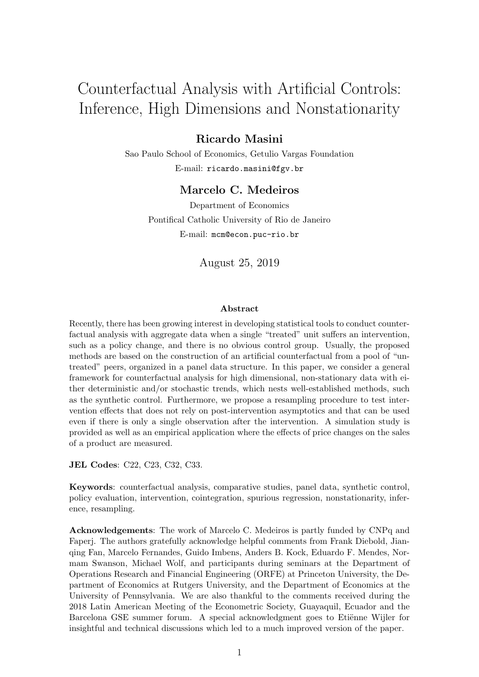# Counterfactual Analysis with Artificial Controls: Inference, High Dimensions and Nonstationarity

# Ricardo Masini

Sao Paulo School of Economics, Getulio Vargas Foundation E-mail: ricardo.masini@fgv.br

# Marcelo C. Medeiros

Department of Economics Pontifical Catholic University of Rio de Janeiro E-mail: mcm@econ.puc-rio.br

August 25, 2019

#### Abstract

Recently, there has been growing interest in developing statistical tools to conduct counterfactual analysis with aggregate data when a single "treated" unit suffers an intervention, such as a policy change, and there is no obvious control group. Usually, the proposed methods are based on the construction of an artificial counterfactual from a pool of "untreated" peers, organized in a panel data structure. In this paper, we consider a general framework for counterfactual analysis for high dimensional, non-stationary data with either deterministic and/or stochastic trends, which nests well-established methods, such as the synthetic control. Furthermore, we propose a resampling procedure to test intervention effects that does not rely on post-intervention asymptotics and that can be used even if there is only a single observation after the intervention. A simulation study is provided as well as an empirical application where the effects of price changes on the sales of a product are measured.

JEL Codes: C22, C23, C32, C33.

Keywords: counterfactual analysis, comparative studies, panel data, synthetic control, policy evaluation, intervention, cointegration, spurious regression, nonstationarity, inference, resampling.

Acknowledgements: The work of Marcelo C. Medeiros is partly funded by CNPq and Faperj. The authors gratefully acknowledge helpful comments from Frank Diebold, Jianqing Fan, Marcelo Fernandes, Guido Imbens, Anders B. Kock, Eduardo F. Mendes, Normam Swanson, Michael Wolf, and participants during seminars at the Department of Operations Research and Financial Engineering (ORFE) at Princeton University, the Department of Economics at Rutgers University, and the Department of Economics at the University of Pennsylvania. We are also thankful to the comments received during the 2018 Latin American Meeting of the Econometric Society, Guayaquil, Ecuador and the Barcelona GSE summer forum. A special acknowledgment goes to Etiënne Wijler for insightful and technical discussions which led to a much improved version of the paper.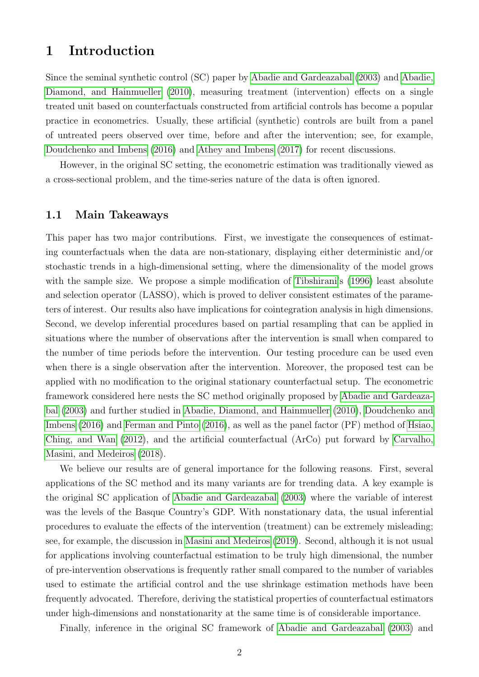# 1 Introduction

Since the seminal synthetic control (SC) paper by [Abadie and Gardeazabal](#page-50-0) [\(2003\)](#page-50-0) and [Abadie,](#page-50-1) [Diamond, and Hainmueller](#page-50-1) [\(2010\)](#page-50-1), measuring treatment (intervention) effects on a single treated unit based on counterfactuals constructed from artificial controls has become a popular practice in econometrics. Usually, these artificial (synthetic) controls are built from a panel of untreated peers observed over time, before and after the intervention; see, for example, [Doudchenko and Imbens](#page-50-2) [\(2016\)](#page-50-2) and [Athey and Imbens](#page-50-3) [\(2017\)](#page-50-3) for recent discussions.

However, in the original SC setting, the econometric estimation was traditionally viewed as a cross-sectional problem, and the time-series nature of the data is often ignored.

## 1.1 Main Takeaways

This paper has two major contributions. First, we investigate the consequences of estimating counterfactuals when the data are non-stationary, displaying either deterministic and/or stochastic trends in a high-dimensional setting, where the dimensionality of the model grows with the sample size. We propose a simple modification of [Tibshirani'](#page-51-0)s [\(1996\)](#page-51-0) least absolute and selection operator (LASSO), which is proved to deliver consistent estimates of the parameters of interest. Our results also have implications for cointegration analysis in high dimensions. Second, we develop inferential procedures based on partial resampling that can be applied in situations where the number of observations after the intervention is small when compared to the number of time periods before the intervention. Our testing procedure can be used even when there is a single observation after the intervention. Moreover, the proposed test can be applied with no modification to the original stationary counterfactual setup. The econometric framework considered here nests the SC method originally proposed by [Abadie and Gardeaza](#page-50-0)[bal](#page-50-0) [\(2003\)](#page-50-0) and further studied in [Abadie, Diamond, and Hainmueller](#page-50-1) [\(2010\)](#page-50-1), [Doudchenko and](#page-50-2) [Imbens](#page-50-2) [\(2016\)](#page-50-2) and [Ferman and Pinto](#page-50-4) [\(2016\)](#page-50-4), as well as the panel factor (PF) method of [Hsiao,](#page-50-5) [Ching, and Wan](#page-50-5) [\(2012\)](#page-50-5), and the artificial counterfactual (ArCo) put forward by [Carvalho,](#page-50-6) [Masini, and Medeiros](#page-50-6) [\(2018\)](#page-50-6).

We believe our results are of general importance for the following reasons. First, several applications of the SC method and its many variants are for trending data. A key example is the original SC application of [Abadie and Gardeazabal](#page-50-0) [\(2003\)](#page-50-0) where the variable of interest was the levels of the Basque Country's GDP. With nonstationary data, the usual inferential procedures to evaluate the effects of the intervention (treatment) can be extremely misleading; see, for example, the discussion in [Masini and Medeiros](#page-51-1) [\(2019\)](#page-51-1). Second, although it is not usual for applications involving counterfactual estimation to be truly high dimensional, the number of pre-intervention observations is frequently rather small compared to the number of variables used to estimate the artificial control and the use shrinkage estimation methods have been frequently advocated. Therefore, deriving the statistical properties of counterfactual estimators under high-dimensions and nonstationarity at the same time is of considerable importance.

Finally, inference in the original SC framework of [Abadie and Gardeazabal](#page-50-0) [\(2003\)](#page-50-0) and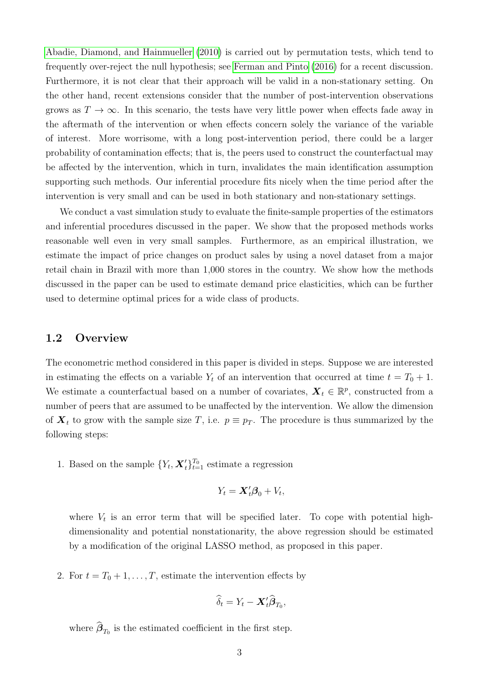[Abadie, Diamond, and Hainmueller](#page-50-1) [\(2010\)](#page-50-1) is carried out by permutation tests, which tend to frequently over-reject the null hypothesis; see [Ferman and Pinto](#page-50-4) [\(2016\)](#page-50-4) for a recent discussion. Furthermore, it is not clear that their approach will be valid in a non-stationary setting. On the other hand, recent extensions consider that the number of post-intervention observations grows as  $T \to \infty$ . In this scenario, the tests have very little power when effects fade away in the aftermath of the intervention or when effects concern solely the variance of the variable of interest. More worrisome, with a long post-intervention period, there could be a larger probability of contamination effects; that is, the peers used to construct the counterfactual may be affected by the intervention, which in turn, invalidates the main identification assumption supporting such methods. Our inferential procedure fits nicely when the time period after the intervention is very small and can be used in both stationary and non-stationary settings.

We conduct a vast simulation study to evaluate the finite-sample properties of the estimators and inferential procedures discussed in the paper. We show that the proposed methods works reasonable well even in very small samples. Furthermore, as an empirical illustration, we estimate the impact of price changes on product sales by using a novel dataset from a major retail chain in Brazil with more than 1,000 stores in the country. We show how the methods discussed in the paper can be used to estimate demand price elasticities, which can be further used to determine optimal prices for a wide class of products.

#### 1.2 Overview

The econometric method considered in this paper is divided in steps. Suppose we are interested in estimating the effects on a variable  $Y_t$  of an intervention that occurred at time  $t = T_0 + 1$ . We estimate a counterfactual based on a number of covariates,  $\boldsymbol{X}_t \in \mathbb{R}^p$ , constructed from a number of peers that are assumed to be unaffected by the intervention. We allow the dimension of  $\mathbf{X}_t$  to grow with the sample size T, i.e.  $p \equiv p_T$ . The procedure is thus summarized by the following steps:

1. Based on the sample  $\{Y_t, \mathbf{X}'_t\}_{t=1}^{T_0}$  estimate a regression

$$
Y_t = \mathbf{X}_t' \boldsymbol{\beta}_0 + V_t,
$$

where  $V_t$  is an error term that will be specified later. To cope with potential highdimensionality and potential nonstationarity, the above regression should be estimated by a modification of the original LASSO method, as proposed in this paper.

2. For  $t = T_0 + 1, \ldots, T$ , estimate the intervention effects by

$$
\widehat{\delta}_t = Y_t - \boldsymbol{X}_t' \widehat{\boldsymbol{\beta}}_{T_0},
$$

where  $\beta_{T_0}$  is the estimated coefficient in the first step.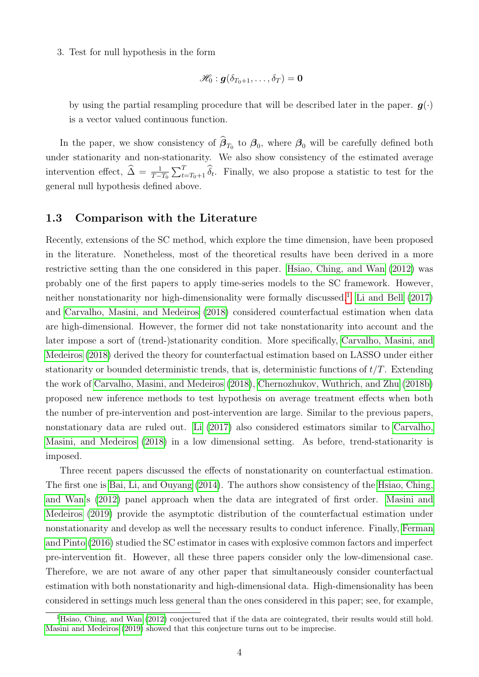3. Test for null hypothesis in the form

$$
\mathscr{H}_0: \bm{g}(\delta_{T_0+1},\ldots,\delta_T)=\bm{0}
$$

by using the partial resampling procedure that will be described later in the paper.  $g(\cdot)$ is a vector valued continuous function.

In the paper, we show consistency of  $\beta_{T_0}$  to  $\beta_0$ , where  $\beta_0$  will be carefully defined both under stationarity and non-stationarity. We also show consistency of the estimated average intervention effect,  $\hat{\Delta} = \frac{1}{T-T_0} \sum_{t=T_0+1}^T \hat{\delta}_t$ . Finally, we also propose a statistic to test for the general null hypothesis defined above.

#### 1.3 Comparison with the Literature

Recently, extensions of the SC method, which explore the time dimension, have been proposed in the literature. Nonetheless, most of the theoretical results have been derived in a more restrictive setting than the one considered in this paper. [Hsiao, Ching, and Wan](#page-50-5) [\(2012\)](#page-50-5) was probably one of the first papers to apply time-series models to the SC framework. However, neither nonstationarity nor high-dimensionality were formally discussed.<sup>[1](#page-3-0)</sup> [Li and Bell](#page-51-2) [\(2017\)](#page-51-2) and [Carvalho, Masini, and Medeiros](#page-50-6) [\(2018\)](#page-50-6) considered counterfactual estimation when data are high-dimensional. However, the former did not take nonstationarity into account and the later impose a sort of (trend-)stationarity condition. More specifically, [Carvalho, Masini, and](#page-50-6) [Medeiros](#page-50-6) [\(2018\)](#page-50-6) derived the theory for counterfactual estimation based on LASSO under either stationarity or bounded deterministic trends, that is, deterministic functions of  $t/T$ . Extending the work of [Carvalho, Masini, and Medeiros](#page-50-6) [\(2018\)](#page-50-6), [Chernozhukov, Wuthrich, and Zhu](#page-50-7) [\(2018b\)](#page-50-7) proposed new inference methods to test hypothesis on average treatment effects when both the number of pre-intervention and post-intervention are large. Similar to the previous papers, nonstationary data are ruled out. [Li](#page-51-3) [\(2017\)](#page-51-3) also considered estimators similar to [Carvalho,](#page-50-6) [Masini, and Medeiros](#page-50-6) [\(2018\)](#page-50-6) in a low dimensional setting. As before, trend-stationarity is imposed.

Three recent papers discussed the effects of nonstationarity on counterfactual estimation. The first one is [Bai, Li, and Ouyang](#page-50-8) [\(2014\)](#page-50-8). The authors show consistency of the [Hsiao, Ching,](#page-50-5) [and Wan'](#page-50-5)s [\(2012\)](#page-50-5) panel approach when the data are integrated of first order. [Masini and](#page-51-1) [Medeiros](#page-51-1) [\(2019\)](#page-51-1) provide the asymptotic distribution of the counterfactual estimation under nonstationarity and develop as well the necessary results to conduct inference. Finally, [Ferman](#page-50-4) [and Pinto](#page-50-4) [\(2016\)](#page-50-4) studied the SC estimator in cases with explosive common factors and imperfect pre-intervention fit. However, all these three papers consider only the low-dimensional case. Therefore, we are not aware of any other paper that simultaneously consider counterfactual estimation with both nonstationarity and high-dimensional data. High-dimensionality has been considered in settings much less general than the ones considered in this paper; see, for example,

<span id="page-3-0"></span><sup>&</sup>lt;sup>1</sup>[Hsiao, Ching, and Wan](#page-50-5) [\(2012\)](#page-50-5) conjectured that if the data are cointegrated, their results would still hold. [Masini and Medeiros](#page-51-1) [\(2019\)](#page-51-1) showed that this conjecture turns out to be imprecise.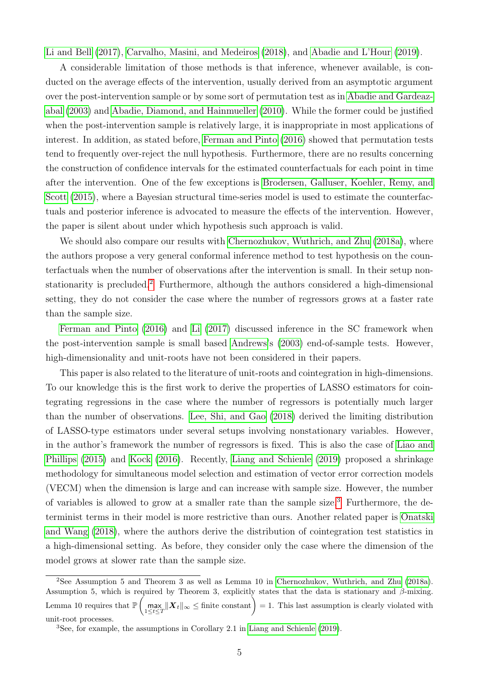[Li and Bell](#page-51-2) [\(2017\)](#page-51-2), [Carvalho, Masini, and Medeiros](#page-50-6) [\(2018\)](#page-50-6), and [Abadie and L'Hour](#page-50-9) [\(2019\)](#page-50-9).

A considerable limitation of those methods is that inference, whenever available, is conducted on the average effects of the intervention, usually derived from an asymptotic argument over the post-intervention sample or by some sort of permutation test as in [Abadie and Gardeaz](#page-50-0)[abal](#page-50-0) [\(2003\)](#page-50-0) and [Abadie, Diamond, and Hainmueller](#page-50-1) [\(2010\)](#page-50-1). While the former could be justified when the post-intervention sample is relatively large, it is inappropriate in most applications of interest. In addition, as stated before, [Ferman and Pinto](#page-50-4) [\(2016\)](#page-50-4) showed that permutation tests tend to frequently over-reject the null hypothesis. Furthermore, there are no results concerning the construction of confidence intervals for the estimated counterfactuals for each point in time after the intervention. One of the few exceptions is [Brodersen, Galluser, Koehler, Remy, and](#page-50-10) [Scott](#page-50-10) [\(2015\)](#page-50-10), where a Bayesian structural time-series model is used to estimate the counterfactuals and posterior inference is advocated to measure the effects of the intervention. However, the paper is silent about under which hypothesis such approach is valid.

We should also compare our results with [Chernozhukov, Wuthrich, and Zhu](#page-50-11) [\(2018a\)](#page-50-11), where the authors propose a very general conformal inference method to test hypothesis on the counterfactuals when the number of observations after the intervention is small. In their setup nonstationarity is precluded.[2](#page-4-0) Furthermore, although the authors considered a high-dimensional setting, they do not consider the case where the number of regressors grows at a faster rate than the sample size.

[Ferman and Pinto](#page-50-4) [\(2016\)](#page-50-4) and [Li](#page-51-3) [\(2017\)](#page-51-3) discussed inference in the SC framework when the post-intervention sample is small based [Andrews'](#page-50-12)s [\(2003\)](#page-50-12) end-of-sample tests. However, high-dimensionality and unit-roots have not been considered in their papers.

This paper is also related to the literature of unit-roots and cointegration in high-dimensions. To our knowledge this is the first work to derive the properties of LASSO estimators for cointegrating regressions in the case where the number of regressors is potentially much larger than the number of observations. [Lee, Shi, and Gao](#page-51-4) [\(2018\)](#page-51-4) derived the limiting distribution of LASSO-type estimators under several setups involving nonstationary variables. However, in the author's framework the number of regressors is fixed. This is also the case of [Liao and](#page-51-5) [Phillips](#page-51-5) [\(2015\)](#page-51-5) and [Kock](#page-51-6) [\(2016\)](#page-51-6). Recently, [Liang and Schienle](#page-51-7) [\(2019\)](#page-51-7) proposed a shrinkage methodology for simultaneous model selection and estimation of vector error correction models (VECM) when the dimension is large and can increase with sample size. However, the number of variables is allowed to grow at a smaller rate than the sample size.[3](#page-4-1) Furthermore, the determinist terms in their model is more restrictive than ours. Another related paper is [Onatski](#page-51-8) [and Wang](#page-51-8) [\(2018\)](#page-51-8), where the authors derive the distribution of cointegration test statistics in a high-dimensional setting. As before, they consider only the case where the dimension of the model grows at slower rate than the sample size.

<span id="page-4-0"></span><sup>2</sup>See Assumption 5 and Theorem 3 as well as Lemma 10 in [Chernozhukov, Wuthrich, and Zhu](#page-50-11) [\(2018a\)](#page-50-11). Assumption 5, which is required by Theorem 3, explicitly states that the data is stationary and  $\beta$ -mixing. Lemma 10 requires that  $\mathbb{P}\left(\max_{1 \leq t \leq T} \|\boldsymbol{X}_t\|_{\infty} \leq \text{finite constant}\right) = 1$ . This last assumption is clearly violated with unit-root processes.

<span id="page-4-1"></span><sup>3</sup>See, for example, the assumptions in Corollary 2.1 in [Liang and Schienle](#page-51-7) [\(2019\)](#page-51-7).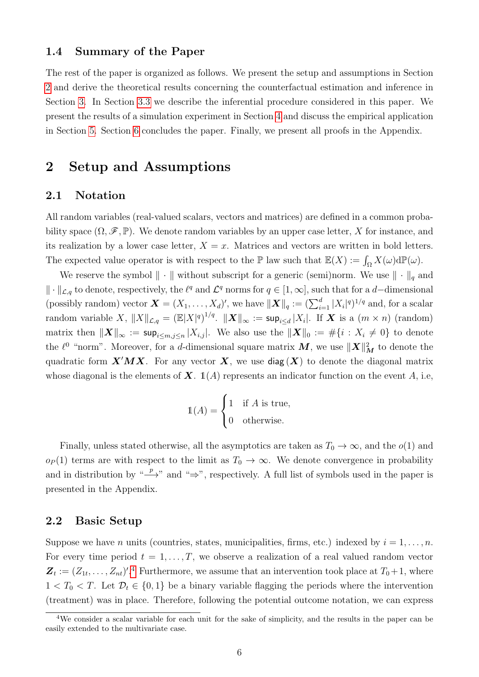## 1.4 Summary of the Paper

The rest of the paper is organized as follows. We present the setup and assumptions in Section [2](#page-5-0) and derive the theoretical results concerning the counterfactual estimation and inference in Section [3.](#page-15-0) In Section [3.3](#page-20-0) we describe the inferential procedure considered in this paper. We present the results of a simulation experiment in Section [4](#page-21-0) and discuss the empirical application in Section [5.](#page-23-0) Section [6](#page-26-0) concludes the paper. Finally, we present all proofs in the Appendix.

# <span id="page-5-0"></span>2 Setup and Assumptions

# 2.1 Notation

All random variables (real-valued scalars, vectors and matrices) are defined in a common probability space  $(\Omega, \mathscr{F}, \mathbb{P})$ . We denote random variables by an upper case letter, X for instance, and its realization by a lower case letter,  $X = x$ . Matrices and vectors are written in bold letters. The expected value operator is with respect to the  $\mathbb P$  law such that  $\mathbb E(X) := \int_{\Omega} X(\omega) d\mathbb P(\omega)$ .

We reserve the symbol  $\|\cdot\|$  without subscript for a generic (semi)norm. We use  $\|\cdot\|_q$  and  $\|\cdot\|_{\mathcal{L},q}$  to denote, respectively, the  $\ell^q$  and  $\mathcal{L}^q$  norms for  $q \in [1,\infty]$ , such that for a d–dimensional (possibly random) vector  $\mathbf{X} = (X_1, \ldots, X_d)'$ , we have  $\|\mathbf{X}\|_q := (\sum_{i=1}^d |X_i|^q)^{1/q}$  and, for a scalar random variable X,  $||X||_{\mathcal{L},q} = (\mathbb{E}|X|^q)^{1/q}$ .  $||\boldsymbol{X}||_{\infty} := \mathsf{sup}_{i \leq d} |X_i|$ . If  $\boldsymbol{X}$  is a  $(m \times n)$  (random) matrix then  $\|\boldsymbol{X}\|_{\infty} := \mathsf{sup}_{i \leq m, j \leq n} |X_{i,j}|.$  We also use the  $\|\boldsymbol{X}\|_0 := \#\{i : X_i \neq 0\}$  to denote the  $\ell^0$  "norm". Moreover, for a d-dimensional square matrix  $M$ , we use  $\|X\|_M^2$  to denote the quadratic form  $X'MX$ . For any vector X, we use  $\text{diag}(X)$  to denote the diagonal matrix whose diagonal is the elements of  $X$ .  $\mathbb{1}(A)$  represents an indicator function on the event A, i.e,

$$
\mathbb{1}(A) = \begin{cases} 1 & \text{if } A \text{ is true,} \\ 0 & \text{otherwise.} \end{cases}
$$

Finally, unless stated otherwise, all the asymptotics are taken as  $T_0 \to \infty$ , and the  $o(1)$  and  $o_P(1)$  terms are with respect to the limit as  $T_0 \to \infty$ . We denote convergence in probability and in distribution by " $\longrightarrow$ " and " $\Rightarrow$ ", respectively. A full list of symbols used in the paper is presented in the Appendix.

## 2.2 Basic Setup

Suppose we have n units (countries, states, municipalities, firms, etc.) indexed by  $i = 1, \ldots, n$ . For every time period  $t = 1, \ldots, T$ , we observe a realization of a real valued random vector  $\mathbf{Z}_t := (Z_{1t}, \ldots, Z_{nt})^{\prime}$ . Furthermore, we assume that an intervention took place at  $T_0 + 1$ , where  $1 < T_0 < T$ . Let  $\mathcal{D}_t \in \{0, 1\}$  be a binary variable flagging the periods where the intervention (treatment) was in place. Therefore, following the potential outcome notation, we can express

<span id="page-5-1"></span><sup>4</sup>We consider a scalar variable for each unit for the sake of simplicity, and the results in the paper can be easily extended to the multivariate case.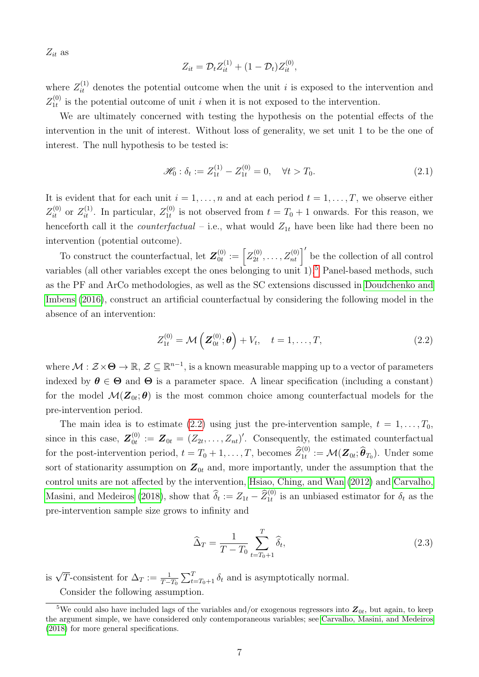$Z_{it}$  as

$$
Z_{it} = \mathcal{D}_t Z_{it}^{(1)} + (1 - \mathcal{D}_t) Z_{it}^{(0)},
$$

where  $Z_{it}^{(1)}$  denotes the potential outcome when the unit i is exposed to the intervention and  $Z_{1t}^{\left( 0\right) }$  $\mathbf{I}_{1t}^{(0)}$  is the potential outcome of unit i when it is not exposed to the intervention.

We are ultimately concerned with testing the hypothesis on the potential effects of the intervention in the unit of interest. Without loss of generality, we set unit 1 to be the one of interest. The null hypothesis to be tested is:

<span id="page-6-2"></span>
$$
\mathcal{H}_0: \delta_t := Z_{1t}^{(1)} - Z_{1t}^{(0)} = 0, \quad \forall t > T_0.
$$
\n(2.1)

It is evident that for each unit  $i = 1, \ldots, n$  and at each period  $t = 1, \ldots, T$ , we observe either  $Z_{it}^{(0)}$  or  $Z_{it}^{(1)}$ . In particular,  $Z_{1t}^{(0)}$  $t_1^{(0)}$  is not observed from  $t = T_0 + 1$  onwards. For this reason, we henceforth call it the *counterfactual* – i.e., what would  $Z_{1t}$  have been like had there been no intervention (potential outcome).

To construct the counterfactual, let  $\mathbf{Z}_{0t}^{(0)}$  $\stackrel{(0)}{0t}:=\Bigl[ Z^{(0)}_{2t}$  $Z_{2t}^{(0)}, \ldots, Z_{nt}^{(0)}$  be the collection of all control variables (all other variables except the ones belonging to unit  $1$ ).<sup>[5](#page-6-0)</sup> Panel-based methods, such as the PF and ArCo methodologies, as well as the SC extensions discussed in [Doudchenko and](#page-50-2) [Imbens](#page-50-2) [\(2016\)](#page-50-2), construct an artificial counterfactual by considering the following model in the absence of an intervention:

<span id="page-6-1"></span>
$$
Z_{1t}^{(0)} = \mathcal{M}\left(\mathbf{Z}_{0t}^{(0)}; \boldsymbol{\theta}\right) + V_t, \quad t = 1, \dots, T,
$$
\n
$$
(2.2)
$$

where  $\mathcal{M}: \mathcal{Z} \times \Theta \to \mathbb{R}, \mathcal{Z} \subseteq \mathbb{R}^{n-1}$ , is a known measurable mapping up to a vector of parameters indexed by  $\theta \in \Theta$  and  $\Theta$  is a parameter space. A linear specification (including a constant) for the model  $\mathcal{M}(\mathbf{Z}_{0t};\boldsymbol{\theta})$  is the most common choice among counterfactual models for the pre-intervention period.

The main idea is to estimate [\(2.2\)](#page-6-1) using just the pre-intervention sample,  $t = 1, \ldots, T_0$ , since in this case,  $\boldsymbol{Z}_{0t}^{(0)}$  $S_{0t}^{(0)} := \mathbf{Z}_{0t} = (Z_{2t}, \ldots, Z_{nt})'$ . Consequently, the estimated counterfactual for the post-intervention period,  $t = T_0 + 1, \ldots, T$ , becomes  $\widehat{Z}_{1t}^{(0)} := \mathcal{M}(\mathbf{Z}_{0t}; \widehat{\boldsymbol{\theta}}_{T_0})$ . Under some sort of stationarity assumption on  $\mathbf{Z}_{0t}$  and, more importantly, under the assumption that the control units are not affected by the intervention, [Hsiao, Ching, and Wan](#page-50-5) [\(2012\)](#page-50-5) and [Carvalho,](#page-50-6) [Masini, and Medeiros](#page-50-6) [\(2018\)](#page-50-6), show that  $\hat{\delta}_t := Z_{1t} - \hat{Z}_{1t}^{(0)}$  is an unbiased estimator for  $\delta_t$  as the pre-intervention sample size grows to infinity and

$$
\widehat{\Delta}_T = \frac{1}{T - T_0} \sum_{t = T_0 + 1}^T \widehat{\delta}_t,\tag{2.3}
$$

is  $\sqrt{T}$ -consistent for  $\Delta_T := \frac{1}{T-T_0} \sum_{t=T_0+1}^T \delta_t$  and is asymptotically normal. Consider the following assumption.

<span id="page-6-0"></span><sup>&</sup>lt;sup>5</sup>We could also have included lags of the variables and/or exogenous regressors into  $Z_{0t}$ , but again, to keep the argument simple, we have considered only contemporaneous variables; see [Carvalho, Masini, and Medeiros](#page-50-6) [\(2018\)](#page-50-6) for more general specifications.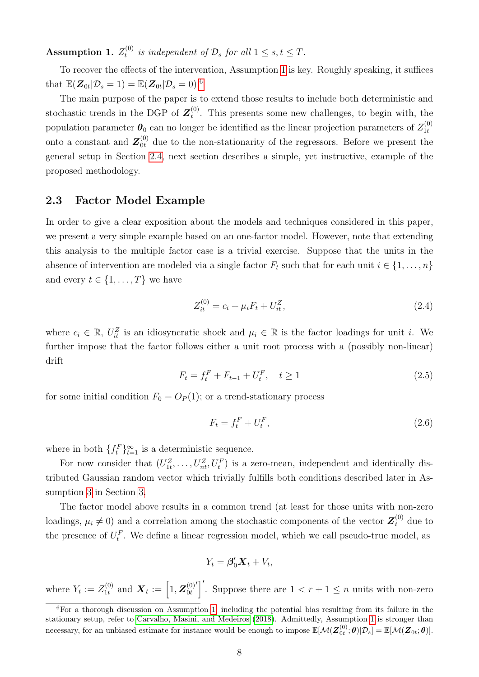<span id="page-7-0"></span> $\hspace{0.1em}\textbf{Assumption 1.} \hspace{0.1em} Z_{t}^{(0)}$  $t_t^{(0)}$  is independent of  $\mathcal{D}_s$  for all  $1 \leq s, t \leq T$ .

To recover the effects of the intervention, Assumption [1](#page-7-0) is key. Roughly speaking, it suffices that  $\mathbb{E}(\boldsymbol{Z}_{0t}|\mathcal{D}_s=1)=\mathbb{E}(\boldsymbol{Z}_{0t}|\mathcal{D}_s=0)^{6}$  $\mathbb{E}(\boldsymbol{Z}_{0t}|\mathcal{D}_s=1)=\mathbb{E}(\boldsymbol{Z}_{0t}|\mathcal{D}_s=0)^{6}$  $\mathbb{E}(\boldsymbol{Z}_{0t}|\mathcal{D}_s=1)=\mathbb{E}(\boldsymbol{Z}_{0t}|\mathcal{D}_s=0)^{6}$ 

The main purpose of the paper is to extend those results to include both deterministic and stochastic trends in the DGP of  $\mathbf{Z}_{t}^{(0)}$  $t^{(0)}$ . This presents some new challenges, to begin with, the population parameter  $\theta_0$  can no longer be identified as the linear projection parameters of  $Z_{1t}^{(0)}$ 1t onto a constant and  $\mathbf{Z}_{0t}^{(0)}$  due to the non-stationarity of the regressors. Before we present the general setup in Section [2.4,](#page-10-0) next section describes a simple, yet instructive, example of the proposed methodology.

## <span id="page-7-5"></span>2.3 Factor Model Example

In order to give a clear exposition about the models and techniques considered in this paper, we present a very simple example based on an one-factor model. However, note that extending this analysis to the multiple factor case is a trivial exercise. Suppose that the units in the absence of intervention are modeled via a single factor  $F_t$  such that for each unit  $i \in \{1, \ldots, n\}$ and every  $t \in \{1, \ldots, T\}$  we have

<span id="page-7-2"></span>
$$
Z_{it}^{(0)} = c_i + \mu_i F_t + U_{it}^Z,\tag{2.4}
$$

where  $c_i \in \mathbb{R}$ ,  $U_{it}^Z$  is an idiosyncratic shock and  $\mu_i \in \mathbb{R}$  is the factor loadings for unit *i*. We further impose that the factor follows either a unit root process with a (possibly non-linear) drift

<span id="page-7-3"></span>
$$
F_t = f_t^F + F_{t-1} + U_t^F, \quad t \ge 1
$$
\n(2.5)

for some initial condition  $F_0 = O_P(1)$ ; or a trend-stationary process

<span id="page-7-4"></span>
$$
F_t = f_t^F + U_t^F,\tag{2.6}
$$

where in both  $\{f_t^F\}_{t=1}^{\infty}$  is a deterministic sequence.

For now consider that  $(U_{1t}^Z, \ldots, U_{nt}^Z, U_t^F)$  is a zero-mean, independent and identically distributed Gaussian random vector which trivially fulfills both conditions described later in Assumption [3](#page-10-1) in Section [3.](#page-15-0)

The factor model above results in a common trend (at least for those units with non-zero loadings,  $\mu_i \neq 0$ ) and a correlation among the stochastic components of the vector  $\mathbf{Z}_t^{(0)}$  due to the presence of  $U_t^F$ . We define a linear regression model, which we call pseudo-true model, as

$$
Y_t = \beta'_0 \mathbf{X}_t + V_t,
$$

where  $Y_t := Z_{1t}^{(0)}$  $\mathbf{X}_t := \left[1, \boldsymbol{Z}_{0t}^{(0)}\right]$  $0<sub>t</sub>$  $\int_{0}^{\infty}$ . Suppose there are  $1 < r + 1 \leq n$  units with non-zero

<span id="page-7-1"></span><sup>&</sup>lt;sup>6</sup>For a thorough discussion on Assumption [1,](#page-7-0) including the potential bias resulting from its failure in the stationary setup, refer to [Carvalho, Masini, and Medeiros](#page-50-6) [\(2018\)](#page-50-6). Admittedly, Assumption [1](#page-7-0) is stronger than necessary, for an unbiased estimate for instance would be enough to impose  $\mathbb{E}[\mathcal{M}(\boldsymbol{Z}_{0t}^{(0)};\boldsymbol{\theta})|\mathcal{D}_s] = \mathbb{E}[\mathcal{M}(\boldsymbol{Z}_{0t};\boldsymbol{\theta})]$ .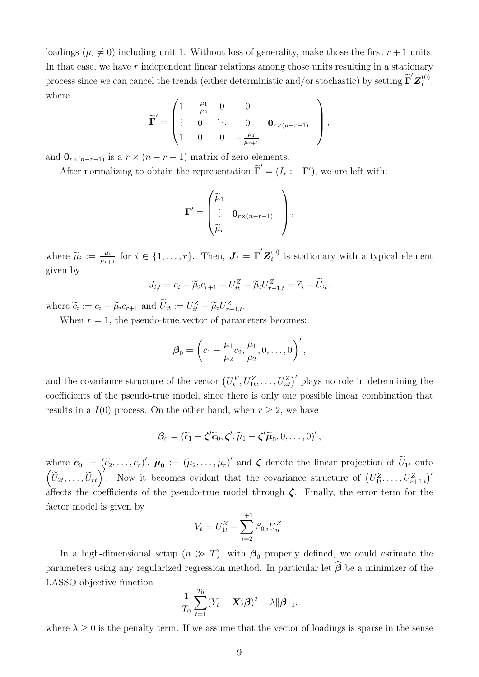loadings ( $\mu_i \neq 0$ ) including unit 1. Without loss of generality, make those the first  $r + 1$  units. In that case, we have  $r$  independent linear relations among those units resulting in a stationary process since we can cancel the trends (either deterministic and/or stochastic) by setting  $\widetilde{\Gamma}'\mathbf{Z}_t^{(0)}$  $\mathbf{t}^{(0)}$ where

$$
\widetilde{\Gamma}' = \begin{pmatrix} 1 & -\frac{\mu_1}{\mu_2} & 0 & 0 \\ \vdots & 0 & \ddots & 0 & \mathbf{0}_{r \times (n-r-1)} \\ 1 & 0 & 0 & -\frac{\mu_1}{\mu_{r+1}} \end{pmatrix},
$$

and  $\mathbf{0}_{r \times (n-r-1)}$  is a  $r \times (n-r-1)$  matrix of zero elements.

After normalizing to obtain the representation  $\tilde{\Gamma}' = (I_r : -\Gamma')$ , we are left with:

$$
\mathbf{\Gamma}' = \begin{pmatrix} \widetilde{\mu}_1 & & \\ \vdots & \mathbf{0}_{r \times (n-r-1)} \\ \widetilde{\mu}_r & \end{pmatrix},
$$

where  $\widetilde{\mu}_i := \frac{\mu_i}{\mu_{r+1}}$  $\frac{\mu_i}{\mu_{r+1}}$  for  $i \in \{1, \ldots, r\}$ . Then,  $\boldsymbol{J}_t = \widetilde{\boldsymbol{\Gamma}}' \boldsymbol{Z}_t^{(0)}$  $t_t^{(0)}$  is stationary with a typical element given by

$$
J_{i,t} = c_i - \widetilde{\mu}_i c_{r+1} + U_{it}^Z - \widetilde{\mu}_i U_{r+1,t}^Z = \widetilde{c}_i + \widetilde{U}_{it},
$$

where  $\widetilde{c}_i := c_i - \widetilde{\mu}_i c_{r+1}$  and  $\widetilde{U}_{it} := U_{it}^Z - \widetilde{\mu}_i U_{r+1,t}^Z$ .

When  $r = 1$ , the pseudo-true vector of parameters becomes:

$$
\boldsymbol{\beta}_0 = \left(c_1 - \frac{\mu_1}{\mu_2} c_2, \frac{\mu_1}{\mu_2}, 0, \dots, 0\right)',
$$

and the covariance structure of the vector  $(U_t^F, U_{1t}^Z, \ldots, U_{nt}^Z)'$  plays no role in determining the coefficients of the pseudo-true model, since there is only one possible linear combination that results in a  $I(0)$  process. On the other hand, when  $r \geq 2$ , we have

$$
\boldsymbol{\beta}_0 = (\widetilde{c}_1 - \boldsymbol{\zeta}' \widetilde{\boldsymbol{c}}_0, \boldsymbol{\zeta}', \widetilde{\mu}_1 - \boldsymbol{\zeta}' \widetilde{\boldsymbol{\mu}}_0, 0, \ldots, 0)',
$$

where  $\widetilde{\mathbf{c}}_0 := (\widetilde{c}_2, \ldots, \widetilde{c}_r)', \ \widetilde{\boldsymbol{\mu}}_0 := (\widetilde{\mu}_2, \ldots, \widetilde{\mu}_r)'$  and  $\boldsymbol{\zeta}$  denote the linear projection of  $\widetilde{U}_{1t}$  onto  $(\tilde{U}_{2t},\ldots,\tilde{U}_{rt})'$ . Now it becomes evident that the covariance structure of  $(U_{1t}^Z,\ldots,U_{r+1,t}^Z)'$ affects the coefficients of the pseudo-true model through  $\zeta$ . Finally, the error term for the factor model is given by

$$
V_t = U_{1t}^Z - \sum_{i=2}^{r+1} \beta_{0,i} U_{it}^Z.
$$

In a high-dimensional setup  $(n \gg T)$ , with  $\beta_0$  properly defined, we could estimate the parameters using any regularized regression method. In particular let  $\widehat{\boldsymbol{\beta}}$  be a minimizer of the LASSO objective function

$$
\frac{1}{T_0}\sum_{t=1}^{T_0} (Y_t - \boldsymbol{X}_t'\boldsymbol{\beta})^2 + \lambda \|\boldsymbol{\beta}\|_1,
$$

where  $\lambda \geq 0$  is the penalty term. If we assume that the vector of loadings is sparse in the sense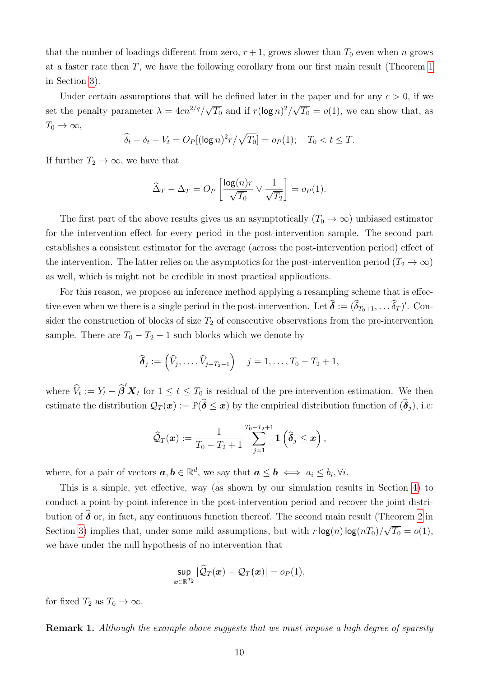that the number of loadings different from zero,  $r + 1$ , grows slower than  $T_0$  even when n grows at a faster rate then T, we have the following corollary from our first main result (Theorem [1](#page-18-0) in Section [3\)](#page-15-0).

Under certain assumptions that will be defined later in the paper and for any  $c > 0$ , if we set the penalty parameter  $\lambda = 4cn^{2/q}/$ √  $\overline{T_0}$  and if  $r(\log n)^2/$ √  $\overline{T_0} = o(1)$ , we can show that, as  $T_0 \to \infty$ ,

$$
\widehat{\delta}_t - \delta_t - V_t = O_P[(\log n)^2 r / \sqrt{T_0}] = o_P(1); \quad T_0 < t \leq T.
$$

If further  $T_2 \to \infty$ , we have that

$$
\widehat{\Delta}_T - \Delta_T = O_P \left[ \frac{\log(n) r}{\sqrt{T_0}} \vee \frac{1}{\sqrt{T_2}} \right] = o_P(1).
$$

The first part of the above results gives us an asymptotically  $(T_0 \to \infty)$  unbiased estimator for the intervention effect for every period in the post-intervention sample. The second part establishes a consistent estimator for the average (across the post-intervention period) effect of the intervention. The latter relies on the asymptotics for the post-intervention period  $(T_2 \to \infty)$ as well, which is might not be credible in most practical applications.

For this reason, we propose an inference method applying a resampling scheme that is effective even when we there is a single period in the post-intervention. Let  $\hat{\boldsymbol{\delta}} := (\delta_{T_0+1}, \dots, \delta_T)'$ . Consider the construction of blocks of size  $T_2$  of consecutive observations from the pre-intervention sample. There are  $T_0 - T_2 - 1$  such blocks which we denote by

$$
\widehat{\boldsymbol{\delta}}_j := (\widehat{V}_j,\ldots,\widehat{V}_{j+T_2-1}) \quad j=1,\ldots,T_0-T_2+1,
$$

where  $\hat{V}_t := Y_t - \hat{\boldsymbol{\beta}}' \boldsymbol{X}_t$  for  $1 \le t \le T_0$  is residual of the pre-intervention estimation. We then estimate the distribution  $\mathcal{Q}_T(\boldsymbol{x}) := \mathbb{P}(\widehat{\boldsymbol{\delta}} \leq \boldsymbol{x})$  by the empirical distribution function of  $(\widehat{\boldsymbol{\delta}}_j)$ , i.e:

$$
\widehat{Q}_T(\boldsymbol{x}) := \frac{1}{T_0 - T_2 + 1} \sum_{j=1}^{T_0 - T_2 + 1} \mathbb{1} \left( \widehat{\boldsymbol{\delta}}_j \leq \boldsymbol{x} \right),
$$

where, for a pair of vectors  $a, b \in \mathbb{R}^d$ , we say that  $a \leq b \iff a_i \leq b_i, \forall i$ .

This is a simple, yet effective, way (as shown by our simulation results in Section [4\)](#page-21-0) to conduct a point-by-point inference in the post-intervention period and recover the joint distribution of  $\hat{\delta}$  or, in fact, any continuous function thereof. The second main result (Theorem [2](#page-20-1) in Section [3\)](#page-15-0) implies that, under some mild assumptions, but with  $r \log(n) \log(nT_0) /$ √  $\overline{T_0} = o(1),$ we have under the null hypothesis of no intervention that

$$
\sup_{\bm{x}\in\mathbb{R}^{T_2}}|\widehat{\mathcal{Q}}_T(\bm{x})-\mathcal{Q}_T(\bm{x})|=o_P(1),
$$

for fixed  $T_2$  as  $T_0 \to \infty$ .

Remark 1. Although the example above suggests that we must impose a high degree of sparsity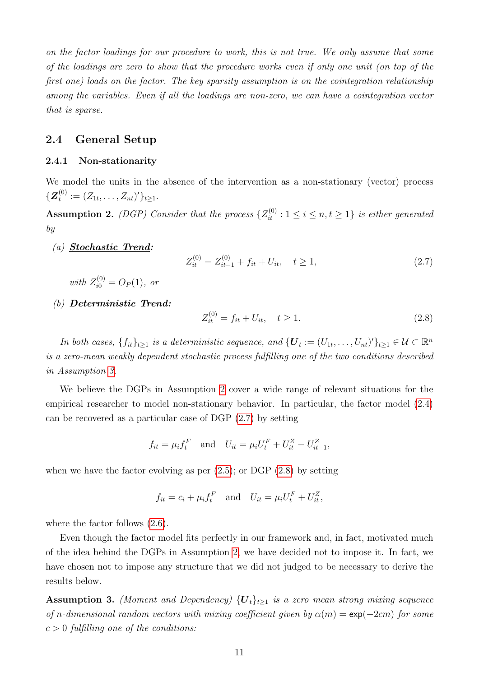on the factor loadings for our procedure to work, this is not true. We only assume that some of the loadings are zero to show that the procedure works even if only one unit (on top of the first one) loads on the factor. The key sparsity assumption is on the cointegration relationship among the variables. Even if all the loadings are non-zero, we can have a cointegration vector that is sparse.

# <span id="page-10-0"></span>2.4 General Setup

#### 2.4.1 Non-stationarity

We model the units in the absence of the intervention as a non-stationary (vector) process  $\{\boldsymbol{Z}_t^{(0)}$  $t^{(0)}_t := (Z_{1t}, \ldots, Z_{nt})' \}_{t \geq 1}.$ 

<span id="page-10-2"></span>**Assumption 2.** (DGP) Consider that the process  $\{Z_{it}^{(0)} : 1 \le i \le n, t \ge 1\}$  is either generated by

(a) Stochastic Trend:

<span id="page-10-3"></span>
$$
Z_{it}^{(0)} = Z_{it-1}^{(0)} + f_{it} + U_{it}, \quad t \ge 1,
$$
\n(2.7)

with  $Z_{i0}^{(0)} = O_P(1)$ , or

(b) Deterministic Trend:

<span id="page-10-4"></span>
$$
Z_{it}^{(0)} = f_{it} + U_{it}, \quad t \ge 1.
$$
\n(2.8)

In both cases,  $\{f_{it}\}_{t\geq 1}$  is a deterministic sequence, and  $\{U_t:=(U_{1t},\ldots,U_{nt})'\}_{t\geq 1}\in\mathcal{U}\subset\mathbb{R}^n$ is a zero-mean weakly dependent stochastic process fulfilling one of the two conditions described in Assumption [3.](#page-10-1)

We believe the DGPs in Assumption [2](#page-10-2) cover a wide range of relevant situations for the empirical researcher to model non-stationary behavior. In particular, the factor model [\(2.4\)](#page-7-2) can be recovered as a particular case of DGP [\(2.7\)](#page-10-3) by setting

$$
f_{it} = \mu_i f_t^F
$$
 and  $U_{it} = \mu_i U_t^F + U_{it}^Z - U_{it-1}^Z$ ,

when we have the factor evolving as per  $(2.5)$ ; or DGP  $(2.8)$  by setting

$$
f_{it} = c_i + \mu_i f_t^F \quad \text{and} \quad U_{it} = \mu_i U_t^F + U_{it}^Z,
$$

where the factor follows [\(2.6\)](#page-7-4).

Even though the factor model fits perfectly in our framework and, in fact, motivated much of the idea behind the DGPs in Assumption [2,](#page-10-2) we have decided not to impose it. In fact, we have chosen not to impose any structure that we did not judged to be necessary to derive the results below.

<span id="page-10-1"></span>**Assumption 3.** (Moment and Dependency)  ${U_t}_{t\geq 1}$  is a zero mean strong mixing sequence of n-dimensional random vectors with mixing coefficient given by  $\alpha(m) = \exp(-2cm)$  for some  $c > 0$  fulfilling one of the conditions: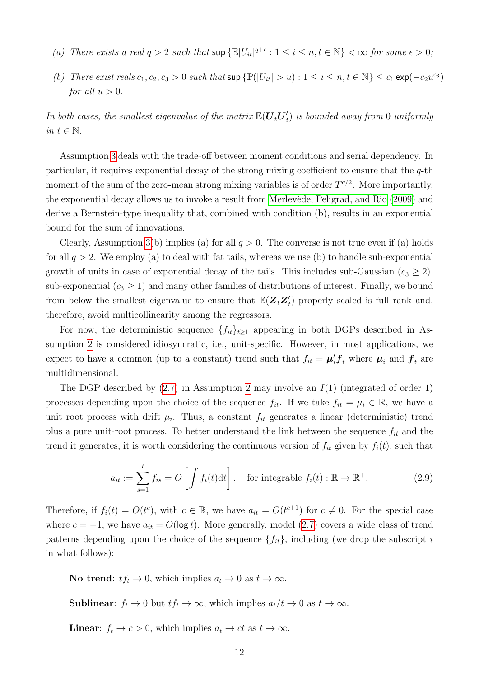- (a) There exists a real  $q > 2$  such that  $\sup \{ \mathbb{E} |U_{it}|^{q+\epsilon} : 1 \le i \le n, t \in \mathbb{N} \} < \infty$  for some  $\epsilon > 0$ ;
- (b) There exist reals  $c_1, c_2, c_3 > 0$  such that  $\sup \{ \mathbb{P}(|U_{it}| > u) : 1 \le i \le n, t \in \mathbb{N} \} \le c_1 \exp(-c_2 u^{c_3})$ for all  $u > 0$ .

In both cases, the smallest eigenvalue of the matrix  $\mathbb{E}(\boldsymbol{U}_t \boldsymbol{U}_t')$  $t_{t}^{\prime})$  is bounded away from 0 uniformly in  $t \in \mathbb{N}$ .

Assumption [3](#page-10-1) deals with the trade-off between moment conditions and serial dependency. In particular, it requires exponential decay of the strong mixing coefficient to ensure that the  $q$ -th moment of the sum of the zero-mean strong mixing variables is of order  $T^{q/2}$ . More importantly, the exponential decay allows us to invoke a result from Merlevède, Peligrad, and Rio [\(2009\)](#page-51-9) and derive a Bernstein-type inequality that, combined with condition (b), results in an exponential bound for the sum of innovations.

Clearly, Assumption [3\(](#page-10-1)b) implies (a) for all  $q > 0$ . The converse is not true even if (a) holds for all  $q > 2$ . We employ (a) to deal with fat tails, whereas we use (b) to handle sub-exponential growth of units in case of exponential decay of the tails. This includes sub-Gaussian  $(c_3 \geq 2)$ , sub-exponential  $(c_3 \geq 1)$  and many other families of distributions of interest. Finally, we bound from below the smallest eigenvalue to ensure that  $\mathbb{E}(\mathbf{Z}_{t} \mathbf{Z}_{t}^{\prime})$  $t$ ) properly scaled is full rank and, therefore, avoid multicollinearity among the regressors.

For now, the deterministic sequence  ${f_{it}}_{t\geq 1}$  appearing in both DGPs described in Assumption [2](#page-10-2) is considered idiosyncratic, i.e., unit-specific. However, in most applications, we expect to have a common (up to a constant) trend such that  $f_{it} = \mu_i' f_t$  where  $\mu_i$  and  $f_t$  are multidimensional.

The DGP described by  $(2.7)$  in Assumption [2](#page-10-2) may involve an  $I(1)$  (integrated of order 1) processes depending upon the choice of the sequence  $f_{it}$ . If we take  $f_{it} = \mu_i \in \mathbb{R}$ , we have a unit root process with drift  $\mu_i$ . Thus, a constant  $f_{it}$  generates a linear (deterministic) trend plus a pure unit-root process. To better understand the link between the sequence  $f_{it}$  and the trend it generates, it is worth considering the continuous version of  $f_{it}$  given by  $f_i(t)$ , such that

$$
a_{it} := \sum_{s=1}^{t} f_{is} = O\left[\int f_i(t)dt\right], \quad \text{for integrable } f_i(t) : \mathbb{R} \to \mathbb{R}^+.
$$
 (2.9)

Therefore, if  $f_i(t) = O(t^c)$ , with  $c \in \mathbb{R}$ , we have  $a_{it} = O(t^{c+1})$  for  $c \neq 0$ . For the special case where  $c = -1$ , we have  $a_{it} = O(\log t)$ . More generally, model [\(2.7\)](#page-10-3) covers a wide class of trend patterns depending upon the choice of the sequence  $\{f_{it}\}\$ , including (we drop the subscript i in what follows):

No trend:  $tf_t \to 0$ , which implies  $a_t \to 0$  as  $t \to \infty$ .

**Sublinear:**  $f_t \to 0$  but  $tf_t \to \infty$ , which implies  $a_t/t \to 0$  as  $t \to \infty$ .

**Linear**:  $f_t \to c > 0$ , which implies  $a_t \to ct$  as  $t \to \infty$ .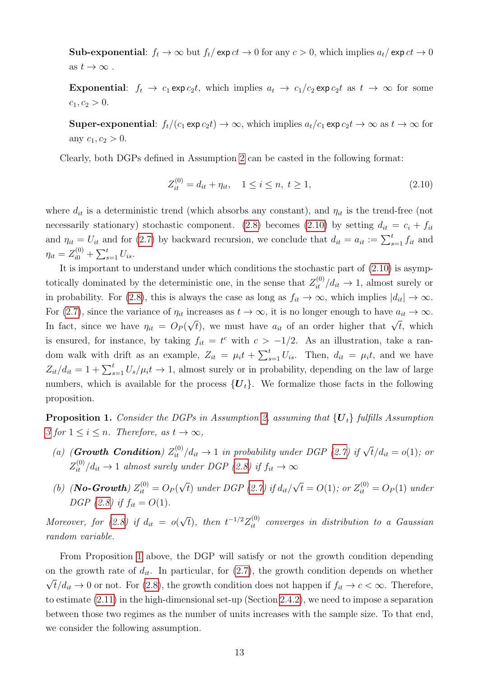**Sub-exponential:**  $f_t \to \infty$  but  $f_t/\exp ct \to 0$  for any  $c > 0$ , which implies  $a_t/\exp ct \to 0$ as  $t \to \infty$ .

Exponential:  $f_t \to c_1 \exp c_2 t$ , which implies  $a_t \to c_1/c_2 \exp c_2 t$  as  $t \to \infty$  for some  $c_1, c_2 > 0.$ 

**Super-exponential:**  $f_t/(c_1 \exp c_2 t) \to \infty$ , which implies  $a_t/c_1 \exp c_2 t \to \infty$  as  $t \to \infty$  for any  $c_1, c_2 > 0$ .

Clearly, both DGPs defined in Assumption [2](#page-10-2) can be casted in the following format:

<span id="page-12-0"></span>
$$
Z_{it}^{(0)} = d_{it} + \eta_{it}, \quad 1 \le i \le n, \ t \ge 1,\tag{2.10}
$$

where  $d_{it}$  is a deterministic trend (which absorbs any constant), and  $\eta_{it}$  is the trend-free (not necessarily stationary) stochastic component. [\(2.8\)](#page-10-4) becomes [\(2.10\)](#page-12-0) by setting  $d_{it} = c_i + f_{it}$ and  $\eta_{it} = U_{it}$  and for [\(2.7\)](#page-10-3) by backward recursion, we conclude that  $d_{it} = a_{it} := \sum_{s=1}^{t} f_{it}$  and  $\eta_{it} = Z_{i0}^{(0)} + \sum_{s=1}^{t} U_{is}.$ 

It is important to understand under which conditions the stochastic part of  $(2.10)$  is asymptotically dominated by the deterministic one, in the sense that  $Z_{it}^{(0)}/d_{it} \to 1$ , almost surely or in probability. For [\(2.8\)](#page-10-4), this is always the case as long as  $f_{it} \to \infty$ , which implies  $|d_{it}| \to \infty$ . For [\(2.7\)](#page-10-3), since the variance of  $\eta_{it}$  increases as  $t \to \infty$ , it is no longer enough to have  $a_{it} \to \infty$ . In fact, since we have  $\eta_{it} = O_P(q)$  $\sqrt{t}$ ), we must have  $a_{it}$  of an order higher that  $\sqrt{t}$ , which is ensured, for instance, by taking  $f_{it} = t^c$  with  $c > -1/2$ . As an illustration, take a random walk with drift as an example,  $Z_{it} = \mu_i t + \sum_{s=1}^t U_{is}$ . Then,  $d_{it} = \mu_i t$ , and we have  $Z_{it}/d_{it} = 1 + \sum_{s=1}^{t} U_s/\mu_i t \rightarrow 1$ , almost surely or in probability, depending on the law of large numbers, which is available for the process  $\{U_t\}$ . We formalize those facts in the following proposition.

<span id="page-12-1"></span>**Proposition 1.** Consider the DGPs in Assumption [2,](#page-10-2) assuming that  ${U<sub>t</sub>}$  fulfills Assumption [3](#page-10-1) for  $1 \leq i \leq n$ . Therefore, as  $t \to \infty$ ,

- (a) (**Growth Condition**)  $Z_{it}^{(0)}/d_{it} \to 1$  in probability under DGP [\(2.7\)](#page-10-3) if  $\sqrt{t}/d_{it} = o(1)$ ; or  $Z_{it}^{(0)}/d_{it} \rightarrow 1$  almost surely under DGP [\(2.8\)](#page-10-4) if  $f_{it} \rightarrow \infty$
- (b) (**No-Growth**)  $Z_{it}^{(0)} = O_P(q)$ √ t) under DGP  $(2.7)$  if  $d_{it}$ / √  $\overline{t} = O(1)$ ; or  $Z_{it}^{(0)} = O_P(1)$  under DGP [\(2.8\)](#page-10-4) if  $f_{it} = O(1)$ .

Moreover, for  $(2.8)$  if  $d_{it} = o($ √  $\bar{t}$ ), then  $t^{-1/2}Z_{it}^{(0)}$  converges in distribution to a Gaussian random variable.

From Proposition [1](#page-12-1) above, the DGP will satisfy or not the growth condition depending on the growth rate of  $d_{it}$ . In particular, for [\(2.7\)](#page-10-3), the growth condition depends on whether  $\sqrt{t}/d_{it} \rightarrow 0$  or not. For [\(2.8\)](#page-10-4), the growth condition does not happen if  $f_{it} \rightarrow c < \infty$ . Therefore, to estimate [\(2.11\)](#page-13-0) in the high-dimensional set-up (Section [2.4.2\)](#page-13-1), we need to impose a separation between those two regimes as the number of units increases with the sample size. To that end, we consider the following assumption.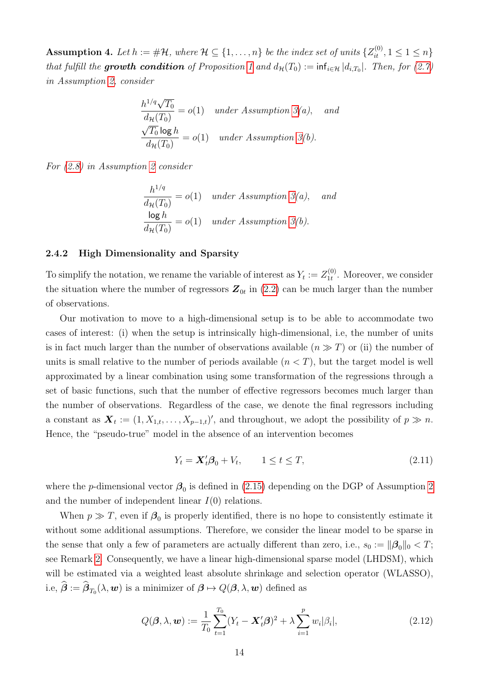<span id="page-13-3"></span>**Assumption 4.** Let  $h := \# \mathcal{H}$ , where  $\mathcal{H} \subseteq \{1, \ldots, n\}$  be the index set of units  $\{Z_{it}^{(0)}, 1 \leq 1 \leq n\}$ that fulfill the **growth condition** of Proposition [1](#page-12-1) and  $d_{\mathcal{H}}(T_0) := \inf_{i \in \mathcal{H}} |d_{i,T_0}|$ . Then, for [\(2.7\)](#page-10-3) in Assumption [2,](#page-10-2) consider

$$
\frac{h^{1/q}\sqrt{T_0}}{d_{\mathcal{H}}(T_0)} = o(1) \quad under Assumption 3(a), \quad and
$$
  

$$
\frac{\sqrt{T_0} \log h}{d_{\mathcal{H}}(T_0)} = o(1) \quad under Assumption 3(b).
$$

For [\(2.8\)](#page-10-4) in Assumption [2](#page-10-2) consider

$$
\frac{h^{1/q}}{d_{\mathcal{H}}(T_0)} = o(1) \quad under Assumption 3(a), \quad and
$$
  

$$
\frac{\log h}{d_{\mathcal{H}}(T_0)} = o(1) \quad under Assumption 3(b).
$$

#### <span id="page-13-1"></span>2.4.2 High Dimensionality and Sparsity

To simplify the notation, we rename the variable of interest as  $Y_t := Z_{1t}^{(0)}$  $\mathcal{L}_{1t}^{(0)}$ . Moreover, we consider the situation where the number of regressors  $\mathbf{Z}_{0t}$  in  $(2.2)$  can be much larger than the number of observations.

Our motivation to move to a high-dimensional setup is to be able to accommodate two cases of interest: (i) when the setup is intrinsically high-dimensional, i.e, the number of units is in fact much larger than the number of observations available  $(n \gg T)$  or (ii) the number of units is small relative to the number of periods available  $(n < T)$ , but the target model is well approximated by a linear combination using some transformation of the regressions through a set of basic functions, such that the number of effective regressors becomes much larger than the number of observations. Regardless of the case, we denote the final regressors including a constant as  $\mathbf{X}_t := (1, X_{1,t}, \ldots, X_{p-1,t})'$ , and throughout, we adopt the possibility of  $p \gg n$ . Hence, the "pseudo-true" model in the absence of an intervention becomes

<span id="page-13-0"></span>
$$
Y_t = \mathbf{X}_t' \boldsymbol{\beta}_0 + V_t, \qquad 1 \le t \le T,\tag{2.11}
$$

where the *p*-dimensional vector  $\beta_0$  is defined in [\(2.15\)](#page-15-1) depending on the DGP of Assumption [2](#page-10-2) and the number of independent linear  $I(0)$  relations.

When  $p \gg T$ , even if  $\beta_0$  is properly identified, there is no hope to consistently estimate it without some additional assumptions. Therefore, we consider the linear model to be sparse in the sense that only a few of parameters are actually different than zero, i.e.,  $s_0 := ||\beta_0||_0 < T$ ; see Remark [2.](#page-14-0) Consequently, we have a linear high-dimensional sparse model (LHDSM), which will be estimated via a weighted least absolute shrinkage and selection operator (WLASSO), i.e,  $\boldsymbol{\beta} := \boldsymbol{\beta}_{T_0}(\lambda, \boldsymbol{w})$  is a minimizer of  $\boldsymbol{\beta} \mapsto Q(\boldsymbol{\beta}, \lambda, \boldsymbol{w})$  defined as

<span id="page-13-2"></span>
$$
Q(\boldsymbol{\beta}, \lambda, \boldsymbol{w}) := \frac{1}{T_0} \sum_{t=1}^{T_0} (Y_t - \boldsymbol{X}_t' \boldsymbol{\beta})^2 + \lambda \sum_{i=1}^p w_i |\beta_i|,
$$
 (2.12)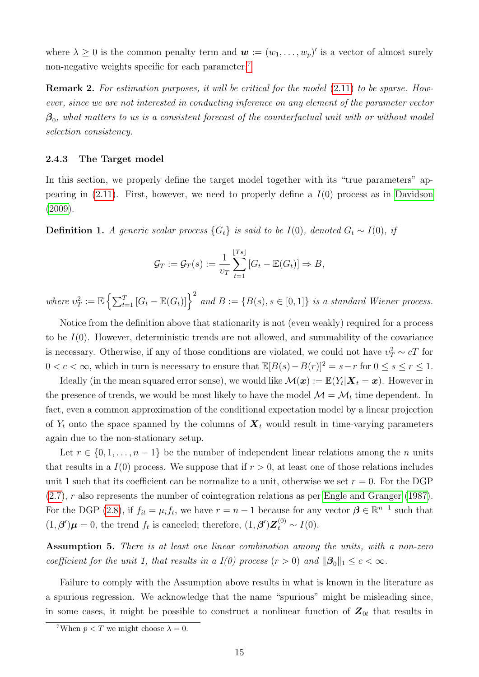where  $\lambda \geq 0$  is the common penalty term and  $\mathbf{w} := (w_1, \ldots, w_p)'$  is a vector of almost surely non-negative weights specific for each parameter.<sup>[7](#page-14-1)</sup>

<span id="page-14-0"></span>**Remark 2.** For estimation purposes, it will be critical for the model  $(2.11)$  to be sparse. However, since we are not interested in conducting inference on any element of the parameter vector  $\beta_0$ , what matters to us is a consistent forecast of the counterfactual unit with or without model selection consistency.

#### 2.4.3 The Target model

In this section, we properly define the target model together with its "true parameters" appearing in  $(2.11)$ . First, however, we need to properly define a  $I(0)$  process as in [Davidson](#page-50-13) [\(2009\)](#page-50-13).

**Definition 1.** A generic scalar process  $\{G_t\}$  is said to be  $I(0)$ , denoted  $G_t \sim I(0)$ , if

$$
\mathcal{G}_T := \mathcal{G}_T(s) := \frac{1}{\nu_T} \sum_{t=1}^{\lfloor Ts \rfloor} [G_t - \mathbb{E}(G_t)] \Rightarrow B,
$$

where  $v_T^2 := \mathbb{E} \left\{ \sum_{t=1}^T [G_t - \mathbb{E}(G_t)] \right\}^2$  and  $B := \{B(s), s \in [0,1]\}$  is a standard Wiener process.

Notice from the definition above that stationarity is not (even weakly) required for a process to be  $I(0)$ . However, deterministic trends are not allowed, and summability of the covariance is necessary. Otherwise, if any of those conditions are violated, we could not have  $v_T^2 \sim cT$  for  $0 < c < \infty$ , which in turn is necessary to ensure that  $\mathbb{E}[B(s)-B(r)]^2 = s-r$  for  $0 \le s \le r \le 1$ .

Ideally (in the mean squared error sense), we would like  $\mathcal{M}(\bm{x}) := \mathbb{E}(Y_t | \bm{X}_t = \bm{x})$ . However in the presence of trends, we would be most likely to have the model  $\mathcal{M} = \mathcal{M}_t$  time dependent. In fact, even a common approximation of the conditional expectation model by a linear projection of  $Y_t$  onto the space spanned by the columns of  $\mathbf{X}_t$  would result in time-varying parameters again due to the non-stationary setup.

Let  $r \in \{0, 1, \ldots, n-1\}$  be the number of independent linear relations among the n units that results in a  $I(0)$  process. We suppose that if  $r > 0$ , at least one of those relations includes unit 1 such that its coefficient can be normalize to a unit, otherwise we set  $r = 0$ . For the DGP [\(2.7\)](#page-10-3), r also represents the number of cointegration relations as per [Engle and Granger](#page-50-14) [\(1987\)](#page-50-14). For the DGP [\(2.8\)](#page-10-4), if  $f_{it} = \mu_i f_t$ , we have  $r = n - 1$  because for any vector  $\boldsymbol{\beta} \in \mathbb{R}^{n-1}$  such that  $(1, \beta')\mu = 0$ , the trend  $f_t$  is canceled; therefore,  $(1, \beta')Z_t^{(0)} \sim I(0)$ .

<span id="page-14-2"></span>Assumption 5. There is at least one linear combination among the units, with a non-zero coefficient for the unit 1, that results in a  $I(0)$  process  $(r > 0)$  and  $\|\boldsymbol{\beta}_0\|_1 \leq c < \infty$ .

Failure to comply with the Assumption above results in what is known in the literature as a spurious regression. We acknowledge that the name "spurious" might be misleading since, in some cases, it might be possible to construct a nonlinear function of  $\mathbf{Z}_{0t}$  that results in

<span id="page-14-1"></span><sup>&</sup>lt;sup>7</sup>When  $p < T$  we might choose  $\lambda = 0$ .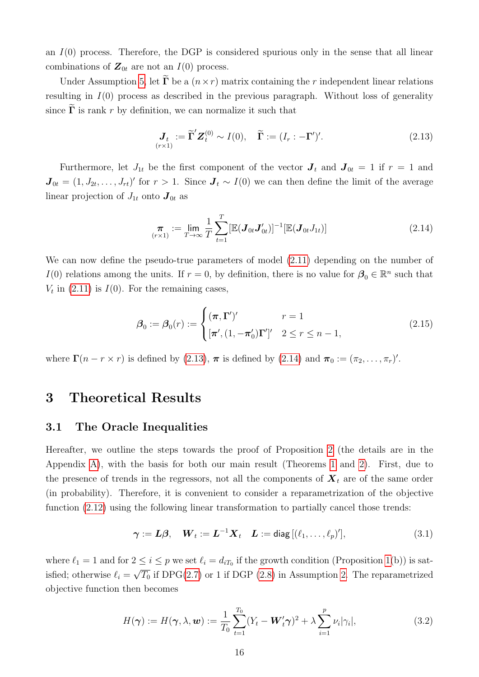an  $I(0)$  process. Therefore, the DGP is considered spurious only in the sense that all linear combinations of  $\mathbf{Z}_{0t}$  are not an  $I(0)$  process.

Under Assumption [5,](#page-14-2) let  $\tilde{\Gamma}$  be a  $(n \times r)$  matrix containing the r independent linear relations resulting in  $I(0)$  process as described in the previous paragraph. Without loss of generality since  $\widetilde{\Gamma}$  is rank r by definition, we can normalize it such that

<span id="page-15-2"></span>
$$
\mathbf{J}_t := \widetilde{\mathbf{\Gamma}}' \mathbf{Z}_t^{(0)} \sim I(0), \quad \widetilde{\mathbf{\Gamma}} := (I_r : -\mathbf{\Gamma}')'. \tag{2.13}
$$

Furthermore, let  $J_{1t}$  be the first component of the vector  $J_t$  and  $J_{0t} = 1$  if  $r = 1$  and  $J_{0t} = (1, J_{2t}, \ldots, J_{rt})'$  for  $r > 1$ . Since  $J_t \sim I(0)$  we can then define the limit of the average linear projection of  $J_{1t}$  onto  $\mathbf{J}_{0t}$  as

<span id="page-15-3"></span>
$$
\pi_{(r\times 1)} := \lim_{T \to \infty} \frac{1}{T} \sum_{t=1}^{T} [\mathbb{E}(\mathbf{J}_{0t} \mathbf{J}_{0t}')]^{-1} [\mathbb{E}(\mathbf{J}_{0t} J_{1t})]
$$
(2.14)

We can now define the pseudo-true parameters of model  $(2.11)$  depending on the number of I(0) relations among the units. If  $r = 0$ , by definition, there is no value for  $\beta_0 \in \mathbb{R}^n$  such that  $V_t$  in [\(2.11\)](#page-13-0) is  $I(0)$ . For the remaining cases,

<span id="page-15-1"></span>
$$
\boldsymbol{\beta}_0 := \boldsymbol{\beta}_0(r) := \begin{cases} (\boldsymbol{\pi}, \boldsymbol{\Gamma}')' & r = 1 \\ [\boldsymbol{\pi}', (1, -\boldsymbol{\pi}'_0)\boldsymbol{\Gamma}']' & 2 \le r \le n - 1, \end{cases}
$$
\n(2.15)

where  $\Gamma(n - r \times r)$  is defined by [\(2.13\)](#page-15-2),  $\pi$  is defined by [\(2.14\)](#page-15-3) and  $\pi_0 := (\pi_2, \ldots, \pi_r)'$ .

# <span id="page-15-0"></span>3 Theoretical Results

## 3.1 The Oracle Inequalities

Hereafter, we outline the steps towards the proof of Proposition [2](#page-17-0) (the details are in the Appendix [A\)](#page-27-0), with the basis for both our main result (Theorems [1](#page-18-0) and [2\)](#page-20-1). First, due to the presence of trends in the regressors, not all the components of  $\mathbf{X}_t$  are of the same order (in probability). Therefore, it is convenient to consider a reparametrization of the objective function [\(2.12\)](#page-13-2) using the following linear transformation to partially cancel those trends:

<span id="page-15-4"></span>
$$
\boldsymbol{\gamma} := \boldsymbol{L}\boldsymbol{\beta}, \quad \boldsymbol{W}_t := \boldsymbol{L}^{-1}\boldsymbol{X}_t \quad \boldsymbol{L} := \text{diag}\left[ (\ell_1, \dots, \ell_p)'\right],\tag{3.1}
$$

where  $\ell_1 = 1$  and for  $2 \leq i \leq p$  we set  $\ell_i = d_{iT_0}$  if the growth condition (Proposition [1\(](#page-12-1)b)) is satisfied; otherwise  $\ell_i =$ √  $\overline{T_0}$  if DPG[\(2.7\)](#page-10-3) or 1 if DGP [\(2.8\)](#page-10-4) in Assumption [2.](#page-10-2) The reparametrized objective function then becomes

$$
H(\boldsymbol{\gamma}) := H(\boldsymbol{\gamma}, \lambda, \boldsymbol{w}) := \frac{1}{T_0} \sum_{t=1}^{T_0} (Y_t - \boldsymbol{W}_t' \boldsymbol{\gamma})^2 + \lambda \sum_{i=1}^p \nu_i |\gamma_i|,
$$
(3.2)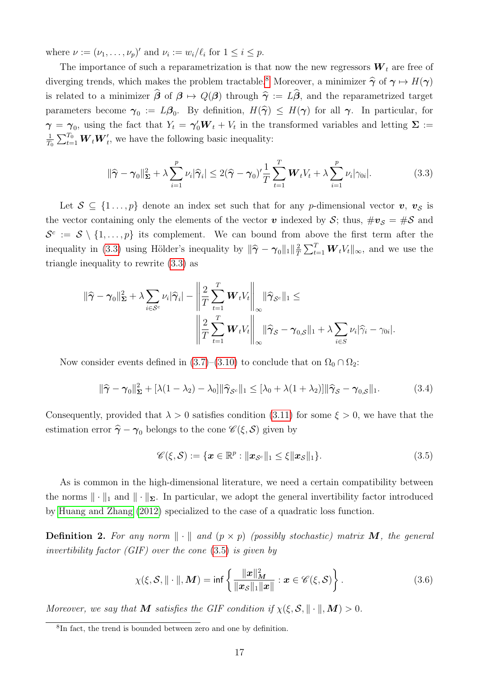where  $\nu := (\nu_1, \dots, \nu_p)'$  and  $\nu_i := w_i/\ell_i$  for  $1 \leq i \leq p$ .

The importance of such a reparametrization is that now the new regressors  $W_t$  are free of diverging trends, which makes the problem tractable.<sup>[8](#page-16-0)</sup> Moreover, a minimizer  $\hat{\gamma}$  of  $\gamma \mapsto H(\gamma)$ is related to a minimizer  $\hat{\beta}$  of  $\beta \mapsto Q(\beta)$  through  $\hat{\gamma} := L\hat{\beta}$ , and the reparametrized target parameters become  $\gamma_0 := L\beta_0$ . By definition,  $H(\hat{\gamma}) \leq H(\gamma)$  for all  $\gamma$ . In particular, for  $\gamma = \gamma_0$ , using the fact that  $Y_t = \gamma'_0 \mathbf{W}_t + V_t$  in the transformed variables and letting  $\Sigma$  := 1  $\frac{1}{T_0} \sum_{t=1}^{T_0} \boldsymbol{W}_t \boldsymbol{W}'_t$ , we have the following basic inequality:

<span id="page-16-1"></span>
$$
\|\widehat{\boldsymbol{\gamma}} - \boldsymbol{\gamma}_0\|_{\boldsymbol{\Sigma}}^2 + \lambda \sum_{i=1}^p \nu_i |\widehat{\boldsymbol{\gamma}}_i| \le 2(\widehat{\boldsymbol{\gamma}} - \boldsymbol{\gamma}_0)' \frac{1}{T} \sum_{t=1}^T \boldsymbol{W}_t V_t + \lambda \sum_{i=1}^p \nu_i |\gamma_{0i}|.
$$
 (3.3)

Let  $S \subseteq \{1 \ldots, p\}$  denote an index set such that for any p-dimensional vector  $v, v_S$  is the vector containing only the elements of the vector v indexed by S; thus,  $\#v_{\mathcal{S}} = \#\mathcal{S}$  and  $\mathcal{S}^c := \mathcal{S} \setminus \{1,\ldots,p\}$  its complement. We can bound from above the first term after the inequality in [\(3.3\)](#page-16-1) using Hölder's inequality by  $\|\hat{\gamma} - \gamma_0\|_1 \|\frac{2}{T}\|$  $\frac{2}{T} \sum_{t=1}^{T} \boldsymbol{W}_t V_t ||_{\infty}$ , and we use the triangle inequality to rewrite [\(3.3\)](#page-16-1) as

$$
\|\widehat{\gamma} - \gamma_0\|_{\mathbf{\Sigma}}^2 + \lambda \sum_{i \in \mathcal{S}^c} \nu_i |\widehat{\gamma}_i| - \left\|\frac{2}{T} \sum_{t=1}^T \mathbf{W}_t V_t \right\|_{\infty} \|\widehat{\gamma}_{\mathcal{S}^c}\|_1 \le
$$

$$
\left\|\frac{2}{T} \sum_{t=1}^T \mathbf{W}_t V_t \right\|_{\infty} \|\widehat{\gamma}_{\mathcal{S}} - \gamma_{0,\mathcal{S}}\|_1 + \lambda \sum_{i \in \mathcal{S}} \nu_i |\widehat{\gamma}_i - \gamma_{0i}|.
$$

Now consider events defined in [\(3.7\)](#page-17-1)–[\(3.10\)](#page-17-2) to conclude that on  $\Omega_0 \cap \Omega_2$ :

<span id="page-16-5"></span>
$$
\|\widehat{\boldsymbol{\gamma}} - \boldsymbol{\gamma}_0\|_{\boldsymbol{\Sigma}}^2 + [\lambda(1 - \lambda_2) - \lambda_0] \|\widehat{\boldsymbol{\gamma}}_{\mathcal{S}^c}\|_1 \leq [\lambda_0 + \lambda(1 + \lambda_2)] \|\widehat{\boldsymbol{\gamma}}_{\mathcal{S}} - \boldsymbol{\gamma}_{0,\mathcal{S}}\|_1. \tag{3.4}
$$

Consequently, provided that  $\lambda > 0$  satisfies condition [\(3.11\)](#page-17-3) for some  $\xi > 0$ , we have that the estimation error  $\hat{\gamma} - \gamma_0$  belongs to the cone  $\mathscr{C}(\xi, \mathcal{S})$  given by

<span id="page-16-2"></span>
$$
\mathscr{C}(\xi,\mathcal{S}) := \{ \boldsymbol{x} \in \mathbb{R}^p : \|\boldsymbol{x}_{\mathcal{S}^c}\|_1 \leq \xi \|\boldsymbol{x}_{\mathcal{S}}\|_1 \}. \tag{3.5}
$$

As is common in the high-dimensional literature, we need a certain compatibility between the norms  $\|\cdot\|_1$  and  $\|\cdot\|_{\Sigma}$ . In particular, we adopt the general invertibility factor introduced by [Huang and Zhang](#page-51-10) [\(2012\)](#page-51-10) specialized to the case of a quadratic loss function.

<span id="page-16-4"></span>**Definition 2.** For any norm  $\|\cdot\|$  and  $(p \times p)$  (possibly stochastic) matrix **M**, the general invertibility factor (GIF) over the cone  $(3.5)$  is given by

<span id="page-16-3"></span>
$$
\chi(\xi, \mathcal{S}, \|\cdot\|, \boldsymbol{M}) = \inf \left\{ \frac{\|\boldsymbol{x}\|_{\boldsymbol{M}}^2}{\|\boldsymbol{x}_{\mathcal{S}}\|_1 \|\boldsymbol{x}\|} : \boldsymbol{x} \in \mathscr{C}(\xi, \mathcal{S}) \right\}.
$$
 (3.6)

Moreover, we say that **M** satisfies the GIF condition if  $\chi(\xi, \mathcal{S}, \|\cdot\|, \mathbf{M}) > 0$ .

<span id="page-16-0"></span><sup>&</sup>lt;sup>8</sup>In fact, the trend is bounded between zero and one by definition.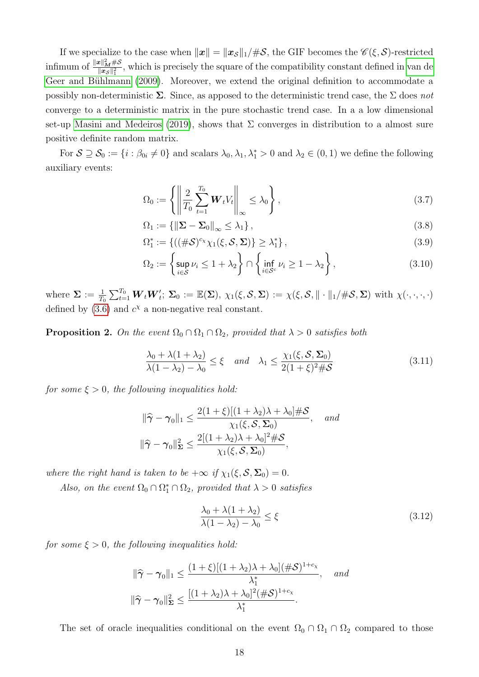If we specialize to the case when  $||x|| = ||x_{\mathcal{S}}||_1 / \#S$ , the GIF becomes the  $\mathscr{C}(\xi, \mathcal{S})$ -restricted infimum of  $\frac{\|x\|_M^2 \#S}{\|x\|_2^2}$  $\frac{E\|M^{\#O}}{\|x_{S}\|_{1}^{2}}$ , which is precisely the square of the compatibility constant defined in [van de](#page-52-0) Geer and Bühlmann [\(2009\)](#page-52-0). Moreover, we extend the original definition to accommodate a possibly non-deterministic  $\Sigma$ . Since, as apposed to the deterministic trend case, the  $\Sigma$  does not converge to a deterministic matrix in the pure stochastic trend case. In a a low dimensional set-up [Masini and Medeiros](#page-51-1) [\(2019\)](#page-51-1), shows that  $\Sigma$  converges in distribution to a almost sure positive definite random matrix.

For  $S \supseteq S_0 := \{i : \beta_{0i} \neq 0\}$  and scalars  $\lambda_0, \lambda_1, \lambda_1^* > 0$  and  $\lambda_2 \in (0, 1)$  we define the following auxiliary events:

<span id="page-17-1"></span>
$$
\Omega_0 := \left\{ \left\| \frac{2}{T_0} \sum_{t=1}^{T_0} \boldsymbol{W}_t V_t \right\|_{\infty} \le \lambda_0 \right\},\tag{3.7}
$$

$$
\Omega_1 := \left\{ \left\| \Sigma - \Sigma_0 \right\|_{\infty} \le \lambda_1 \right\},\tag{3.8}
$$

$$
\Omega_1^* := \{ ((\#\mathcal{S})^{c_\chi} \chi_1(\xi, \mathcal{S}, \Sigma) \} \ge \lambda_1^* \},
$$
\n(3.9)

<span id="page-17-2"></span>
$$
\Omega_2 := \left\{ \sup_{i \in \mathcal{S}} \nu_i \le 1 + \lambda_2 \right\} \cap \left\{ \inf_{i \in \mathcal{S}^c} \nu_i \ge 1 - \lambda_2 \right\},\tag{3.10}
$$

where  $\Sigma := \frac{1}{T_0} \sum_{t=1}^{T_0} \boldsymbol{W}_t \boldsymbol{W}_t';$   $\Sigma_0 := \mathbb{E}(\Sigma)$ ,  $\chi_1(\xi, \mathcal{S}, \Sigma) := \chi(\xi, \mathcal{S}, \| \cdot \|_1 / \# \mathcal{S}, \Sigma)$  with  $\chi(\cdot, \cdot, \cdot, \cdot)$ defined by  $(3.6)$  and  $c<sup>x</sup>$  a non-negative real constant.

<span id="page-17-0"></span>**Proposition 2.** On the event  $\Omega_0 \cap \Omega_1 \cap \Omega_2$ , provided that  $\lambda > 0$  satisfies both

<span id="page-17-3"></span>
$$
\frac{\lambda_0 + \lambda(1 + \lambda_2)}{\lambda(1 - \lambda_2) - \lambda_0} \le \xi \quad and \quad \lambda_1 \le \frac{\chi_1(\xi, \mathcal{S}, \Sigma_0)}{2(1 + \xi)^2 \# \mathcal{S}} \tag{3.11}
$$

for some  $\xi > 0$ , the following inequalities hold:

$$
\|\hat{\gamma} - \gamma_0\|_1 \le \frac{2(1+\xi)[(1+\lambda_2)\lambda + \lambda_0]\#\mathcal{S}}{\chi_1(\xi, \mathcal{S}, \Sigma_0)}, \quad \text{and}
$$

$$
\|\hat{\gamma} - \gamma_0\|_{\Sigma}^2 \le \frac{2[(1+\lambda_2)\lambda + \lambda_0]^2 \#\mathcal{S}}{\chi_1(\xi, \mathcal{S}, \Sigma_0)},
$$

where the right hand is taken to be  $+\infty$  if  $\chi_1(\xi, S, \Sigma_0) = 0$ .

Also, on the event  $\Omega_0 \cap \Omega_1^* \cap \Omega_2$ , provided that  $\lambda > 0$  satisfies

$$
\frac{\lambda_0 + \lambda (1 + \lambda_2)}{\lambda (1 - \lambda_2) - \lambda_0} \le \xi \tag{3.12}
$$

for some  $\xi > 0$ , the following inequalities hold:

$$
\|\hat{\gamma} - \gamma_0\|_1 \le \frac{(1+\xi)[(1+\lambda_2)\lambda + \lambda_0](\#\mathcal{S})^{1+c_X}}{\lambda_1^*}, \quad \text{and}
$$

$$
\|\hat{\gamma} - \gamma_0\|_{\Sigma}^2 \le \frac{[(1+\lambda_2)\lambda + \lambda_0]^2(\#\mathcal{S})^{1+c_X}}{\lambda_1^*}.
$$

The set of oracle inequalities conditional on the event  $\Omega_0 \cap \Omega_1 \cap \Omega_2$  compared to those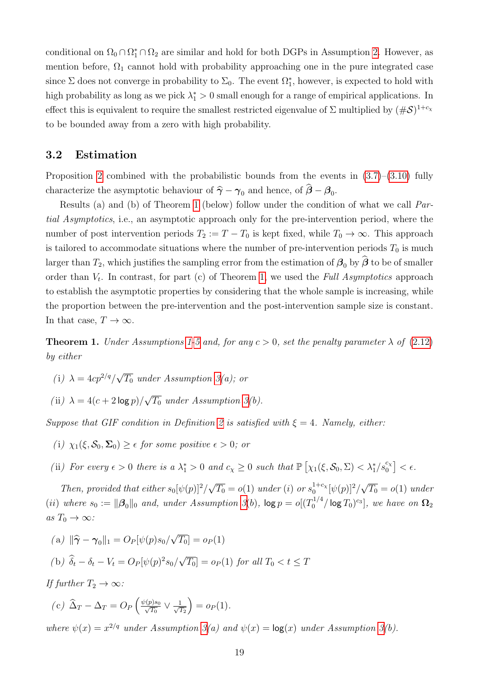conditional on  $\Omega_0 \cap \Omega_1^* \cap \Omega_2$  are similar and hold for both DGPs in Assumption [2.](#page-10-2) However, as mention before,  $\Omega_1$  cannot hold with probability approaching one in the pure integrated case since  $\Sigma$  does not converge in probability to  $\Sigma_0$ . The event  $\Omega_1^*$ , however, is expected to hold with high probability as long as we pick  $\lambda_1^* > 0$  small enough for a range of empirical applications. In effect this is equivalent to require the smallest restricted eigenvalue of  $\Sigma$  multiplied by  $(\#\mathcal{S})^{1+c_{\chi}}$ to be bounded away from a zero with high probability.

# <span id="page-18-1"></span>3.2 Estimation

Proposition [2](#page-17-0) combined with the probabilistic bounds from the events in [\(3.7\)](#page-17-1)–[\(3.10\)](#page-17-2) fully characterize the asymptotic behaviour of  $\hat{\gamma} - \gamma_0$  and hence, of  $\beta - \beta_0$ .

Results (a) and (b) of Theorem [1](#page-18-0) (below) follow under the condition of what we call Partial Asymptotics, i.e., an asymptotic approach only for the pre-intervention period, where the number of post intervention periods  $T_2 := T - T_0$  is kept fixed, while  $T_0 \to \infty$ . This approach is tailored to accommodate situations where the number of pre-intervention periods  $T_0$  is much larger than  $T_2$ , which justifies the sampling error from the estimation of  $\beta_0$  by  $\hat{\beta}$  to be of smaller order than  $V_t$ . In contrast, for part (c) of Theorem [1,](#page-18-0) we used the Full Asymptotics approach to establish the asymptotic properties by considering that the whole sample is increasing, while the proportion between the pre-intervention and the post-intervention sample size is constant. In that case,  $T \to \infty$ .

<span id="page-18-0"></span>**Theorem 1.** Under Assumptions [1-](#page-7-0)[5](#page-14-2) and, for any  $c > 0$ , set the penalty parameter  $\lambda$  of [\(2.12\)](#page-13-2) by either

- (i)  $\lambda = 4cp^{2/q}/$ √  $T_0$  under Assumption [3\(](#page-10-1)a); or
- (ii)  $\lambda = 4(c + 2 \log p)$ / √  $\overline{T_0}$  under Assumption [3\(](#page-10-1)b).

Suppose that GIF condition in Definition [2](#page-16-4) is satisfied with  $\xi = 4$ . Namely, either:

- (i)  $\chi_1(\xi, \mathcal{S}_0, \Sigma_0) \geq \epsilon$  for some positive  $\epsilon > 0$ ; or
- (ii) For every  $\epsilon > 0$  there is a  $\lambda_1^* > 0$  and  $c_\chi \geq 0$  such that  $\mathbb{P}\left[\chi_1(\xi, \mathcal{S}_0, \Sigma) < \lambda_1^*/s_0^{c_\chi}\right] < \epsilon$ .

Then, provided that either  $s_0[\psi(p)]^2/$ √  $\overline{T_0} = o(1)$  under (i) or  $s_0^{1+c_X}$  $\int_{0}^{1+c_{\chi}} [\psi(p)]^{2}/$ √  $\overline{T_0} = o(1)$  under (ii) where  $s_0 := \|\boldsymbol{\beta}_0\|_0$  and, under Assumption [3](#page-10-1)(b),  $\log p = o[(T_0^{1/4})]$  $\int_0^{1/4}/\log T_0)^{c_3}],$  we have on  $\Omega_2$ as  $T_0 \to \infty$ :

(a) 
$$
\|\hat{\gamma} - \gamma_0\|_1 = O_P[\psi(p)s_0/\sqrt{T_0}] = o_P(1)
$$
  
\n(b)  $\hat{\delta}_t - \delta_t - V_t = O_P[\psi(p)^2 s_0/\sqrt{T_0}] = o_P(1)$  for all  $T_0 < t \le T$ 

If further  $T_2 \to \infty$ :

$$
\text{(c)}\ \widehat{\Delta}_T - \Delta_T = O_P\left(\frac{\psi(p)s_0}{\sqrt{T_0}} \vee \frac{1}{\sqrt{T_2}}\right) = o_P(1).
$$

where  $\psi(x) = x^{2/q}$  under Assumption [3\(](#page-10-1)a) and  $\psi(x) = \log(x)$  under Assumption 3(b).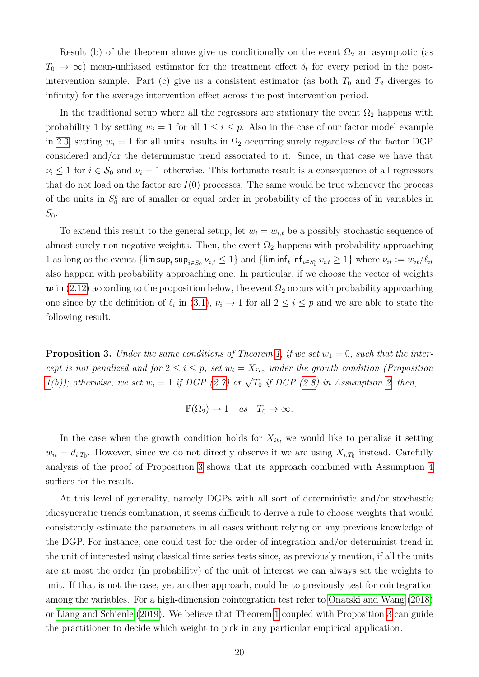Result (b) of the theorem above give us conditionally on the event  $\Omega_2$  an asymptotic (as  $T_0 \to \infty$ ) mean-unbiased estimator for the treatment effect  $\delta_t$  for every period in the postintervention sample. Part (c) give us a consistent estimator (as both  $T_0$  and  $T_2$  diverges to infinity) for the average intervention effect across the post intervention period.

In the traditional setup where all the regressors are stationary the event  $\Omega_2$  happens with probability 1 by setting  $w_i = 1$  for all  $1 \leq i \leq p$ . Also in the case of our factor model example in [2.3,](#page-7-5) setting  $w_i = 1$  for all units, results in  $\Omega_2$  occurring surely regardless of the factor DGP considered and/or the deterministic trend associated to it. Since, in that case we have that  $\nu_i \leq 1$  for  $i \in \mathcal{S}_0$  and  $\nu_i = 1$  otherwise. This fortunate result is a consequence of all regressors that do not load on the factor are  $I(0)$  processes. The same would be true whenever the process of the units in  $S_0^c$  are of smaller or equal order in probability of the process of in variables in  $S_0$ .

To extend this result to the general setup, let  $w_i = w_{i,t}$  be a possibly stochastic sequence of almost surely non-negative weights. Then, the event  $\Omega_2$  happens with probability approaching 1 as long as the events  $\{\limsup_t \sup_{i \in S_0} \nu_{i,t} \leq 1\}$  and  $\{\liminf_t \inf_{i \in S_0^c} \nu_{i,t} \geq 1\}$  where  $\nu_{it} := w_{it}/\ell_{it}$ also happen with probability approaching one. In particular, if we choose the vector of weights  $\boldsymbol{w}$  in [\(2.12\)](#page-13-2) according to the proposition below, the event  $\Omega_2$  occurs with probability approaching one since by the definition of  $\ell_i$  in [\(3.1\)](#page-15-4),  $\nu_i \to 1$  for all  $2 \leq i \leq p$  and we are able to state the following result.

<span id="page-19-0"></span>**Proposition 3.** Under the same conditions of Theorem [1,](#page-18-0) if we set  $w_1 = 0$ , such that the intercept is not penalized and for  $2 \leq i \leq p$ , set  $w_i = X_{iT_0}$  under the growth condition (Proposition [1\(](#page-12-1)b)); otherwise, we set  $w_i = 1$  if DGP [\(2.7\)](#page-10-3) or  $\sqrt{T_0}$  if DGP [\(2.8\)](#page-10-4) in Assumption [2,](#page-10-2) then,

$$
\mathbb{P}(\Omega_2) \to 1 \quad as \quad T_0 \to \infty.
$$

In the case when the growth condition holds for  $X_{it}$ , we would like to penalize it setting  $w_{it} = d_{i,T_0}$ . However, since we do not directly observe it we are using  $X_{i,T_0}$  instead. Carefully analysis of the proof of Proposition [3](#page-19-0) shows that its approach combined with Assumption [4](#page-13-3) suffices for the result.

At this level of generality, namely DGPs with all sort of deterministic and/or stochastic idiosyncratic trends combination, it seems difficult to derive a rule to choose weights that would consistently estimate the parameters in all cases without relying on any previous knowledge of the DGP. For instance, one could test for the order of integration and/or determinist trend in the unit of interested using classical time series tests since, as previously mention, if all the units are at most the order (in probability) of the unit of interest we can always set the weights to unit. If that is not the case, yet another approach, could be to previously test for cointegration among the variables. For a high-dimension cointegration test refer to [Onatski and Wang](#page-51-8) [\(2018\)](#page-51-8) or [Liang and Schienle](#page-51-7) [\(2019\)](#page-51-7). We believe that Theorem [1](#page-18-0) coupled with Proposition [3](#page-19-0) can guide the practitioner to decide which weight to pick in any particular empirical application.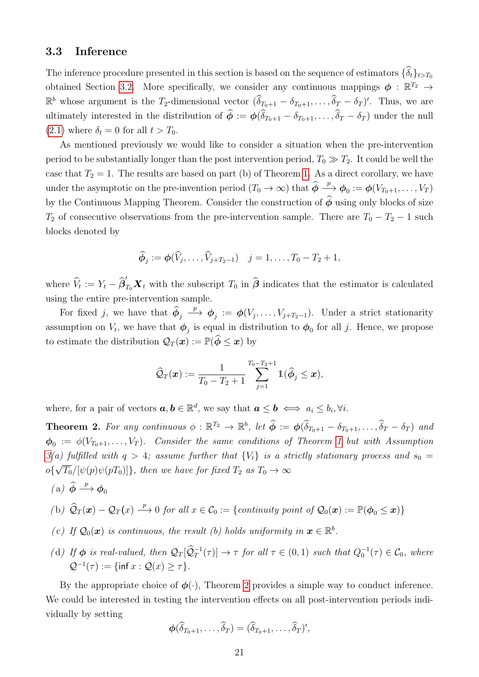## <span id="page-20-0"></span>3.3 Inference

The inference procedure presented in this section is based on the sequence of estimators  $\{\widehat{\delta}_t\}_{t>T_0}$ obtained Section [3.2.](#page-18-1) More specifically, we consider any continuous mappings  $\phi : \mathbb{R}^{T_2} \to$  $\mathbb{R}^b$  whose argument is the T<sub>2</sub>-dimensional vector  $(\widehat{\delta}_{T_0+1} - \delta_{T_0+1}, \ldots, \widehat{\delta}_T - \delta_T)'$ . Thus, we are ultimately interested in the distribution of  $\hat{\phi} := \phi(\hat{\delta}_{T_0+1} - \delta_{T_0+1}, \dots, \hat{\delta}_T - \delta_T)$  under the null  $(2.1)$  where  $\delta_t = 0$  for all  $t > T_0$ .

As mentioned previously we would like to consider a situation when the pre-intervention period to be substantially longer than the post intervention period,  $T_0 \gg T_2$ . It could be well the case that  $T_2 = 1$ . The results are based on part (b) of Theorem [1.](#page-18-0) As a direct corollary, we have under the asymptotic on the pre-invention period  $(T_0 \to \infty)$  that  $\hat{\phi} \stackrel{p}{\to} \phi_0 := \phi(V_{T_0+1}, \ldots, V_T)$ by the Continuous Mapping Theorem. Consider the construction of  $\hat{\phi}$  using only blocks of size  $T_2$  of consecutive observations from the pre-intervention sample. There are  $T_0 - T_2 - 1$  such blocks denoted by

$$
\widehat{\phi}_j := \phi(\widehat{V}_j, \dots, \widehat{V}_{j+T_2-1}) \quad j = 1, \dots, T_0 - T_2 + 1,
$$

where  $\hat{V}_t := Y_t - \hat{\beta}'_{T_0} \mathbf{X}_t$  with the subscript  $T_0$  in  $\hat{\boldsymbol{\beta}}$  indicates that the estimator is calculated using the entire pre-intervention sample.

For fixed j, we have that  $\phi_j$  $\stackrel{p}{\longrightarrow} \phi_j := \phi(V_j, \ldots, V_{j+T_2-1}).$  Under a strict stationarity assumption on  $V_t$ , we have that  $\phi_j$  is equal in distribution to  $\phi_0$  for all j. Hence, we propose to estimate the distribution  $\mathcal{Q}_T(\boldsymbol{x}) := \mathbb{P}(\hat{\boldsymbol{\phi}} \leq \boldsymbol{x})$  by

$$
\widehat{\mathcal{Q}}_T(\boldsymbol{x}) := \frac{1}{T_0 - T_2 + 1} \sum_{j=1}^{T_0 - T_2 + 1} \mathbb{1}(\widehat{\boldsymbol{\phi}}_j \leq \boldsymbol{x}),
$$

where, for a pair of vectors  $a, b \in \mathbb{R}^d$ , we say that  $a \leq b \iff a_i \leq b_i, \forall i$ .

<span id="page-20-1"></span>**Theorem 2.** For any continuous  $\phi : \mathbb{R}^{T_2} \to \mathbb{R}^b$ , let  $\widehat{\phi} := \phi(\widehat{\delta}_{T_0+1} - \delta_{T_0+1}, \ldots, \widehat{\delta}_T - \delta_T)$  and  $\bm{\phi}_0 \ := \ \phi(V_{T_0 + 1}, \ldots, V_T).$  $\bm{\phi}_0 \ := \ \phi(V_{T_0 + 1}, \ldots, V_T).$  $\bm{\phi}_0 \ := \ \phi(V_{T_0 + 1}, \ldots, V_T).$  Consider the same conditions of Theorem 1 but with Assumption  $3(a)$  $3(a)$  fulfilled with  $q > 4$ ; assume further that  ${V_t}$  is a strictly stationary process and  $s_0 =$  $o\{\sqrt{T_0}/[\psi(p)\psi(pT_0)]\}$ , then we have for fixed  $T_2$  as  $T_0 \to \infty$ 

$$
(a) \not\widehat{\phi} \xrightarrow{p} \phi_0
$$

(b) 
$$
\hat{Q}_T(\boldsymbol{x}) - Q_T(x) \stackrel{p}{\longrightarrow} 0
$$
 for all  $x \in C_0 := \{continuity point of Q_0(\boldsymbol{x}) := \mathbb{P}(\phi_0 \leq \boldsymbol{x})\}$ 

- (c) If  $\mathcal{Q}_0(\boldsymbol{x})$  is continuous, the result (b) holds uniformity in  $\boldsymbol{x} \in \mathbb{R}^b$ .
- (d) If  $\phi$  is real-valued, then  $\mathcal{Q}_T[\widehat{\mathcal{Q}}_T^{-1}(\tau)] \to \tau$  for all  $\tau \in (0,1)$  such that  $Q_0^{-1}(\tau) \in \mathcal{C}_0$ , where  $Q^{-1}(\tau) := \{ \inf x : Q(x) \geq \tau \}.$

By the appropriate choice of  $\phi(\cdot)$ , Theorem [2](#page-20-1) provides a simple way to conduct inference. We could be interested in testing the intervention effects on all post-intervention periods individually by setting

$$
\boldsymbol{\phi}(\widehat{\delta}_{T_0+1},\ldots,\widehat{\delta}_T)=(\widehat{\delta}_{T_0+1},\ldots,\widehat{\delta}_T)',
$$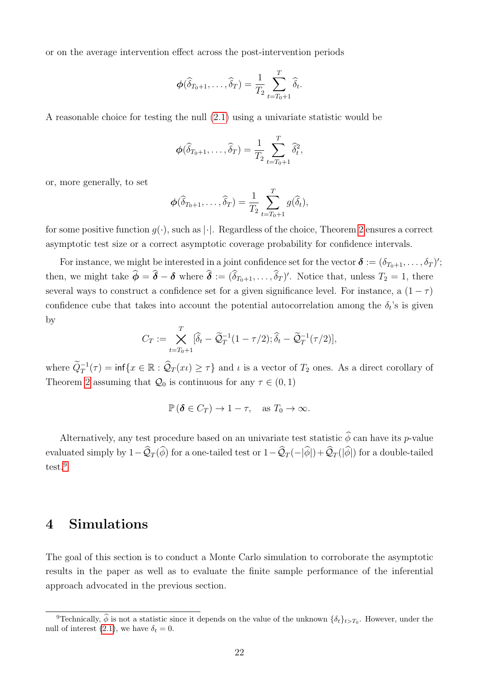or on the average intervention effect across the post-intervention periods

$$
\boldsymbol{\phi}(\widehat{\delta}_{T_0+1},\ldots,\widehat{\delta}_T)=\frac{1}{T_2}\sum_{t=T_0+1}^T\widehat{\delta}_t.
$$

A reasonable choice for testing the null [\(2.1\)](#page-6-2) using a univariate statistic would be

$$
\boldsymbol{\phi}(\widehat{\delta}_{T_0+1},\ldots,\widehat{\delta}_T)=\frac{1}{T_2}\sum_{t=T_0+1}^T \widehat{\delta}_t^2,
$$

or, more generally, to set

$$
\boldsymbol{\phi}(\widehat{\delta}_{T_0+1},\ldots,\widehat{\delta}_T)=\frac{1}{T_2}\sum_{t=T_0+1}^T g(\widehat{\delta}_t),
$$

for some positive function  $q(\cdot)$ , such as  $|\cdot|$ . Regardless of the choice, Theorem [2](#page-20-1) ensures a correct asymptotic test size or a correct asymptotic coverage probability for confidence intervals.

For instance, we might be interested in a joint confidence set for the vector  $\boldsymbol{\delta} := (\delta_{T_0+1}, \ldots, \delta_T)$ ; then, we might take  $\hat{\phi} = \hat{\delta} - \delta$  where  $\hat{\delta} := (\delta_{T_0+1}, \ldots, \delta_T)'$ . Notice that, unless  $T_2 = 1$ , there several ways to construct a confidence set for a given significance level. For instance, a  $(1 - \tau)$ confidence cube that takes into account the potential autocorrelation among the  $\delta_t$ 's is given by

$$
C_T := \bigtimes_{t=T_0+1}^T [\widehat{\delta}_t - \widetilde{\mathcal{Q}}_T^{-1}(1-\tau/2); \widehat{\delta}_t - \widetilde{\mathcal{Q}}_T^{-1}(\tau/2)],
$$

where  $\widetilde{Q}_T^{-1}(\tau) = \inf\{x \in \mathbb{R} : \widehat{Q}_T(x_i) \geq \tau\}$  and  $\iota$  is a vector of  $T_2$  ones. As a direct corollary of Theorem [2](#page-20-1) assuming that  $\mathcal{Q}_0$  is continuous for any  $\tau \in (0,1)$ 

$$
\mathbb{P}\left(\boldsymbol{\delta} \in C_T\right) \to 1 - \tau, \quad \text{as } T_0 \to \infty.
$$

Alternatively, any test procedure based on an univariate test statistic  $\hat{\phi}$  can have its p-value evaluated simply by  $1-\widehat{Q}_T(\widehat{\phi})$  for a one-tailed test or  $1-\widehat{Q}_T(-|\widehat{\phi}|)+\widehat{Q}_T(|\widehat{\phi}|)$  for a double-tailed test.[9](#page-21-1)

# <span id="page-21-0"></span>4 Simulations

The goal of this section is to conduct a Monte Carlo simulation to corroborate the asymptotic results in the paper as well as to evaluate the finite sample performance of the inferential approach advocated in the previous section.

<span id="page-21-1"></span><sup>&</sup>lt;sup>9</sup>Technically,  $\hat{\phi}$  is not a statistic since it depends on the value of the unknown  $\{\delta_t\}_{t>T_0}$ . However, under the null of interest [\(2.1\)](#page-6-2), we have  $\delta_t = 0$ .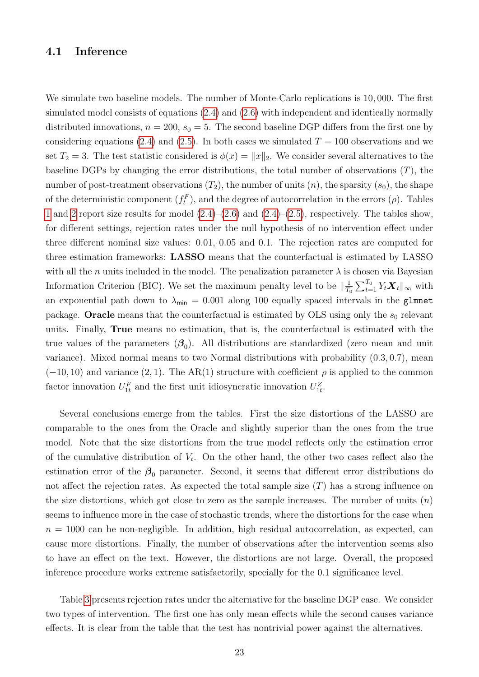## 4.1 Inference

We simulate two baseline models. The number of Monte-Carlo replications is 10, 000. The first simulated model consists of equations [\(2.4\)](#page-7-2) and [\(2.6\)](#page-7-4) with independent and identically normally distributed innovations,  $n = 200$ ,  $s_0 = 5$ . The second baseline DGP differs from the first one by considering equations [\(2.4\)](#page-7-2) and [\(2.5\)](#page-7-3). In both cases we simulated  $T = 100$  observations and we set  $T_2 = 3$ . The test statistic considered is  $\phi(x) = ||x||_2$ . We consider several alternatives to the baseline DGPs by changing the error distributions, the total number of observations  $(T)$ , the number of post-treatment observations  $(T_2)$ , the number of units  $(n)$ , the sparsity  $(s_0)$ , the shape of the deterministic component  $(f_t^F)$ , and the degree of autocorrelation in the errors  $(\rho)$ . Tables [1](#page-42-0) and [2](#page-43-0) report size results for model  $(2.4)$ – $(2.6)$  and  $(2.4)$ – $(2.5)$ , respectively. The tables show, for different settings, rejection rates under the null hypothesis of no intervention effect under three different nominal size values: 0.01, 0.05 and 0.1. The rejection rates are computed for three estimation frameworks: LASSO means that the counterfactual is estimated by LASSO with all the n units included in the model. The penalization parameter  $\lambda$  is chosen via Bayesian Information Criterion (BIC). We set the maximum penalty level to be  $\|\frac{1}{T}\|$  $\frac{1}{T_0} \sum_{t=1}^{T_0} Y_t \boldsymbol{X}_t \|_{\infty}$  with an exponential path down to  $\lambda_{\min} = 0.001$  along 100 equally spaced intervals in the glmnet package. Oracle means that the counterfactual is estimated by OLS using only the  $s_0$  relevant units. Finally, True means no estimation, that is, the counterfactual is estimated with the true values of the parameters  $(\beta_0)$ . All distributions are standardized (zero mean and unit variance). Mixed normal means to two Normal distributions with probability (0.3, 0.7), mean  $(-10, 10)$  and variance  $(2, 1)$ . The AR(1) structure with coefficient  $\rho$  is applied to the common factor innovation  $U_{1t}^F$  and the first unit idiosyncratic innovation  $U_{1t}^Z$ .

Several conclusions emerge from the tables. First the size distortions of the LASSO are comparable to the ones from the Oracle and slightly superior than the ones from the true model. Note that the size distortions from the true model reflects only the estimation error of the cumulative distribution of  $V_t$ . On the other hand, the other two cases reflect also the estimation error of the  $\beta_0$  parameter. Second, it seems that different error distributions do not affect the rejection rates. As expected the total sample size  $(T)$  has a strong influence on the size distortions, which got close to zero as the sample increases. The number of units  $(n)$ seems to influence more in the case of stochastic trends, where the distortions for the case when  $n = 1000$  can be non-negligible. In addition, high residual autocorrelation, as expected, can cause more distortions. Finally, the number of observations after the intervention seems also to have an effect on the text. However, the distortions are not large. Overall, the proposed inference procedure works extreme satisfactorily, specially for the 0.1 significance level.

Table [3](#page-44-0) presents rejection rates under the alternative for the baseline DGP case. We consider two types of intervention. The first one has only mean effects while the second causes variance effects. It is clear from the table that the test has nontrivial power against the alternatives.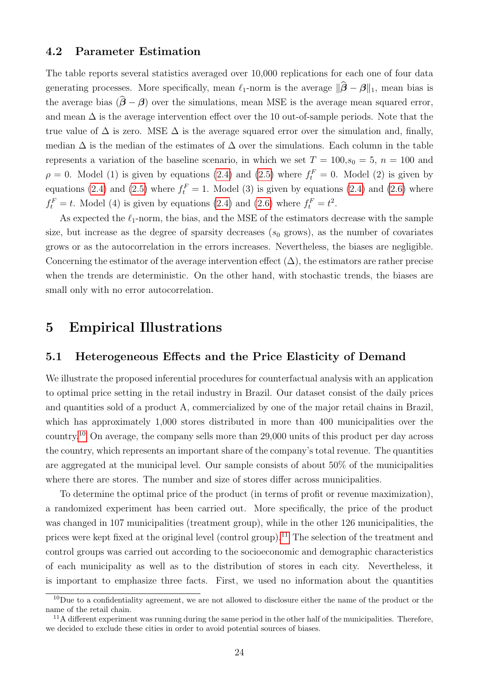## 4.2 Parameter Estimation

The table reports several statistics averaged over 10,000 replications for each one of four data generating processes. More specifically, mean  $\ell_1$ -norm is the average  $\|\hat{\beta} - \beta\|_1$ , mean bias is the average bias  $(\hat{\beta} - \beta)$  over the simulations, mean MSE is the average mean squared error, and mean  $\Delta$  is the average intervention effect over the 10 out-of-sample periods. Note that the true value of  $\Delta$  is zero. MSE  $\Delta$  is the average squared error over the simulation and, finally, median  $\Delta$  is the median of the estimates of  $\Delta$  over the simulations. Each column in the table represents a variation of the baseline scenario, in which we set  $T = 100, s_0 = 5, n = 100$  and  $\rho = 0$ . Model (1) is given by equations [\(2.4\)](#page-7-2) and [\(2.5\)](#page-7-3) where  $f_t^F = 0$ . Model (2) is given by equations [\(2.4\)](#page-7-2) and [\(2.5\)](#page-7-3) where  $f_t^F = 1$ . Model (3) is given by equations (2.4) and [\(2.6\)](#page-7-4) where  $f_t^F = t$ . Model (4) is given by equations [\(2.4\)](#page-7-2) and [\(2.6\)](#page-7-4) where  $f_t^F = t^2$ .

As expected the  $\ell_1$ -norm, the bias, and the MSE of the estimators decrease with the sample size, but increase as the degree of sparsity decreases  $(s_0 \text{ grows})$ , as the number of covariates grows or as the autocorrelation in the errors increases. Nevertheless, the biases are negligible. Concerning the estimator of the average intervention effect  $(\Delta)$ , the estimators are rather precise when the trends are deterministic. On the other hand, with stochastic trends, the biases are small only with no error autocorrelation.

# <span id="page-23-0"></span>5 Empirical Illustrations

## 5.1 Heterogeneous Effects and the Price Elasticity of Demand

We illustrate the proposed inferential procedures for counterfactual analysis with an application to optimal price setting in the retail industry in Brazil. Our dataset consist of the daily prices and quantities sold of a product A, commercialized by one of the major retail chains in Brazil, which has approximately 1,000 stores distributed in more than 400 municipalities over the country.[10](#page-23-1) On average, the company sells more than 29,000 units of this product per day across the country, which represents an important share of the company's total revenue. The quantities are aggregated at the municipal level. Our sample consists of about 50% of the municipalities where there are stores. The number and size of stores differ across municipalities.

To determine the optimal price of the product (in terms of profit or revenue maximization), a randomized experiment has been carried out. More specifically, the price of the product was changed in 107 municipalities (treatment group), while in the other 126 municipalities, the prices were kept fixed at the original level (control group).<sup>[11](#page-23-2)</sup> The selection of the treatment and control groups was carried out according to the socioeconomic and demographic characteristics of each municipality as well as to the distribution of stores in each city. Nevertheless, it is important to emphasize three facts. First, we used no information about the quantities

<span id="page-23-1"></span><sup>&</sup>lt;sup>10</sup>Due to a confidentiality agreement, we are not allowed to disclosure either the name of the product or the name of the retail chain.

<span id="page-23-2"></span> $11$ A different experiment was running during the same period in the other half of the municipalities. Therefore, we decided to exclude these cities in order to avoid potential sources of biases.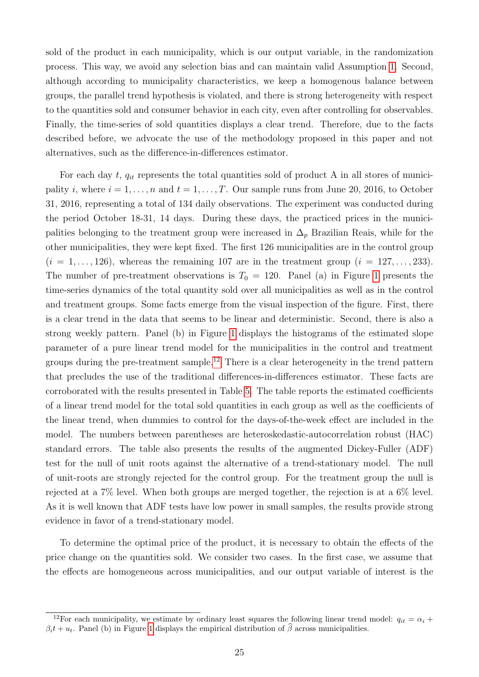sold of the product in each municipality, which is our output variable, in the randomization process. This way, we avoid any selection bias and can maintain valid Assumption [1.](#page-7-0) Second, although according to municipality characteristics, we keep a homogenous balance between groups, the parallel trend hypothesis is violated, and there is strong heterogeneity with respect to the quantities sold and consumer behavior in each city, even after controlling for observables. Finally, the time-series of sold quantities displays a clear trend. Therefore, due to the facts described before, we advocate the use of the methodology proposed in this paper and not alternatives, such as the difference-in-differences estimator.

For each day t,  $q_{it}$  represents the total quantities sold of product A in all stores of municipality i, where  $i = 1, \ldots, n$  and  $t = 1, \ldots, T$ . Our sample runs from June 20, 2016, to October 31, 2016, representing a total of 134 daily observations. The experiment was conducted during the period October 18-31, 14 days. During these days, the practiced prices in the municipalities belonging to the treatment group were increased in  $\Delta_p$  Brazilian Reais, while for the other municipalities, they were kept fixed. The first 126 municipalities are in the control group  $(i = 1, \ldots, 126)$ , whereas the remaining 107 are in the treatment group  $(i = 127, \ldots, 233)$ . The number of pre-treatment observations is  $T_0 = 120$  $T_0 = 120$  $T_0 = 120$ . Panel (a) in Figure 1 presents the time-series dynamics of the total quantity sold over all municipalities as well as in the control and treatment groups. Some facts emerge from the visual inspection of the figure. First, there is a clear trend in the data that seems to be linear and deterministic. Second, there is also a strong weekly pattern. Panel (b) in Figure [1](#page-48-0) displays the histograms of the estimated slope parameter of a pure linear trend model for the municipalities in the control and treatment groups during the pre-treatment sample.<sup>[12](#page-24-0)</sup> There is a clear heterogeneity in the trend pattern that precludes the use of the traditional differences-in-differences estimator. These facts are corroborated with the results presented in Table [5.](#page-46-0) The table reports the estimated coefficients of a linear trend model for the total sold quantities in each group as well as the coefficients of the linear trend, when dummies to control for the days-of-the-week effect are included in the model. The numbers between parentheses are heteroskedastic-autocorrelation robust (HAC) standard errors. The table also presents the results of the augmented Dickey-Fuller (ADF) test for the null of unit roots against the alternative of a trend-stationary model. The null of unit-roots are strongly rejected for the control group. For the treatment group the null is rejected at a 7% level. When both groups are merged together, the rejection is at a 6% level. As it is well known that ADF tests have low power in small samples, the results provide strong evidence in favor of a trend-stationary model.

To determine the optimal price of the product, it is necessary to obtain the effects of the price change on the quantities sold. We consider two cases. In the first case, we assume that the effects are homogeneous across municipalities, and our output variable of interest is the

<span id="page-24-0"></span><sup>&</sup>lt;sup>12</sup>For each municipality, we estimate by ordinary least squares the following linear trend model:  $q_{it} = \alpha_i +$  $\beta_i t + u_t$ . Panel (b) in Figure [1](#page-48-0) displays the empirical distribution of  $\hat{\beta}$  across municipalities.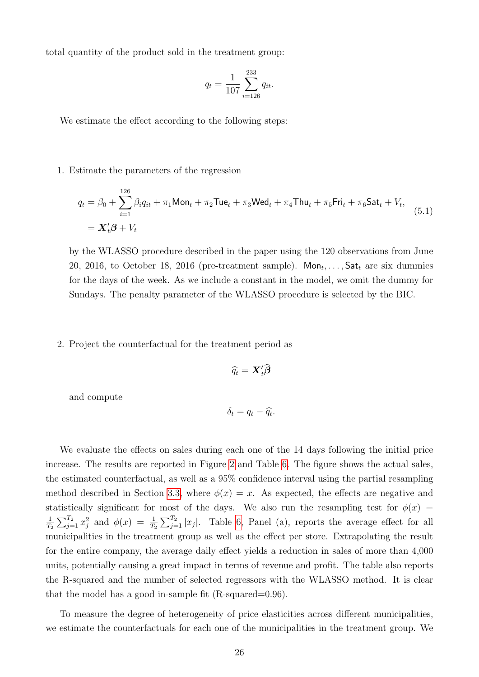total quantity of the product sold in the treatment group:

$$
q_t = \frac{1}{107} \sum_{i=126}^{233} q_{it}.
$$

We estimate the effect according to the following steps:

#### 1. Estimate the parameters of the regression

<span id="page-25-0"></span>
$$
q_{t} = \beta_{0} + \sum_{i=1}^{126} \beta_{i} q_{it} + \pi_{1} \text{Mon}_{t} + \pi_{2} \text{True}_{t} + \pi_{3} \text{Wed}_{t} + \pi_{4} \text{Thu}_{t} + \pi_{5} \text{Fri}_{t} + \pi_{6} \text{Sat}_{t} + V_{t},
$$
  
=  $\mathbf{X}_{t}' \boldsymbol{\beta} + V_{t}$  (5.1)

by the WLASSO procedure described in the paper using the 120 observations from June 20, 2016, to October 18, 2016 (pre-treatment sample).  $Mon_t, \ldots, Sat_t$  are six dummies for the days of the week. As we include a constant in the model, we omit the dummy for Sundays. The penalty parameter of the WLASSO procedure is selected by the BIC.

#### 2. Project the counterfactual for the treatment period as

$$
\widehat{q}_t = \mathbf{X}_t' \widehat{\boldsymbol{\beta}}
$$

and compute

$$
\delta_t = q_t - \widehat{q}_t.
$$

We evaluate the effects on sales during each one of the 14 days following the initial price increase. The results are reported in Figure [2](#page-49-0) and Table [6.](#page-47-0) The figure shows the actual sales, the estimated counterfactual, as well as a 95% confidence interval using the partial resampling method described in Section [3.3,](#page-20-0) where  $\phi(x) = x$ . As expected, the effects are negative and statistically significant for most of the days. We also run the resampling test for  $\phi(x)$  = 1  $\frac{1}{T_2}\sum_{j=1}^{T_2}x_j^2$  and  $\phi(x) = \frac{1}{T_2}\sum_{j=1}^{T_2}|x_j|$ . Table [6,](#page-47-0) Panel (a), reports the average effect for all municipalities in the treatment group as well as the effect per store. Extrapolating the result for the entire company, the average daily effect yields a reduction in sales of more than 4,000 units, potentially causing a great impact in terms of revenue and profit. The table also reports the R-squared and the number of selected regressors with the WLASSO method. It is clear that the model has a good in-sample fit  $(R$ -squared=0.96).

To measure the degree of heterogeneity of price elasticities across different municipalities, we estimate the counterfactuals for each one of the municipalities in the treatment group. We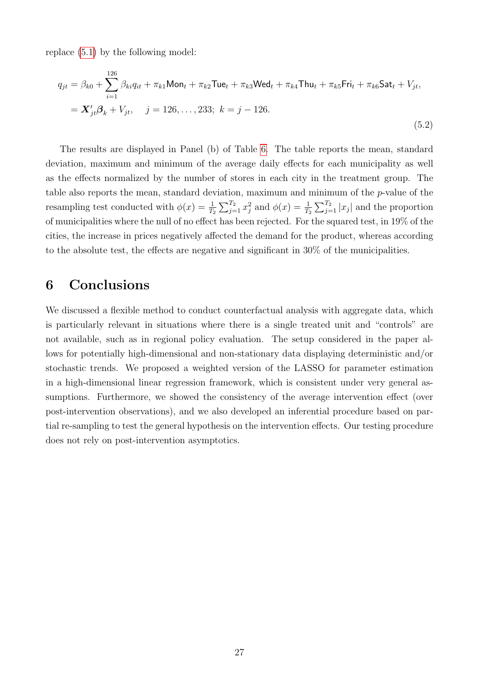replace [\(5.1\)](#page-25-0) by the following model:

$$
q_{jt} = \beta_{k0} + \sum_{i=1}^{126} \beta_{ki} q_{it} + \pi_{k1} \text{Mon}_t + \pi_{k2} \text{True}_t + \pi_{k3} \text{Wed}_t + \pi_{k4} \text{Thu}_t + \pi_{k5} \text{Fri}_t + \pi_{k6} \text{Sat}_t + V_{jt},
$$
  
=  $\mathbf{X}'_{jt} \mathbf{\beta}_k + V_{jt}, \quad j = 126, ..., 233; \ k = j - 126.$  (5.2)

The results are displayed in Panel (b) of Table [6.](#page-47-0) The table reports the mean, standard deviation, maximum and minimum of the average daily effects for each municipality as well as the effects normalized by the number of stores in each city in the treatment group. The table also reports the mean, standard deviation, maximum and minimum of the p-value of the resampling test conducted with  $\phi(x) = \frac{1}{T_2} \sum_{j=1}^{T_2} x_j^2$  and  $\phi(x) = \frac{1}{T_2} \sum_{j=1}^{T_2} |x_j|$  and the proportion of municipalities where the null of no effect has been rejected. For the squared test, in 19% of the cities, the increase in prices negatively affected the demand for the product, whereas according to the absolute test, the effects are negative and significant in 30% of the municipalities.

# <span id="page-26-0"></span>6 Conclusions

We discussed a flexible method to conduct counterfactual analysis with aggregate data, which is particularly relevant in situations where there is a single treated unit and "controls" are not available, such as in regional policy evaluation. The setup considered in the paper allows for potentially high-dimensional and non-stationary data displaying deterministic and/or stochastic trends. We proposed a weighted version of the LASSO for parameter estimation in a high-dimensional linear regression framework, which is consistent under very general assumptions. Furthermore, we showed the consistency of the average intervention effect (over post-intervention observations), and we also developed an inferential procedure based on partial re-sampling to test the general hypothesis on the intervention effects. Our testing procedure does not rely on post-intervention asymptotics.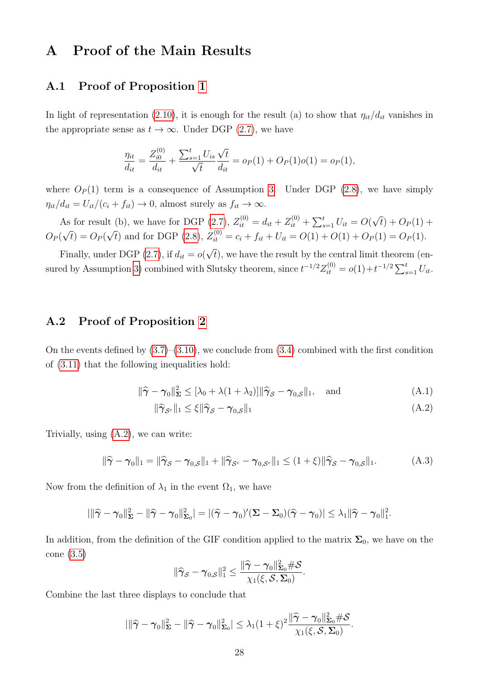# <span id="page-27-0"></span>A Proof of the Main Results

## A.1 Proof of Proposition [1](#page-12-1)

In light of representation [\(2.10\)](#page-12-0), it is enough for the result (a) to show that  $\eta_{it}/d_{it}$  vanishes in the appropriate sense as  $t \to \infty$ . Under DGP [\(2.7\)](#page-10-3), we have

$$
\frac{\eta_{it}}{d_{it}} = \frac{Z_{i0}^{(0)}}{d_{it}} + \frac{\sum_{s=1}^{t} U_{is}}{\sqrt{t}} \frac{\sqrt{t}}{d_{it}} = o_P(1) + O_P(1) o(1) = o_P(1),
$$

where  $O_P(1)$  term is a consequence of Assumption [3.](#page-10-1) Under DGP [\(2.8\)](#page-10-4), we have simply  $\eta_{it}/d_{it} = U_{it}/(c_i + f_{it}) \rightarrow 0$ , almost surely as  $f_{it} \rightarrow \infty$ .

As for result (b), we have for DGP [\(2.7\)](#page-10-3),  $Z_{it}^{(0)} = d_{it} + Z_{it}^{(0)} + \sum_{s=1}^{t} U_{it} = O$ √  $(t) + O_P(1) +$  $O_P($ √  $t)=O_P($ √  $\overline{t}$ ) and for DGP [\(2.8\)](#page-10-4),  $Z_{it}^{(0)} = c_i + f_{it} + U_{it} = O(1) + O(1) + O_P(1) = O_P(1)$ . √

Finally, under DGP  $(2.7)$ , if  $d_{it} = o($  $t)$ , we have the result by the central limit theorem (en-sured by Assumption [3\)](#page-10-1) combined with Slutsky theorem, since  $t^{-1/2}Z_{it}^{(0)} = o(1) + t^{-1/2}\sum_{s=1}^{t}U_{it}$ .

# A.2 Proof of Proposition [2](#page-17-0)

On the events defined by  $(3.7)$ – $(3.10)$ , we conclude from  $(3.4)$  combined with the first condition of [\(3.11\)](#page-17-3) that the following inequalities hold:

$$
\|\widehat{\boldsymbol{\gamma}} - \boldsymbol{\gamma}_0\|_{\boldsymbol{\Sigma}}^2 \le [\lambda_0 + \lambda (1 + \lambda_2)] \|\widehat{\boldsymbol{\gamma}}_{\mathcal{S}} - \boldsymbol{\gamma}_{0,\mathcal{S}}\|_1, \text{ and } (A.1)
$$

<span id="page-27-2"></span><span id="page-27-1"></span>
$$
\|\hat{\gamma}_{\mathcal{S}^c}\|_1 \le \xi \|\hat{\gamma}_{\mathcal{S}} - \gamma_{0,\mathcal{S}}\|_1 \tag{A.2}
$$

Trivially, using [\(A.2\)](#page-27-1), we can write:

<span id="page-27-3"></span>
$$
\|\widehat{\boldsymbol{\gamma}} - \boldsymbol{\gamma}_0\|_1 = \|\widehat{\boldsymbol{\gamma}}_{\mathcal{S}} - \boldsymbol{\gamma}_{0,\mathcal{S}}\|_1 + \|\widehat{\boldsymbol{\gamma}}_{\mathcal{S}^c} - \boldsymbol{\gamma}_{0,\mathcal{S}^c}\|_1 \le (1+\xi)\|\widehat{\boldsymbol{\gamma}}_{\mathcal{S}} - \boldsymbol{\gamma}_{0,\mathcal{S}}\|_1. \tag{A.3}
$$

Now from the definition of  $\lambda_1$  in the event  $\Omega_1$ , we have

$$
|\|\widehat{\gamma}-\gamma_0\|_{\mathbf{\Sigma}}^2-\|\widehat{\gamma}-\gamma_0\|_{\mathbf{\Sigma}_0}^2|=|(\widehat{\gamma}-\gamma_0)'(\mathbf{\Sigma}-\mathbf{\Sigma}_0)(\widehat{\gamma}-\gamma_0)|\leq \lambda_1\|\widehat{\gamma}-\gamma_0\|_1^2.
$$

In addition, from the definition of the GIF condition applied to the matrix  $\Sigma_0$ , we have on the cone [\(3.5\)](#page-16-2)

$$
\|\widehat{\gamma}_{\mathcal{S}} - \gamma_{0,\mathcal{S}}\|_1^2 \leq \frac{\|\widehat{\gamma} - \gamma_0\|_{\boldsymbol{\Sigma}_0}^2 \#\mathcal{S}}{\chi_1(\xi, \mathcal{S}, \boldsymbol{\Sigma}_0)}.
$$

Combine the last three displays to conclude that

$$
|\|\widehat{\gamma}-\gamma_0\|_{\mathbf{\Sigma}}^2-\|\widehat{\gamma}-\gamma_0\|_{\mathbf{\Sigma}_0}^2|\leq \lambda_1(1+\xi)^2\frac{\|\widehat{\gamma}-\gamma_0\|_{\mathbf{\Sigma}_0}^2\#\mathcal{S}}{\chi_1(\xi,\mathcal{S},\mathbf{\Sigma}_0)}.
$$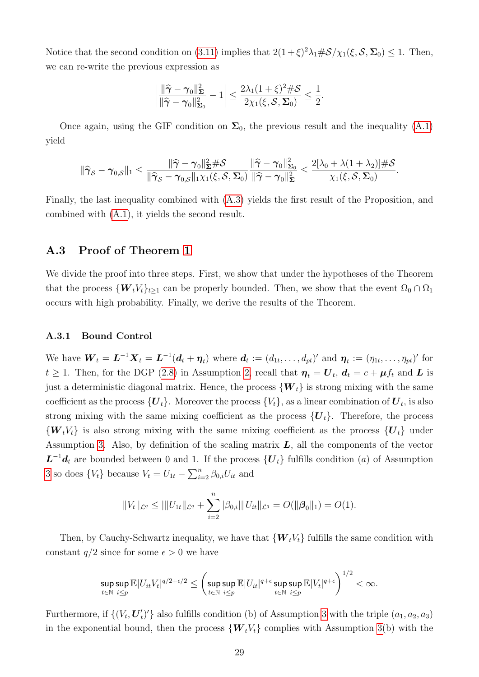Notice that the second condition on [\(3.11\)](#page-17-3) implies that  $2(1+\xi)^2\lambda_1\#\mathcal{S}/\chi_1(\xi,\mathcal{S},\Sigma_0)\leq 1$ . Then, we can re-write the previous expression as

$$
\left|\frac{\|\widehat{\boldsymbol{\gamma}}-\boldsymbol{\gamma}_0\|_{\boldsymbol{\Sigma}}^2}{\|\widehat{\boldsymbol{\gamma}}-\boldsymbol{\gamma}_0\|_{\boldsymbol{\Sigma}_0}^2}-1\right|\leq \frac{2\lambda_1(1+\xi)^2\#\mathcal{S}}{2\chi_1(\xi,\mathcal{S},\boldsymbol{\Sigma}_0)}\leq \frac{1}{2}.
$$

Once again, using the GIF condition on  $\Sigma_0$ , the previous result and the inequality [\(A.1\)](#page-27-2) yield

$$
\|\widehat{\gamma}_{\mathcal{S}}-\gamma_{0,\mathcal{S}}\|_1 \leq \frac{\|\widehat{\gamma}-\gamma_0\|_{\boldsymbol{\Sigma}}^2 \#\mathcal{S}}{\|\widehat{\gamma}_{\mathcal{S}}-\gamma_{0,\mathcal{S}}\|_1 \chi_1(\xi,\mathcal{S},\boldsymbol{\Sigma}_0)} \frac{\|\widehat{\gamma}-\gamma_0\|_{\boldsymbol{\Sigma}_0}^2}{\|\widehat{\gamma}-\gamma_0\|_{\boldsymbol{\Sigma}}^2} \leq \frac{2[\lambda_0+\lambda(1+\lambda_2)]\#\mathcal{S}}{\chi_1(\xi,\mathcal{S},\boldsymbol{\Sigma}_0)}.
$$

Finally, the last inequality combined with [\(A.3\)](#page-27-3) yields the first result of the Proposition, and combined with [\(A.1\)](#page-27-2), it yields the second result.

# A.3 Proof of Theorem [1](#page-18-0)

We divide the proof into three steps. First, we show that under the hypotheses of the Theorem that the process  $\{W_tV_t\}_{t\geq 1}$  can be properly bounded. Then, we show that the event  $\Omega_0 \cap \Omega_1$ occurs with high probability. Finally, we derive the results of the Theorem.

#### A.3.1 Bound Control

We have  $\boldsymbol{W}_t = \boldsymbol{L}^{-1} \boldsymbol{X}_t = \boldsymbol{L}^{-1} (\boldsymbol{d}_t + \boldsymbol{\eta}_t)$  where  $\boldsymbol{d}_t := (d_{1t}, \dots, d_{pt})'$  and  $\boldsymbol{\eta}_t := (\eta_{1t}, \dots, \eta_{pt})'$  for  $t \geq 1$ . Then, for the DGP [\(2.8\)](#page-10-4) in Assumption [2,](#page-10-2) recall that  $\eta_t = \boldsymbol{U}_t$ ,  $\boldsymbol{d}_t = c + \boldsymbol{\mu} f_t$  and  $\boldsymbol{L}$  is just a deterministic diagonal matrix. Hence, the process  ${W_t}$  is strong mixing with the same coefficient as the process  $\{U_t\}$ . Moreover the process  $\{V_t\}$ , as a linear combination of  $\boldsymbol{U}_t$ , is also strong mixing with the same mixing coefficient as the process  ${U<sub>t</sub>}$ . Therefore, the process  ${W_tV_t}$  is also strong mixing with the same mixing coefficient as the process  ${U_t}$  under Assumption [3.](#page-10-1) Also, by definition of the scaling matrix  $L$ , all the components of the vector  $L^{-1}d_t$  are bounded between 0 and 1. If the process  $\{U_t\}$  fulfills condition (*a*) of Assumption [3](#page-10-1) so does  $\{V_t\}$  because  $V_t = U_{1t} - \sum_{i=2}^n \beta_{0,i} U_{it}$  and

$$
||V_t||_{\mathcal{L}^q} \leq |||U_{1t}||_{\mathcal{L}^q} + \sum_{i=2}^n |\beta_{0,i}| ||U_{it}||_{\mathcal{L}^q} = O(||\beta_0||_1) = O(1).
$$

Then, by Cauchy-Schwartz inequality, we have that  ${W_tV_t}$  fulfills the same condition with constant  $q/2$  since for some  $\epsilon > 0$  we have

$$
\sup_{t\in\mathbb{N}}\sup_{i\leq p}\mathbb{E}|U_{it}V_t|^{q/2+\epsilon/2}\leq \left(\sup_{t\in\mathbb{N}}\sup_{i\leq p}\mathbb{E}|U_{it}|^{q+\epsilon}\sup_{t\in\mathbb{N}}\sup_{i\leq p}\mathbb{E}|V_t|^{q+\epsilon}\right)^{1/2}<\infty.
$$

Furthermore, if  $\left\{ \left( V_t, \boldsymbol{U}'_t \right) \right\}$  $\langle t \rangle'$  also fulfills condition (b) of Assumption [3](#page-10-1) with the triple  $(a_1, a_2, a_3)$ in the exponential bound, then the process  ${W_tV_t}$  complies with Assumption [3\(](#page-10-1)b) with the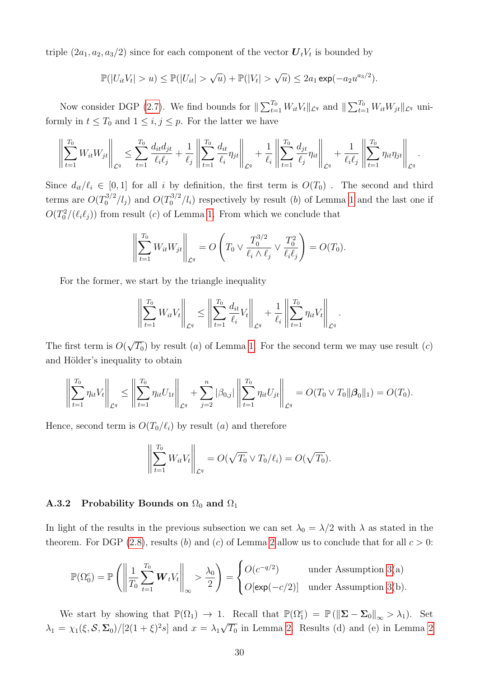triple  $(2a_1, a_2, a_3/2)$  since for each component of the vector  $\boldsymbol{U}_t V_t$  is bounded by

$$
\mathbb{P}(|U_{it}V_t| > u) \leq \mathbb{P}(|U_{it}| > \sqrt{u}) + \mathbb{P}(|V_t| > \sqrt{u}) \leq 2a_1 \exp(-a_2 u^{a_3/2}).
$$

Now consider DGP [\(2.7\)](#page-10-3). We find bounds for  $\|\sum_{t=1}^{T_0} W_{it} V_t\|_{\mathcal{L}^q}$  and  $\|\sum_{t=1}^{T_0} W_{it} W_{jt}\|_{\mathcal{L}^q}$  uniformly in  $t \leq T_0$  and  $1 \leq i, j \leq p$ . For the latter we have

$$
\left\| \sum_{t=1}^{T_0} W_{it} W_{jt} \right\|_{\mathcal{L}^q} \leq \sum_{t=1}^{T_0} \frac{d_{it} d_{jt}}{\ell_i \ell_j} + \frac{1}{\ell_j} \left\| \sum_{t=1}^{T_0} \frac{d_{it}}{\ell_i} \eta_{jt} \right\|_{\mathcal{L}^q} + \frac{1}{\ell_i} \left\| \sum_{t=1}^{T_0} \frac{d_{jt}}{\ell_j} \eta_{it} \right\|_{\mathcal{L}^q} + \frac{1}{\ell_i \ell_j} \left\| \sum_{t=1}^{T_0} \eta_{it} \eta_{jt} \right\|_{\mathcal{L}^q}.
$$

Since  $d_{it}/\ell_i \in [0, 1]$  for all i by definition, the first term is  $O(T_0)$ . The second and third terms are  $O(T_0^{3/2})$  $0^{3/2}/l_j$  and  $O(T_0^{3/2})$  $\int_0^{5/2}$ / $l_i$ ) respectively by result (b) of Lemma [1](#page-34-0) and the last one if  $O(T_0^2/(\ell_i\ell_j))$  from result (c) of Lemma [1.](#page-34-0) From which we conclude that

$$
\left\| \sum_{t=1}^{T_0} W_{it} W_{jt} \right\|_{\mathcal{L}^q} = O\left( T_0 \vee \frac{T_0^{3/2}}{\ell_i \wedge \ell_j} \vee \frac{T_0^2}{\ell_i \ell_j} \right) = O(T_0).
$$

For the former, we start by the triangle inequality

$$
\left\| \sum_{t=1}^{T_0} W_{it} V_t \right\|_{\mathcal{L}^q} \leq \left\| \sum_{t=1}^{T_0} \frac{d_{it}}{\ell_i} V_t \right\|_{\mathcal{L}^q} + \frac{1}{\ell_i} \left\| \sum_{t=1}^{T_0} \eta_{it} V_t \right\|_{\mathcal{L}^q}.
$$

The first term is O( √  $\overline{T_0}$ ) by result (*a*) of Lemma [1.](#page-34-0) For the second term we may use result (*c*) and Hölder's inequality to obtain

$$
\left\|\sum_{t=1}^{T_0}\eta_{it}V_t\right\|_{\mathcal{L}^q}\leq \left\|\sum_{t=1}^{T_0}\eta_{it}U_{1t}\right\|_{\mathcal{L}^q}+\sum_{j=2}^n|\beta_{0,j}|\left\|\sum_{t=1}^{T_0}\eta_{it}U_{jt}\right\|_{\mathcal{L}^q}=O(T_0\vee T_0\|\boldsymbol{\beta}_0\|_1)=O(T_0).
$$

Hence, second term is  $O(T_0/\ell_i)$  by result (a) and therefore

$$
\left\| \sum_{t=1}^{T_0} W_{it} V_t \right\|_{\mathcal{L}^q} = O(\sqrt{T_0} \vee T_0 / \ell_i) = O(\sqrt{T_0}).
$$

#### A.3.2 Probability Bounds on  $\Omega_0$  and  $\Omega_1$

In light of the results in the previous subsection we can set  $\lambda_0 = \lambda/2$  with  $\lambda$  as stated in the theorem. For DGP [\(2.8\)](#page-10-4), results (b) and (c) of Lemma [2](#page-35-0) allow us to conclude that for all  $c > 0$ :

$$
\mathbb{P}(\Omega_0^c) = \mathbb{P}\left(\left\|\frac{1}{T_0}\sum_{t=1}^{T_0} \boldsymbol{W}_t V_t\right\|_{\infty} > \frac{\lambda_0}{2}\right) = \begin{cases} O(c^{-q/2}) & \text{under Assumption 3(a)}\\ O[\exp(-c/2)] & \text{under Assumption 3(b).} \end{cases}
$$

We start by showing that  $\mathbb{P}(\Omega_1) \to 1$ . Recall that  $\mathbb{P}(\Omega_1^c) = \mathbb{P}(\|\mathbf{\Sigma} - \mathbf{\Sigma}_0\|_{\infty} > \lambda_1)$ . Set  $\lambda_1 = \chi_1(\xi, \mathcal{S}, \Sigma_0) / [2(1+\xi)^2 s]$  and  $x = \lambda_1$ √  $\overline{T_0}$  in Lemma [2.](#page-35-0) Results (d) and (e) in Lemma [2](#page-35-0)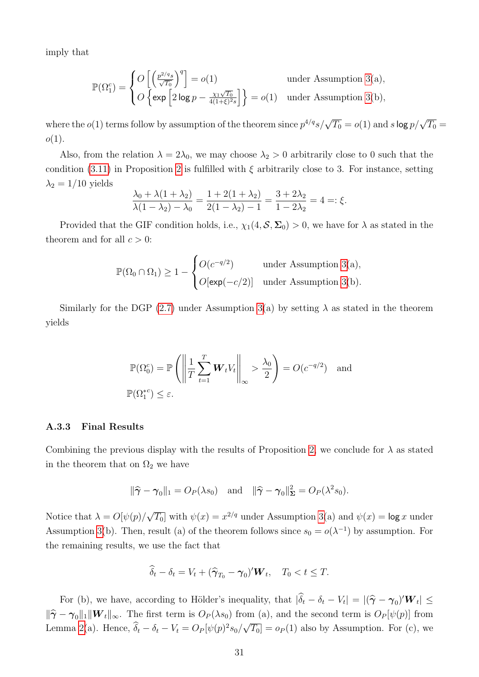imply that

$$
\mathbb{P}(\Omega_1^c) = \begin{cases} O\left[\left(\frac{p^{2/q_s}}{\sqrt{T_0}}\right)^q\right] = o(1) & \text{under Assumption 3(a)},\\ O\left\{\exp\left[2\log p - \frac{\chi_1\sqrt{T_0}}{4(1+\xi)^{2_s}}\right]\right\} = o(1) & \text{under Assumption 3(b)}, \end{cases}
$$

where the  $o(1)$  terms follow by assumption of the theorem since  $p^{4/q}s/\sqrt{T_0} = o(1)$  and  $s$  log  $p/\sqrt{T_0} =$  $o(1)$ .

Also, from the relation  $\lambda = 2\lambda_0$ , we may choose  $\lambda_2 > 0$  arbitrarily close to 0 such that the condition [\(3.11\)](#page-17-3) in Proposition [2](#page-17-0) is fulfilled with  $\xi$  arbitrarily close to 3. For instance, setting  $\lambda_2 = 1/10$  yields

$$
\frac{\lambda_0 + \lambda(1 + \lambda_2)}{\lambda(1 - \lambda_2) - \lambda_0} = \frac{1 + 2(1 + \lambda_2)}{2(1 - \lambda_2) - 1} = \frac{3 + 2\lambda_2}{1 - 2\lambda_2} = 4 =: \xi.
$$

Provided that the GIF condition holds, i.e.,  $\chi_1(4, \mathcal{S}, \Sigma_0) > 0$ , we have for  $\lambda$  as stated in the theorem and for all  $c > 0$ :

$$
\mathbb{P}(\Omega_0 \cap \Omega_1) \ge 1 - \begin{cases} O(c^{-q/2}) & \text{under Assumption 3(a)}, \\ O[\exp(-c/2)] & \text{under Assumption 3(b)}. \end{cases}
$$

Similarly for the DGP [\(2.7\)](#page-10-3) under Assumption [3\(](#page-10-1)a) by setting  $\lambda$  as stated in the theorem yields

$$
\mathbb{P}(\Omega_0^c) = \mathbb{P}\left(\left\|\frac{1}{T}\sum_{t=1}^T \mathbf{W}_t V_t\right\|_{\infty} > \frac{\lambda_0}{2}\right) = O(c^{-q/2}) \text{ and}
$$
  

$$
\mathbb{P}(\Omega_1^{*c}) \le \varepsilon.
$$

#### A.3.3 Final Results

Combining the previous display with the results of Proposition [2,](#page-17-0) we conclude for  $\lambda$  as stated in the theorem that on  $\Omega_2$  we have

$$
\|\hat{\boldsymbol{\gamma}} - \boldsymbol{\gamma}_0\|_1 = O_P(\lambda s_0)
$$
 and  $\|\hat{\boldsymbol{\gamma}} - \boldsymbol{\gamma}_0\|_{\boldsymbol{\Sigma}}^2 = O_P(\lambda^2 s_0).$ 

Notice that  $\lambda = O[\psi(p)]$ √  $\overline{T_0}$  with  $\psi(x) = x^{2/q}$  under Assumption [3\(](#page-10-1)a) and  $\psi(x) = \log x$  under Assumption [3\(](#page-10-1)b). Then, result (a) of the theorem follows since  $s_0 = o(\lambda^{-1})$  by assumption. For the remaining results, we use the fact that

$$
\widehat{\delta}_t - \delta_t = V_t + (\widehat{\boldsymbol{\gamma}}_{T_0} - \boldsymbol{\gamma}_0)' \boldsymbol{W}_t, \quad T_0 < t \leq T.
$$

For (b), we have, according to Hölder's inequality, that  $|\hat{\delta}_t - \delta_t - V_t| = |(\hat{\gamma} - \gamma_0)' \mathbf{W}_t| \le$  $\|\hat{\boldsymbol{\gamma}} - \boldsymbol{\gamma}_0\|_1 \|\boldsymbol{W}_t\|_{\infty}$ . The first term is  $O_P(\lambda s_0)$  from (a), and the second term is  $O_P[\psi(p)]$  from Lemma [2\(](#page-35-0)a). Hence,  $\delta_t - \delta_t - V_t = O_P[\psi(p)^2 s_0]$ √  $\overline{T_0}$  =  $o_P(1)$  also by Assumption. For (c), we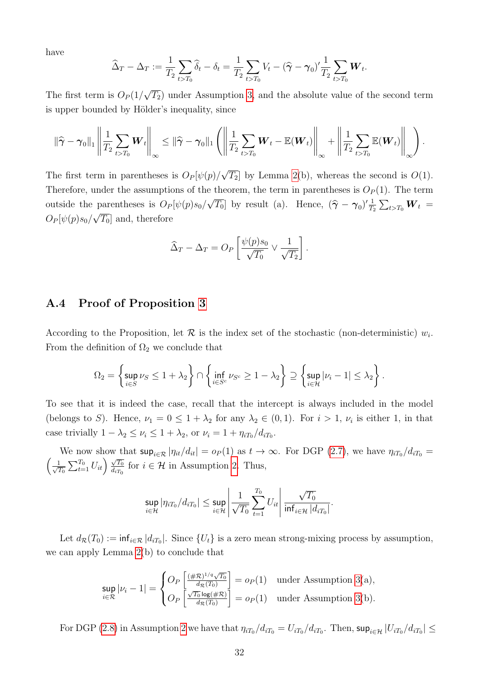have

$$
\widehat{\Delta}_T - \Delta_T := \frac{1}{T_2} \sum_{t > T_0} \widehat{\delta}_t - \delta_t = \frac{1}{T_2} \sum_{t > T_0} V_t - (\widehat{\gamma} - \gamma_0)' \frac{1}{T_2} \sum_{t > T_0} \boldsymbol{W}_t.
$$

The first term is  $O_P(1)$  $\langle T_2 \rangle$  under Assumption [3,](#page-10-1) and the absolute value of the second term is upper bounded by Hölder's inequality, since

$$
\|\widehat{\gamma}-\gamma_0\|_1 \left\|\frac{1}{T_2}\sum_{t>T_0}\boldsymbol{W}_t\right\|_{\infty} \leq \|\widehat{\gamma}-\gamma_0\|_1 \left(\left\|\frac{1}{T_2}\sum_{t>T_0}\boldsymbol{W}_t - \mathbb{E}(\boldsymbol{W}_t)\right\|_{\infty} + \left\|\frac{1}{T_2}\sum_{t>T_0}\mathbb{E}(\boldsymbol{W}_t)\right\|_{\infty}\right).
$$

The first term in parentheses is  $O_P[\psi(p)]$ √  $\overline{T_2}$  by Lemma [2\(](#page-35-0)b), whereas the second is  $O(1)$ . Therefore, under the assumptions of the theorem, the term in parentheses is  $O_P(1)$ . The term outside the parentheses is  $O_P[\psi(p)s_0]$ √  $\overline{T_0}$  by result (a). Hence,  $(\hat{\gamma} - \gamma_0)' \frac{1}{T_1}$ parentheses is  $O_P[\psi(p)s_0/\sqrt{T_0}]$  by result (a). Hence,  $(\hat{\gamma} - \gamma_0)' \frac{1}{T_2} \sum_{t > T_0} \mathbf{W}_t =$  $O_P[\psi(p)s_0/\sqrt{T_0}]$  and, therefore

$$
\widehat{\Delta}_T - \Delta_T = O_P \left[ \frac{\psi(p) s_0}{\sqrt{T_0}} \vee \frac{1}{\sqrt{T_2}} \right].
$$

# A.4 Proof of Proposition [3](#page-19-0)

According to the Proposition, let  $\mathcal R$  is the index set of the stochastic (non-deterministic)  $w_i$ . From the definition of  $\Omega_2$  we conclude that

$$
\Omega_2 = \left\{\sup_{i\in S}\nu_S\le 1+\lambda_2\right\}\cap \left\{\inf_{i\in S^c}\nu_{S^c}\ge 1-\lambda_2\right\}\supseteq \left\{\sup_{i\in \mathcal{H}}|\nu_i-1|\le \lambda_2\right\}.
$$

To see that it is indeed the case, recall that the intercept is always included in the model (belongs to S). Hence,  $\nu_1 = 0 \leq 1 + \lambda_2$  for any  $\lambda_2 \in (0,1)$ . For  $i > 1$ ,  $\nu_i$  is either 1, in that case trivially  $1 - \lambda_2 \le \nu_i \le 1 + \lambda_2$ , or  $\nu_i = 1 + \eta_{iT_0}/d_{iT_0}$ .

We now show that  $\sup_{i\in\mathcal{R}}|\eta_{it}/d_{it}| = o_P(1)$  as  $t\to\infty$ . For DGP [\(2.7\)](#page-10-3), we have  $\eta_{iT_0}/d_{iT_0} =$  $\frac{1}{\sqrt{2}}$  $\frac{1}{T_0}\sum_{t=1}^{T_0}U_{it} \overline{u} \frac{\sqrt{T_0}}{d_{iT_0}}$  $\frac{\sqrt{T_0}}{d_{iT_0}}$  for  $i \in \mathcal{H}$  in Assumption [2.](#page-10-2) Thus,

$$
\sup_{i\in\mathcal{H}}|\eta_{iT_0}/d_{iT_0}|\leq \sup_{i\in\mathcal{H}}\left|\frac{1}{\sqrt{T_0}}\sum_{t=1}^{T_0}U_{it}\right|\frac{\sqrt{T_0}}{\inf_{i\in\mathcal{H}}|d_{iT_0}|}.
$$

Let  $d_{\mathcal{R}}(T_0) := \inf_{i \in \mathcal{R}} |d_{iT_0}|$ . Since  $\{U_t\}$  is a zero mean strong-mixing process by assumption, we can apply Lemma [2\(](#page-35-0)b) to conclude that

$$
\sup_{i \in \mathcal{R}} |\nu_i - 1| = \begin{cases} O_P\left[\frac{(\#\mathcal{R})^{1/q}\sqrt{T_0}}{d_{\mathcal{R}}(T_0)}\right] = o_P(1) & \text{under Assumption 3(a)},\\ O_P\left[\frac{\sqrt{T_0}\log(\#\mathcal{R})}{d_{\mathcal{R}}(T_0)}\right] = o_P(1) & \text{under Assumption 3(b)}. \end{cases}
$$

For DGP [\(2.8\)](#page-10-4) in Assumption [2](#page-10-2) we have that  $\eta_{iT_0}/d_{iT_0} = U_{iT_0}/d_{iT_0}$ . Then,  $\sup_{i \in \mathcal{H}} |U_{iT_0}/d_{iT_0}| \le$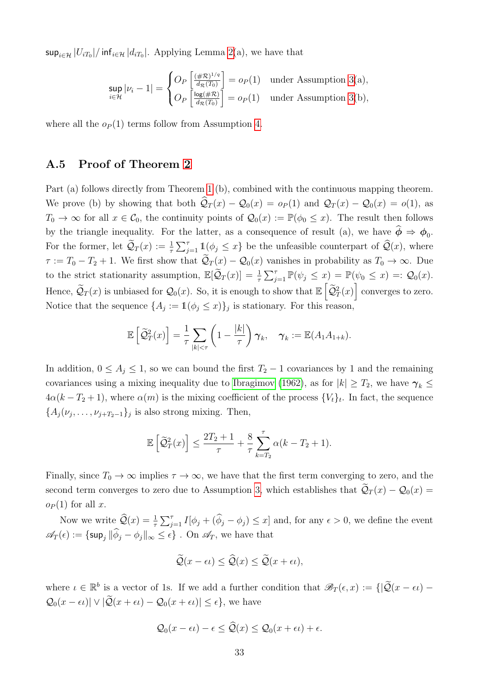$\sup_{i\in\mathcal{H}}|U_{iT_0}|/\inf_{i\in\mathcal{H}}|d_{iT_0}|.$  Applying Lemma [2\(](#page-35-0)a), we have that

$$
\sup_{i \in \mathcal{H}} |\nu_i - 1| = \begin{cases} O_P\left[\frac{(\#\mathcal{R})^{1/q}}{d_{\mathcal{R}}(T_0)}\right] = o_P(1) & \text{under Assumption 3(a)}, \\ O_P\left[\frac{\log(\#\mathcal{R})}{d_{\mathcal{R}}(T_0)}\right] = o_P(1) & \text{under Assumption 3(b)}, \end{cases}
$$

where all the  $o_P(1)$  terms follow from Assumption [4.](#page-13-3)

## A.5 Proof of Theorem [2](#page-20-1)

Part (a) follows directly from Theorem [1](#page-18-0) (b), combined with the continuous mapping theorem. We prove (b) by showing that both  $\hat{Q}_T (x) - Q_0 (x) = o_P (1)$  and  $\mathcal{Q}_T (x) - \mathcal{Q}_0 (x) = o(1)$ , as  $T_0 \to \infty$  for all  $x \in \mathcal{C}_0$ , the continuity points of  $\mathcal{Q}_0(x) := \mathbb{P}(\phi_0 \leq x)$ . The result then follows by the triangle inequality. For the latter, as a consequence of result (a), we have  $\phi \Rightarrow \phi_0$ . For the former, let  $\widetilde{\mathcal{Q}}_T(x) := \frac{1}{\tau} \sum_{j=1}^{\tau} \mathbb{1}_{\mathcal{Q}_j} (\phi_j \leq x)$  be the unfeasible counterpart of  $\widehat{\mathcal{Q}}(x)$ , where  $\tau := T_0 - T_2 + 1$ . We first show that  $\tilde{Q}_T(x) - Q_0(x)$  vanishes in probability as  $T_0 \to \infty$ . Due to the strict stationarity assumption,  $\mathbb{E}[\tilde{\mathcal{Q}}_T(x)] = \frac{1}{\tau} \sum_{j=1}^{\tau} \mathbb{P}(\psi_j \leq x) = \mathbb{P}(\psi_0 \leq x) =: \mathcal{Q}_0(x)$ . Hence,  $\tilde{\mathcal{Q}}_T(x)$  is unbiased for  $\mathcal{Q}_0(x)$ . So, it is enough to show that  $\mathbb{E}\left[\tilde{\mathcal{Q}}_T^2(x)\right]$  converges to zero. Notice that the sequence  $\{A_j := \mathbb{1}(\phi_j \leq x)\}_j$  is stationary. For this reason,

$$
\mathbb{E}\left[\widetilde{\mathcal{Q}}_T^2(x)\right] = \frac{1}{\tau} \sum_{|k| < \tau} \left(1 - \frac{|k|}{\tau}\right) \gamma_k, \quad \gamma_k := \mathbb{E}(A_1 A_{1+k}).
$$

In addition,  $0 \leq A_j \leq 1$ , so we can bound the first  $T_2 - 1$  covariances by 1 and the remaining covariances using a mixing inequality due to [Ibragimov](#page-51-11) [\(1962\)](#page-51-11), as for  $|k| \geq T_2$ , we have  $\gamma_k \leq$  $4\alpha(k-T_2+1)$ , where  $\alpha(m)$  is the mixing coefficient of the process  $\{V_t\}_t$ . In fact, the sequence  ${A_j(\nu_j,\ldots,\nu_{j+T_2-1})_j}$  is also strong mixing. Then,

$$
\mathbb{E}\left[\widetilde{\mathcal{Q}}_T^2(x)\right] \le \frac{2T_2+1}{\tau} + \frac{8}{\tau} \sum_{k=T_2}^{\tau} \alpha(k - T_2 + 1).
$$

Finally, since  $T_0 \to \infty$  implies  $\tau \to \infty$ , we have that the first term converging to zero, and the second term converges to zero due to Assumption [3,](#page-10-1) which establishes that  $\tilde{Q}_T(x) - Q_0(x) =$  $o_P(1)$  for all x.

Now we write  $\widehat{Q}(x) = \frac{1}{\tau} \sum_{j=1}^{\tau} I[\phi_j + (\widehat{\phi}_j - \phi_j)] \leq x$  and, for any  $\epsilon > 0$ , we define the event  $\mathscr{A}_T(\epsilon) := \{\sup_j \|\widehat{\phi}_j - \phi_j\|_{\infty} \leq \epsilon\}$ . On  $\mathscr{A}_T$ , we have that

$$
\widetilde{\mathcal{Q}}(x-\epsilon\iota) \leq \widehat{\mathcal{Q}}(x) \leq \widetilde{\mathcal{Q}}(x+\epsilon\iota),
$$

where  $\iota \in \mathbb{R}^b$  is a vector of 1s. If we add a further condition that  $\mathscr{B}_T(\epsilon, x) := \{|\widetilde{\mathcal{Q}}(x - \epsilon \iota) - \epsilon \cdot \iota| \leq \epsilon \leq \epsilon \}$  $\mathcal{Q}_0(x-\epsilon\iota)|\vee|\widetilde{\mathcal{Q}}(x+\epsilon\iota)-\mathcal{Q}_0(x+\epsilon\iota)|\leq \epsilon\},\,$  we have

$$
Q_0(x-\epsilon \iota) - \epsilon \leq \widehat{Q}(x) \leq Q_0(x+\epsilon \iota) + \epsilon.
$$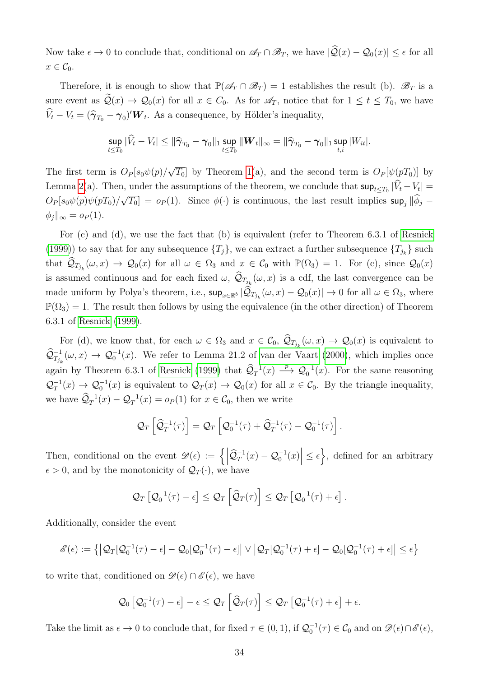Now take  $\epsilon \to 0$  to conclude that, conditional on  $\mathscr{A}_T \cap \mathscr{B}_T$ , we have  $|\mathcal{Q}(x) - \mathcal{Q}_0(x)| \leq \epsilon$  for all  $x \in \mathcal{C}_0$ .

Therefore, it is enough to show that  $\mathbb{P}(\mathscr{A}_T \cap \mathscr{B}_T) = 1$  establishes the result (b).  $\mathscr{B}_T$  is a sure event as  $\mathcal{Q}(x) \to \mathcal{Q}_0(x)$  for all  $x \in C_0$ . As for  $\mathcal{A}_T$ , notice that for  $1 \le t \le T_0$ , we have  $\hat{V}_t - V_t = (\hat{\boldsymbol{\gamma}}_{T_0} - \boldsymbol{\gamma}_0)' \boldsymbol{W}_t$ . As a consequence, by Hölder's inequality,

$$
\sup_{t \leq T_0} |\widehat{V}_t - V_t| \leq \|\widehat{\boldsymbol{\gamma}}_{T_0} - \boldsymbol{\gamma}_0\|_1 \sup_{t \leq T_0} \|\boldsymbol{W}_t\|_{\infty} = \|\widehat{\boldsymbol{\gamma}}_{T_0} - \boldsymbol{\gamma}_0\|_1 \sup_{t,i} |W_{it}|.
$$

The first term is  $O_P[s_0\psi(p)/$ √  $T_0$  by Theorem [1\(](#page-18-0)a), and the second term is  $O_P[\psi(pT_0)]$  by Lemma [2\(](#page-35-0)a). Then, under the assumptions of the theorem, we conclude that  $\sup_{t\leq T_0}|V_t-V_t|$  $O_P[s_0\psi(p)\psi(pT_0)/\sqrt{T_0}] = o_P(1)$ . Since  $\phi(\cdot)$  is continuous, the last result implies  $\sup_j \|\phi_j - \phi_j\|$ √  $\phi_j\|_{\infty} = o_P(1).$ 

For (c) and (d), we use the fact that (b) is equivalent (refer to Theorem 6.3.1 of [Resnick](#page-51-12) [\(1999\)](#page-51-12)) to say that for any subsequence  $\{T_j\}$ , we can extract a further subsequence  $\{T_{j_k}\}$  such that  $\widehat{\mathcal{Q}}_{T_{j_k}}(\omega, x) \to \mathcal{Q}_0(x)$  for all  $\omega \in \Omega_3$  and  $x \in \mathcal{C}_0$  with  $\mathbb{P}(\Omega_3) = 1$ . For (c), since  $\mathcal{Q}_0(x)$ is assumed continuous and for each fixed  $\omega$ ,  $\mathcal{Q}_{T_{j_k}}(\omega, x)$  is a cdf, the last convergence can be made uniform by Polya's theorem, i.e.,  $\sup_{x \in \mathbb{R}^b} |\mathcal{Q}_{T_{j_k}}(\omega, x) - \mathcal{Q}_0(x)| \to 0$  for all  $\omega \in \Omega_3$ , where  $\mathbb{P}(\Omega_3) = 1$ . The result then follows by using the equivalence (in the other direction) of Theorem 6.3.1 of [Resnick](#page-51-12) [\(1999\)](#page-51-12).

For (d), we know that, for each  $\omega \in \Omega_3$  and  $x \in \mathcal{C}_0$ ,  $\mathcal{Q}_{T_{j_k}}(\omega, x) \to \mathcal{Q}_0(x)$  is equivalent to  $\widehat{\mathcal{Q}}^{-1}_{T_{j_k}}(\omega, x) \to \mathcal{Q}_0^{-1}(x)$ . We refer to Lemma 21.2 of [van der Vaart](#page-52-1) [\(2000\)](#page-52-1), which implies once again by Theorem 6.3.1 of [Resnick](#page-51-12) [\(1999\)](#page-51-12) that  $\hat{Q}_T^{-1}(x) \longrightarrow Q_0^{-1}(x)$ . For the same reasoning  $\mathcal{Q}_T^{-1}$  $T_T^{-1}(x) \to \mathcal{Q}_0^{-1}(x)$  is equivalent to  $\mathcal{Q}_T(x) \to \mathcal{Q}_0(x)$  for all  $x \in \mathcal{C}_0$ . By the triangle inequality, we have  $\widehat{Q}_T^{-1}(x) - Q_T^{-1}(x) = o_P(1)$  for  $x \in C_0$ , then we write

$$
\mathcal{Q}_T\left[\widehat{\mathcal{Q}}_T^{-1}(\tau)\right] = \mathcal{Q}_T\left[\mathcal{Q}_0^{-1}(\tau) + \widehat{\mathcal{Q}}_T^{-1}(\tau) - \mathcal{Q}_0^{-1}(\tau)\right].
$$

Then, conditional on the event  $\mathscr{D}(\epsilon) := \left\{ \left| \widehat{\mathcal{Q}}_T^{-1}(x) - \mathcal{Q}_0^{-1}(x) \right| \leq \epsilon \right\}$ , defined for an arbitrary  $\epsilon > 0$ , and by the monotonicity of  $\mathcal{Q}_T(\cdot)$ , we have

$$
\mathcal{Q}_T\left[\mathcal{Q}_0^{-1}(\tau)-\epsilon\right] \leq \mathcal{Q}_T\left[\widehat{\mathcal{Q}}_T(\tau)\right] \leq \mathcal{Q}_T\left[\mathcal{Q}_0^{-1}(\tau)+\epsilon\right].
$$

Additionally, consider the event

$$
\mathscr{E}(\epsilon) := \left\{ \left| \mathcal{Q}_T[\mathcal{Q}_0^{-1}(\tau) - \epsilon] - \mathcal{Q}_0[\mathcal{Q}_0^{-1}(\tau) - \epsilon] \right| \vee \left| \mathcal{Q}_T[\mathcal{Q}_0^{-1}(\tau) + \epsilon] - \mathcal{Q}_0[\mathcal{Q}_0^{-1}(\tau) + \epsilon] \right| \leq \epsilon \right\}
$$

to write that, conditioned on  $\mathscr{D}(\epsilon) \cap \mathscr{E}(\epsilon)$ , we have

$$
Q_0\left[Q_0^{-1}(\tau)-\epsilon\right]-\epsilon\leq Q_T\left[\widehat{Q}_T(\tau)\right]\leq Q_T\left[Q_0^{-1}(\tau)+\epsilon\right]+\epsilon.
$$

Take the limit as  $\epsilon \to 0$  to conclude that, for fixed  $\tau \in (0,1)$ , if  $\mathcal{Q}_0^{-1}(\tau) \in \mathcal{C}_0$  and on  $\mathscr{D}(\epsilon) \cap \mathscr{E}(\epsilon)$ ,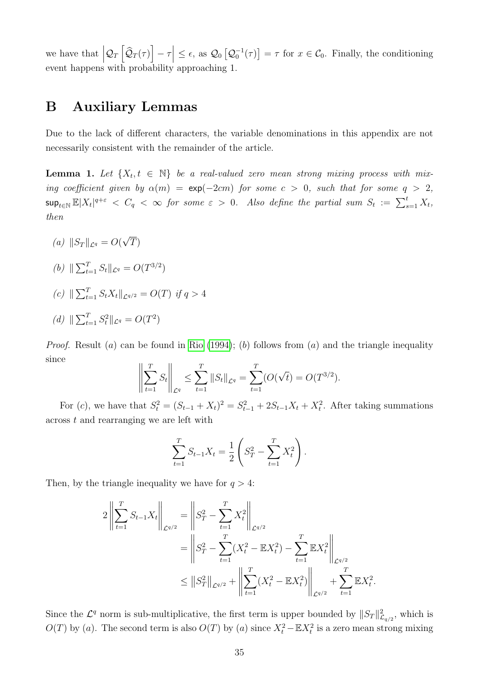we have that  $|\mathcal{Q}_T[\hat{\mathcal{Q}}_T(\tau)] - \tau| \leq \epsilon$ , as  $\mathcal{Q}_0[\mathcal{Q}_0^{-1}(\tau)] = \tau$  for  $x \in \mathcal{C}_0$ . Finally, the conditioning event happens with probability approaching 1.

# B Auxiliary Lemmas

Due to the lack of different characters, the variable denominations in this appendix are not necessarily consistent with the remainder of the article.

<span id="page-34-0"></span>**Lemma 1.** Let  $\{X_t, t \in \mathbb{N}\}\$  be a real-valued zero mean strong mixing process with mixing coefficient given by  $\alpha(m) = \exp(-2cm)$  for some  $c > 0$ , such that for some  $q > 2$ ,  $\sup_{t\in\mathbb{N}}\mathbb{E}|X_t|^{q+\varepsilon}\ <\ C_q\ <\ \infty\ \ for\ \ some\ \ \varepsilon\ >\ 0.\ \ \ \ Also\ \ define\ \ the\ \ partial\ \ sum\ \ S_t\ :=\ \sum_{s=1}^tX_t,$ then

- (a)  $\|S_T\|_{\mathcal{L}^q} = O($ √  $\left(T\right)$
- (b)  $\|\sum_{t=1}^T S_t\|_{\mathcal{L}^q} = O(T^{3/2})$
- (c)  $\|\sum_{t=1}^T S_t X_t\|_{\mathcal{L}^{q/2}} = O(T)$  if  $q > 4$

(d) 
$$
\|\sum_{t=1}^T S_t^2\|_{\mathcal{L}^q} = O(T^2)
$$

*Proof.* Result (a) can be found in [Rio](#page-51-13) [\(1994\)](#page-51-13); (b) follows from (a) and the triangle inequality since

$$
\left\| \sum_{t=1}^{T} S_t \right\|_{\mathcal{L}^q} \le \sum_{t=1}^{T} \left\| S_t \right\|_{\mathcal{L}^q} = \sum_{t=1}^{T} (O(\sqrt{t}) = O(T^{3/2}).
$$

For (c), we have that  $S_t^2 = (S_{t-1} + X_t)^2 = S_{t-1}^2 + 2S_{t-1}X_t + X_t^2$ . After taking summations across t and rearranging we are left with

$$
\sum_{t=1}^{T} S_{t-1} X_t = \frac{1}{2} \left( S_T^2 - \sum_{t=1}^{T} X_t^2 \right).
$$

Then, by the triangle inequality we have for  $q > 4$ :

$$
2\left\| \sum_{t=1}^{T} S_{t-1} X_t \right\|_{\mathcal{L}^{q/2}} = \left\| S_T^2 - \sum_{t=1}^{T} X_t^2 \right\|_{\mathcal{L}^{q/2}} = \left\| S_T^2 - \sum_{t=1}^{T} (X_t^2 - \mathbb{E} X_t^2) - \sum_{t=1}^{T} \mathbb{E} X_t^2 \right\|_{\mathcal{L}^{q/2}} \leq \left\| S_T^2 \right\|_{\mathcal{L}^{q/2}} + \left\| \sum_{t=1}^{T} (X_t^2 - \mathbb{E} X_t^2) \right\|_{\mathcal{L}^{q/2}} + \sum_{t=1}^{T} \mathbb{E} X_t^2.
$$

Since the  $\mathcal{L}^q$  norm is sub-multiplicative, the first term is upper bounded by  $||S_T||_{\mathcal{L}_{q/2}}^2$ , which is  $O(T)$  by (a). The second term is also  $O(T)$  by (a) since  $X_t^2 - \mathbb{E}X_t^2$  is a zero mean strong mixing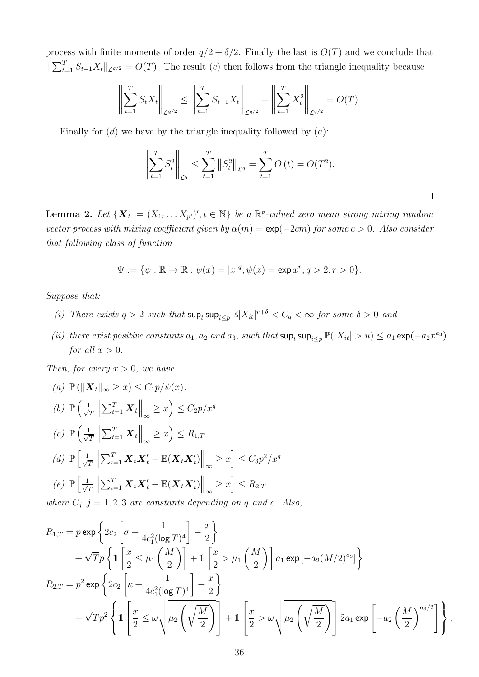process with finite moments of order  $q/2 + \delta/2$ . Finally the last is  $O(T)$  and we conclude that  $\|\sum_{t=1}^T S_{t-1}X_t\|_{\mathcal{L}^{q/2}} = O(T)$ . The result (c) then follows from the triangle inequality because

$$
\left\| \sum_{t=1}^{T} S_t X_t \right\|_{\mathcal{L}^{q/2}} \le \left\| \sum_{t=1}^{T} S_{t-1} X_t \right\|_{\mathcal{L}^{q/2}} + \left\| \sum_{t=1}^{T} X_t^2 \right\|_{\mathcal{L}^{q/2}} = O(T).
$$

Finally for  $(d)$  we have by the triangle inequality followed by  $(a)$ :

$$
\left\| \sum_{t=1}^{T} S_t^2 \right\|_{\mathcal{L}^q} \le \sum_{t=1}^{T} \left\| S_t^2 \right\|_{\mathcal{L}^q} = \sum_{t=1}^{T} O(t) = O(T^2).
$$

 $\Box$ 

<span id="page-35-0"></span>**Lemma 2.** Let  $\{X_t := (X_{1t} \dots X_{pt})', t \in \mathbb{N}\}\$  be a  $\mathbb{R}^p$ -valued zero mean strong mixing random vector process with mixing coefficient given by  $\alpha(m) = \exp(-2cm)$  for some  $c > 0$ . Also consider that following class of function

$$
\Psi := \{ \psi : \mathbb{R} \to \mathbb{R} : \psi(x) = |x|^q, \psi(x) = \exp x^r, q > 2, r > 0 \}.
$$

Suppose that:

- (i) There exists  $q > 2$  such that  $\sup_t \sup_{x \leq p} \mathbb{E}|X_{it}|^{r+\delta} < C_q < \infty$  for some  $\delta > 0$  and
- (ii) there exist positive constants  $a_1, a_2$  and  $a_3$ , such that  $\sup_t \sup_{s\leq p} \mathbb{P}(|X_{it}| > u) \leq a_1 \exp(-a_2 x^{a_3})$ for all  $x > 0$ .

Then, for every  $x > 0$ , we have

(a) 
$$
\mathbb{P}(\|\mathbf{X}_t\|_{\infty} \geq x) \leq C_1 p/\psi(x).
$$
  
\n(b)  $\mathbb{P}\left(\frac{1}{\sqrt{T}}\left\|\sum_{t=1}^T \mathbf{X}_t\right\|_{\infty} \geq x\right) \leq C_2 p/x^q$   
\n(c)  $\mathbb{P}\left(\frac{1}{\sqrt{T}}\left\|\sum_{t=1}^T \mathbf{X}_t\right\|_{\infty} \geq x\right) \leq R_{1,T}.$   
\n(d)  $\mathbb{P}\left[\frac{1}{\sqrt{T}}\left\|\sum_{t=1}^T \mathbf{X}_t \mathbf{X}_t' - \mathbb{E}(\mathbf{X}_t \mathbf{X}_t')\right\|_{\infty} \geq x\right] \leq C_3 p^2/x^q$   
\n(e)  $\mathbb{P}\left[\frac{1}{\sqrt{T}}\left\|\sum_{t=1}^T \mathbf{X}_t \mathbf{X}_t' - \mathbb{E}(\mathbf{X}_t \mathbf{X}_t')\right\|_{\infty} \geq x\right] \leq R_{2,T}$   
\nwhere  $C$ ,  $i = 1, 2, 3$  are constants denoted as an edge, and  $c$ .

where  $C_j$ ,  $j = 1, 2, 3$  are constants depending on q and c. Also,

$$
R_{1,T} = p \exp \left\{ 2c_2 \left[ \sigma + \frac{1}{4c_1^2 (\log T)^4} \right] - \frac{x}{2} \right\}
$$
  
+  $\sqrt{T}p \left\{ 1 \left[ \frac{x}{2} \le \mu_1 \left( \frac{M}{2} \right) \right] + 1 \left[ \frac{x}{2} > \mu_1 \left( \frac{M}{2} \right) \right] a_1 \exp \left[ -a_2 (M/2)^{a_3} \right] \right\}$   

$$
R_{2,T} = p^2 \exp \left\{ 2c_2 \left[ \kappa + \frac{1}{4c_1^2 (\log T)^4} \right] - \frac{x}{2} \right\}
$$
  
+  $\sqrt{T}p^2 \left\{ 1 \left[ \frac{x}{2} \le \omega \sqrt{\mu_2 \left( \sqrt{\frac{M}{2}} \right)} \right] + 1 \left[ \frac{x}{2} > \omega \sqrt{\mu_2 \left( \sqrt{\frac{M}{2}} \right)} \right] 2a_1 \exp \left[ -a_2 \left( \frac{M}{2} \right)^{a_3/2} \right] \right\},$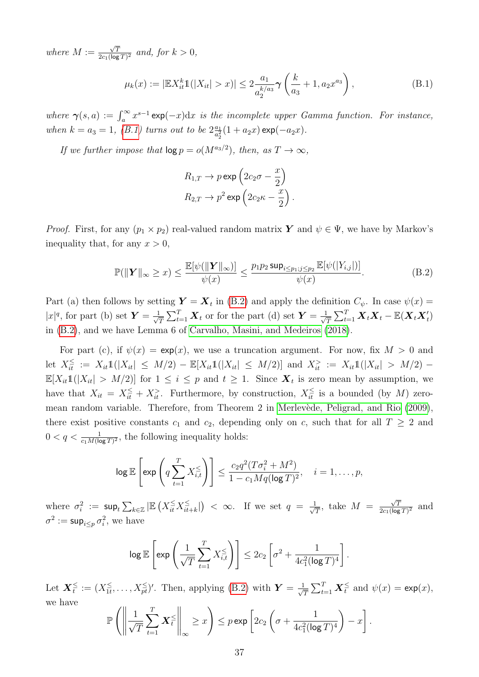where  $M :=$  $\sqrt{T}$  $\frac{\sqrt{T}}{2c_1(\log T)^2}$  and, for  $k > 0$ ,

<span id="page-36-0"></span>
$$
\mu_k(x) := |\mathbb{E}X_{it}^k \mathbb{1}(|X_{it}| > x)| \le 2\frac{a_1}{a_2^{k/a_3}} \gamma\left(\frac{k}{a_3} + 1, a_2 x^{a_3}\right),\tag{B.1}
$$

where  $\gamma(s,a) := \int_a^{\infty} x^{s-1} \exp(-x) dx$  is the incomplete upper Gamma function. For instance, when  $k = a_3 = 1$ , [\(B.1\)](#page-36-0) turns out to be  $2\frac{a_1}{a_2^2}$  $\frac{a_1}{a_2^2}(1 + a_2x) \exp(-a_2x)$ .

If we further impose that  $\log p = o(M^{a_3/2})$ , then, as  $T \to \infty$ ,

$$
R_{1,T} \to p \exp\left(2c_2\sigma - \frac{x}{2}\right)
$$
  

$$
R_{2,T} \to p^2 \exp\left(2c_2\kappa - \frac{x}{2}\right).
$$

*Proof.* First, for any  $(p_1 \times p_2)$  real-valued random matrix Y and  $\psi \in \Psi$ , we have by Markov's inequality that, for any  $x > 0$ ,

<span id="page-36-1"></span>
$$
\mathbb{P}(\|\boldsymbol{Y}\|_{\infty} \geq x) \leq \frac{\mathbb{E}[\psi(\|\boldsymbol{Y}\|_{\infty})]}{\psi(x)} \leq \frac{p_1 p_2 \sup_{i \leq p_1, j \leq p_2} \mathbb{E}[\psi(|Y_{i,j}|)]}{\psi(x)}.
$$
\n(B.2)

Part (a) then follows by setting  $\boldsymbol{Y} = \boldsymbol{X}_t$  in [\(B.2\)](#page-36-1) and apply the definition  $C_{\psi}$ . In case  $\psi(x) =$  $|x|^q$ , for part (b) set  $\boldsymbol{Y} = \frac{1}{\sqrt{q}}$  $\frac{1}{T} \sum_{t=1}^{T} \boldsymbol{X}_t$  or for the part (d) set  $\boldsymbol{Y} = \frac{1}{\sqrt{2}}$  $\frac{1}{T}\sum_{t=1}^T \boldsymbol{X}_t \boldsymbol{X}_t - \mathbb{E}(\boldsymbol{X}_t \boldsymbol{X}_t')$ in [\(B.2\)](#page-36-1), and we have Lemma 6 of [Carvalho, Masini, and Medeiros](#page-50-6) [\(2018\)](#page-50-6).

For part (c), if  $\psi(x) = \exp(x)$ , we use a truncation argument. For now, fix  $M > 0$  and let  $X_{it}^{\leq} := X_{it}1(|X_{it}| \leq M/2) - \mathbb{E}[X_{it}1(|X_{it}| \leq M/2)]$  and  $X_{it}^{\geq} := X_{it}1(|X_{it}| > M/2) \mathbb{E}[X_{it}1(|X_{it}| > M/2)]$  for  $1 \leq i \leq p$  and  $t \geq 1$ . Since  $\mathbf{X}_t$  is zero mean by assumption, we have that  $X_{it} = X_{it}^{\leq} + X_{it}^{\geq}$ . Furthermore, by construction,  $X_{it}^{\leq}$  is a bounded (by M) zero-mean random variable. Therefore, from Theorem 2 in Merlevède, Peligrad, and Rio [\(2009\)](#page-51-9), there exist positive constants  $c_1$  and  $c_2$ , depending only on c, such that for all  $T \geq 2$  and  $0 < q < \frac{1}{c_1 M (\log T)^2}$ , the following inequality holds:

$$
\log \mathbb{E}\left[\exp\left(q\sum_{t=1}^T X_{i,t}^{\leq}\right)\right] \leq \frac{c_2 q^2 (T\sigma_i^2 + M^2)}{1 - c_1 M q (\log T)^2}, \quad i = 1, \dots, p,
$$

where  $\sigma_i^2$  :=  $\sup_t \sum_{k \in \mathbb{Z}} |\mathbb{E}\left( X_{it}^{\leq} X_{it}^{\leq} \right)$  $\left(\frac{1}{it+k}\right)$  <  $\infty$ . If we set  $q = \frac{1}{\sqrt{n}}$  $\frac{1}{\overline{T}}$ , take  $M =$  $\sqrt{T}$  $\frac{\sqrt{T}}{2c_1(\log T)^2}$  and  $\sigma^2 := \sup_{i \leq p} \sigma_i^2$ , we have

$$
\log \mathbb{E}\left[\exp\left(\frac{1}{\sqrt{T}}\sum_{t=1}^T X_{i,t}^{\leq}\right)\right] \leq 2c_2\left[\sigma^2 + \frac{1}{4c_1^2(\log T)^4}\right].
$$

Let  $\boldsymbol{X}_t^{\leq} := (X_{1t}^{\leq}$  $\sum_{i=1}^{n}$ , ...,  $X_{pt}^{\leq}$  /. Then, applying [\(B.2\)](#page-36-1) with  $\boldsymbol{Y} = \frac{1}{\sqrt{n}}$  $\frac{1}{T} \sum_{t=1}^{T} \boldsymbol{X}_t^{\leq}$  and  $\psi(x) = \exp(x),$ we have

$$
\mathbb{P}\left(\left\|\frac{1}{\sqrt{T}}\sum_{t=1}^T \boldsymbol{X}_t^{\leq}\right\|_{\infty}\geq x\right)\leq p \exp\left[2c_2\left(\sigma+\frac{1}{4c_1^2(\log T)^4}\right)-x\right].
$$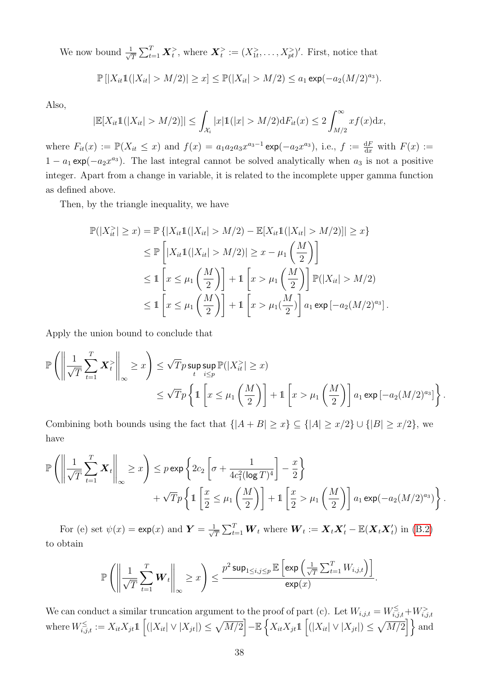We now bound  $\frac{1}{\sqrt{2}}$  $\frac{1}{T} \sum_{t=1}^T \bm{X}_t^>$ , where  $\bm{X}_t^> := (X_{1t}^>, \ldots, X_{pt}^>)'$ . First, notice that

$$
\mathbb{P}\left[|X_{it}\mathbb{1}(|X_{it}| > M/2)| \geq x\right] \leq \mathbb{P}(|X_{it}| > M/2) \leq a_1 \exp(-a_2(M/2)^{a_3}).
$$

Also,

$$
|\mathbb{E}[X_{it}\mathbb{1}(|X_{it}| > M/2)]| \leq \int_{\mathcal{X}_i} |x| \mathbb{1}(|x| > M/2) \mathrm{d}F_{it}(x) \leq 2 \int_{M/2}^{\infty} x f(x) \mathrm{d}x,
$$

where  $F_{it}(x) := \mathbb{P}(X_{it} \leq x)$  and  $f(x) = a_1 a_2 a_3 x^{a_3-1} \exp(-a_2 x^{a_3})$ , i.e.,  $f := \frac{dF}{dx}$  with  $F(x) :=$  $1 - a_1 \exp(-a_2 x^{a_3})$ . The last integral cannot be solved analytically when  $a_3$  is not a positive integer. Apart from a change in variable, it is related to the incomplete upper gamma function as defined above.

Then, by the triangle inequality, we have

$$
\mathbb{P}(|X_{it}^{\geq}| \geq x) = \mathbb{P}\{|X_{it}\mathbb{1}(|X_{it}| > M/2) - \mathbb{E}[X_{it}\mathbb{1}(|X_{it}| > M/2)]| \geq x\} \\
\leq \mathbb{P}\left[|X_{it}\mathbb{1}(|X_{it}| > M/2)| \geq x - \mu_1\left(\frac{M}{2}\right)\right] \\
\leq 1 \left[x \leq \mu_1\left(\frac{M}{2}\right)\right] + 1 \left[x > \mu_1\left(\frac{M}{2}\right)\right] \mathbb{P}(|X_{it}| > M/2) \\
\leq 1 \left[x \leq \mu_1\left(\frac{M}{2}\right)\right] + 1 \left[x > \mu_1\left(\frac{M}{2}\right)\right] a_1 \exp\left[-a_2(M/2)^{a_3}\right].
$$

Apply the union bound to conclude that

$$
\mathbb{P}\left(\left\|\frac{1}{\sqrt{T}}\sum_{t=1}^T \mathbf{X}_t^{\geqslant}\right\|_{\infty} \geq x\right) \leq \sqrt{T}p \sup_t \sup_{t} \mathbb{P}(|X_{it}^{\geqslant}| \geq x) \leq \sqrt{T}p \left\{1\left[x \leq \mu_1\left(\frac{M}{2}\right)\right] + 1\left[x > \mu_1\left(\frac{M}{2}\right)\right]a_1 \exp\left[-a_2(M/2)^{a_3}\right]\right\}.
$$

Combining both bounds using the fact that  $\{|A + B| \ge x\} \subseteq \{|A| \ge x/2\} \cup \{|B| \ge x/2\}$ , we have

$$
\mathbb{P}\left(\left\|\frac{1}{\sqrt{T}}\sum_{t=1}^T \mathbf{X}_t\right\|_{\infty} \geq x\right) \leq p \exp\left\{2c_2\left[\sigma + \frac{1}{4c_1^2(\log T)^4}\right] - \frac{x}{2}\right\} + \sqrt{T}p\left\{\mathbb{1}\left[\frac{x}{2} \leq \mu_1\left(\frac{M}{2}\right)\right] + \mathbb{1}\left[\frac{x}{2} > \mu_1\left(\frac{M}{2}\right)\right]a_1\exp(-a_2(M/2)^{a_3})\right\}.
$$

For (e) set  $\psi(x) = \exp(x)$  and  $\boldsymbol{Y} = \frac{1}{\sqrt{2}}$  $\frac{1}{T} \sum_{t=1}^{T} \bm{W}_t$  where  $\bm{W}_t := \bm{X}_t \bm{X}_t' - \mathbb{E}(\bm{X}_t \bm{X}_t')$  in [\(B.2\)](#page-36-1) to obtain

$$
\mathbb{P}\left(\left\|\frac{1}{\sqrt{T}}\sum_{t=1}^T \boldsymbol{W}_t\right\|_{\infty} \geq x\right) \leq \frac{p^2 \sup_{1\leq i,j\leq p} \mathbb{E}\left[\exp\left(\frac{1}{\sqrt{T}}\sum_{t=1}^T W_{i,j,t}\right)\right]}{\exp(x)}.
$$

We can conduct a similar truncation argument to the proof of part (c). Let  $W_{i,j,t} = W_{i,j,t}^{\leq} + W_{i,j,t}^{>}$ where  $W_{i,j,t}^{\leq}:=X_{it}X_{jt}\mathbb{1}\left[(|X_{it}|\vee|X_{jt}|)\leq \sqrt{M/2}\right]-\mathbb{E}\left\{X_{it}X_{jt}\mathbb{1}\left[(|X_{it}|\vee|X_{jt}|)\leq \sqrt{M/2}\right]\right\}$  and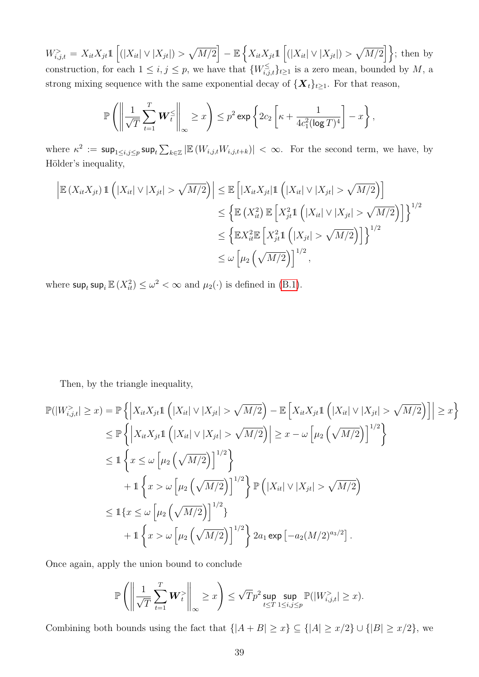$W_{i,j,t}^{\geq} = X_{it}X_{jt}\mathbb{1}\left[\left(|X_{it}| \vee |X_{jt}|\right) > \sqrt{M/2}\right] - \mathbb{E}\left\{X_{it}X_{jt}\mathbb{1}\left[\left(|X_{it}| \vee |X_{jt}|\right) > \sqrt{M/2}\right]\right\};$  then by construction, for each  $1 \leq i, j \leq p$ , we have that  $\{W_{i,j,t}^{\leq}\}_{t \geq 1}$  is a zero mean, bounded by M, a strong mixing sequence with the same exponential decay of  $\{X_t\}_{t\geq 1}$ . For that reason,

$$
\mathbb{P}\left(\left\|\frac{1}{\sqrt{T}}\sum_{t=1}^T \boldsymbol{W}_t^{\leq}\right\|_{\infty}\geq x\right)\leq p^2\exp\left\{2c_2\left[\kappa+\frac{1}{4c_1^2(\log T)^4}\right]-x\right\},\right
$$

where  $\kappa^2 := \sup_{1 \leq i,j \leq p} \sup_t \sum_{k \in \mathbb{Z}} |\mathbb{E}(W_{i,j,t}W_{i,j,t+k})| < \infty$ . For the second term, we have, by Hölder's inequality,

$$
\left| \mathbb{E} \left( X_{it} X_{jt} \right) \mathbb{1} \left( |X_{it}| \vee |X_{jt}| > \sqrt{M/2} \right) \right| \leq \mathbb{E} \left[ |X_{it} X_{jt}| \mathbb{1} \left( |X_{it}| \vee |X_{jt}| > \sqrt{M/2} \right) \right]
$$
  
\n
$$
\leq \left\{ \mathbb{E} \left( X_{it}^2 \right) \mathbb{E} \left[ X_{jt}^2 \mathbb{1} \left( |X_{it}| \vee |X_{jt}| > \sqrt{M/2} \right) \right] \right\}^{1/2}
$$
  
\n
$$
\leq \left\{ \mathbb{E} X_{it}^2 \mathbb{E} \left[ X_{jt}^2 \mathbb{1} \left( |X_{jt}| > \sqrt{M/2} \right) \right] \right\}^{1/2}
$$
  
\n
$$
\leq \omega \left[ \mu_2 \left( \sqrt{M/2} \right) \right]^{1/2},
$$

where  $\sup_t \sup_i \mathbb{E}(X_{it}^2) \leq \omega^2 < \infty$  and  $\mu_2(\cdot)$  is defined in [\(B.1\)](#page-36-0).

Then, by the triangle inequality,

$$
\mathbb{P}(|W_{i,j,t}^{\geq}| \geq x) = \mathbb{P}\left\{\left|X_{it}X_{jt}\mathbb{1}\left(|X_{it}| \vee |X_{jt}| > \sqrt{M/2}\right) - \mathbb{E}\left[X_{it}X_{jt}\mathbb{1}\left(|X_{it}| \vee |X_{jt}| > \sqrt{M/2}\right)\right]\right| \geq x\right\}
$$
\n
$$
\leq \mathbb{P}\left\{\left|X_{it}X_{jt}\mathbb{1}\left(|X_{it}| \vee |X_{jt}| > \sqrt{M/2}\right)\right| \geq x - \omega\left[\mu_2\left(\sqrt{M/2}\right)\right]^{1/2}\right\}
$$
\n
$$
\leq 1\left\{x \leq \omega\left[\mu_2\left(\sqrt{M/2}\right)\right]^{1/2}\right\}
$$
\n
$$
+ 1\left\{x > \omega\left[\mu_2\left(\sqrt{M/2}\right)\right]^{1/2}\right\} \mathbb{P}\left(|X_{it}| \vee |X_{jt}| > \sqrt{M/2}\right)
$$
\n
$$
\leq 1\left\{x \leq \omega\left[\mu_2\left(\sqrt{M/2}\right)\right]^{1/2}\right\}
$$
\n
$$
+ 1\left\{x > \omega\left[\mu_2\left(\sqrt{M/2}\right)\right]^{1/2}\right\} 2a_1 \exp\left[-a_2(M/2)^{a_3/2}\right].
$$

Once again, apply the union bound to conclude

$$
\mathbb{P}\left(\left\|\frac{1}{\sqrt{T}}\sum_{t=1}^T \boldsymbol{W}_t^>\right\|_\infty \geq x\right) \leq \sqrt{T}p^2\sup_{t\leq T}\sup_{1\leq i,j\leq p}\mathbb{P}(|W_{i,j,t}^>(\geq x).
$$

Combining both bounds using the fact that  $\{|A + B| \ge x\} \subseteq \{|A| \ge x/2\} \cup \{|B| \ge x/2\}$ , we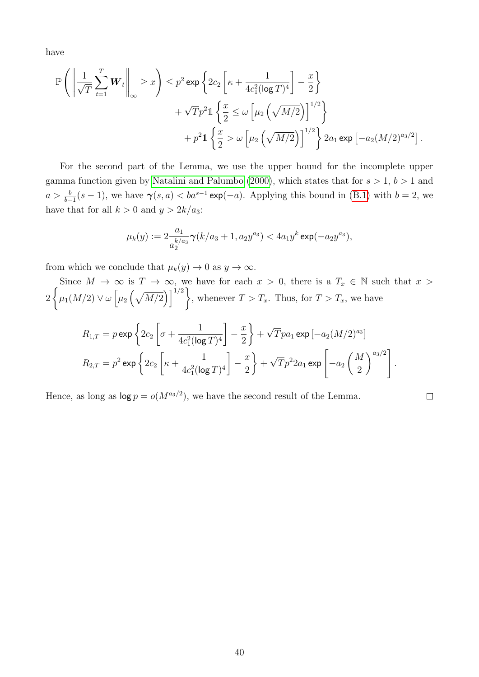have

$$
\mathbb{P}\left(\left\|\frac{1}{\sqrt{T}}\sum_{t=1}^{T} \mathbf{W}_{t}\right\|_{\infty} \geq x\right) \leq p^{2} \exp\left\{2c_{2}\left[\kappa + \frac{1}{4c_{1}^{2}(\log T)^{4}}\right] - \frac{x}{2}\right\} + \sqrt{T}p^{2}1\left\{\frac{x}{2} \leq \omega\left[\mu_{2}\left(\sqrt{M/2}\right)\right]^{1/2}\right\} + p^{2}1\left\{\frac{x}{2} > \omega\left[\mu_{2}\left(\sqrt{M/2}\right)\right]^{1/2}\right\} 2a_{1} \exp\left[-a_{2}(M/2)^{a_{3}/2}\right].
$$

For the second part of the Lemma, we use the upper bound for the incomplete upper gamma function given by [Natalini and Palumbo](#page-51-14) [\(2000\)](#page-51-14), which states that for  $s > 1$ ,  $b > 1$  and  $a > \frac{b}{b-1}(s-1)$ , we have  $\gamma(s, a) < ba^{s-1} \exp(-a)$ . Applying this bound in [\(B.1\)](#page-36-0) with  $b = 2$ , we have that for all  $k > 0$  and  $y > 2k/a_3$ :

$$
\mu_k(y):=2\frac{a_1}{a_2^{k/a_3}}\pmb{\gamma}(k/a_3+1,a_2y^{a_3})<4a_1y^k\exp(-a_2y^{a_3}),
$$

from which we conclude that  $\mu_k(y) \to 0$  as  $y \to \infty$ .

Since  $M \to \infty$  is  $T \to \infty$ , we have for each  $x > 0$ , there is a  $T_x \in \mathbb{N}$  such that  $x > 0$ 2  $\int$  $\mu_1(M/2) \vee \omega \left[ \mu_2\left(\sqrt{M/2}\right) \right]^{1/2}\right\}$ , whenever  $T > T_x$ . Thus, for  $T > T_x$ , we have

$$
R_{1,T} = p \exp \left\{ 2c_2 \left[ \sigma + \frac{1}{4c_1^2 (\log T)^4} \right] - \frac{x}{2} \right\} + \sqrt{T} p a_1 \exp \left[ -a_2 (M/2)^{a_3} \right]
$$
  

$$
R_{2,T} = p^2 \exp \left\{ 2c_2 \left[ \kappa + \frac{1}{4c_1^2 (\log T)^4} \right] - \frac{x}{2} \right\} + \sqrt{T} p^2 2a_1 \exp \left[ -a_2 \left( \frac{M}{2} \right)^{a_3/2} \right].
$$

Hence, as long as  $log p = o(M^{a_3/2})$ , we have the second result of the Lemma.

 $\Box$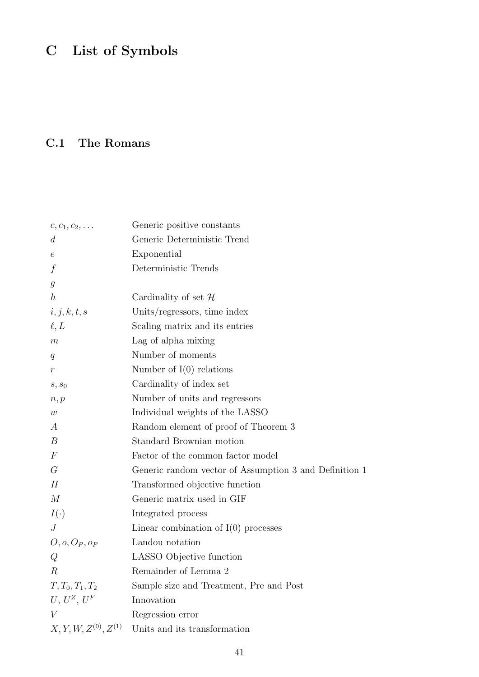# C List of Symbols

# C.1 The Romans

| $c, c_1, c_2, \ldots$ | Generic positive constants                             |
|-----------------------|--------------------------------------------------------|
| $\overline{d}$        | Generic Deterministic Trend                            |
| $\,e\,$               | Exponential                                            |
| $\boldsymbol{f}$      | Deterministic Trends                                   |
| $\mathfrak{g}$        |                                                        |
| $\boldsymbol{h}$      | Cardinality of set $\mathcal H$                        |
| i, j, k, t, s         | Units/regressors, time index                           |
| $\ell, L$             | Scaling matrix and its entries                         |
| m                     | Lag of alpha mixing                                    |
| q                     | Number of moments                                      |
| $\boldsymbol{r}$      | Number of $I(0)$ relations                             |
| $s, s_0$              | Cardinality of index set                               |
| n, p                  | Number of units and regressors                         |
| w                     | Individual weights of the LASSO                        |
| $\boldsymbol{A}$      | Random element of proof of Theorem 3                   |
| $\boldsymbol{B}$      | Standard Brownian motion                               |
| $\boldsymbol{F}$      | Factor of the common factor model                      |
| $G\$                  | Generic random vector of Assumption 3 and Definition 1 |
| H                     | Transformed objective function                         |
| $\overline{M}$        | Generic matrix used in GIF                             |
| $I(\cdot)$            | Integrated process                                     |
| $\overline{J}$        | Linear combination of $I(0)$ processes                 |
| $O, o, O_P, o_P$      | Landou notation                                        |
| Q                     | LASSO Objective function                               |
| $\boldsymbol{R}$      | Remainder of Lemma 2                                   |
| $T, T_0, T_1, T_2$    | Sample size and Treatment, Pre and Post                |
| $U, U^Z, U^F$         | Innovation                                             |
| V                     | Regression error                                       |
| $X, Y, W, Z(0), Z(1)$ | Units and its transformation                           |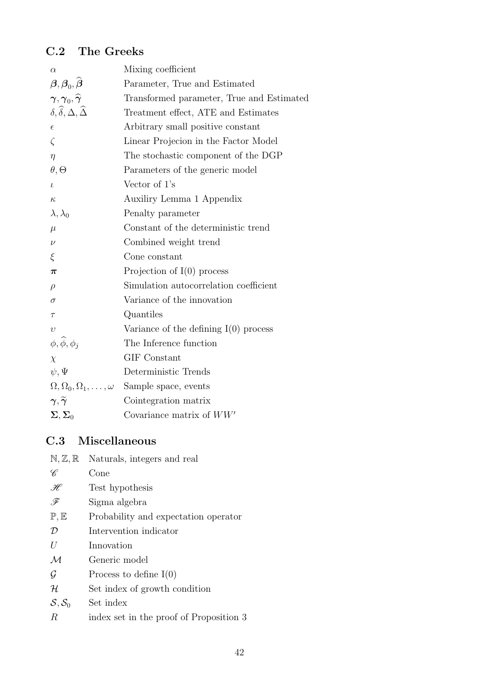# C.2 The Greeks

| $\alpha$                                                                    | Mixing coefficient                        |
|-----------------------------------------------------------------------------|-------------------------------------------|
| $\boldsymbol{\beta}, \boldsymbol{\beta}_0, \widehat{\boldsymbol{\beta}}$    | Parameter, True and Estimated             |
| $\boldsymbol{\gamma}, \boldsymbol{\gamma}_0, \widehat{\boldsymbol{\gamma}}$ | Transformed parameter, True and Estimated |
| $\delta, \widehat{\delta}, \Delta, \widehat{\Delta}$                        | Treatment effect, ATE and Estimates       |
| $\epsilon$                                                                  | Arbitrary small positive constant         |
| $\zeta$                                                                     | Linear Projecion in the Factor Model      |
| $\eta$                                                                      | The stochastic component of the DGP       |
| $\theta, \Theta$                                                            | Parameters of the generic model           |
| $\iota$                                                                     | Vector of 1's                             |
| $\kappa$                                                                    | Auxiliry Lemma 1 Appendix                 |
| $\lambda, \lambda_0$                                                        | Penalty parameter                         |
| $\mu$                                                                       | Constant of the deterministic trend       |
| $\nu$                                                                       | Combined weight trend                     |
| ξ                                                                           | Cone constant                             |
| $\pi$                                                                       | Projection of $I(0)$ process              |
| $\rho$                                                                      | Simulation autocorrelation coefficient    |
| $\sigma$                                                                    | Variance of the innovation                |
| $\tau$                                                                      | Quantiles                                 |
| $\upsilon$                                                                  | Variance of the defining $I(0)$ process   |
| $\phi$ , $\widehat{\phi}$ , $\phi$ <sub>j</sub>                             | The Inference function                    |
| $\chi$                                                                      | <b>GIF</b> Constant                       |
| $\psi, \Psi$                                                                | Deterministic Trends                      |
| $\Omega, \Omega_0, \Omega_1, \ldots, \omega$                                | Sample space, events                      |
| $\boldsymbol{\gamma},\widetilde{\boldsymbol{\gamma}}$                       | Cointegration matrix                      |
| $\Sigma, \Sigma_0$                                                          | Covariance matrix of $WW'$                |

# C.3 Miscellaneous

| $\mathbb{N}, \mathbb{Z}, \mathbb{R}$ | Naturals, integers and real             |
|--------------------------------------|-----------------------------------------|
| C                                    | Cone                                    |
| $\mathscr{H}$                        | Test hypothesis                         |
| .F                                   | Sigma algebra                           |
| P, E                                 | Probability and expectation operator    |
| $\mathcal{D}$                        | Intervention indicator                  |
| U                                    | Innovation                              |
| $\mathcal{M}_{0}$                    | Generic model                           |
| $\mathcal G$                         | Process to define $I(0)$                |
| ${\mathcal H}$                       | Set index of growth condition           |
| $S, S_0$                             | Set index                               |
| R                                    | index set in the proof of Proposition 3 |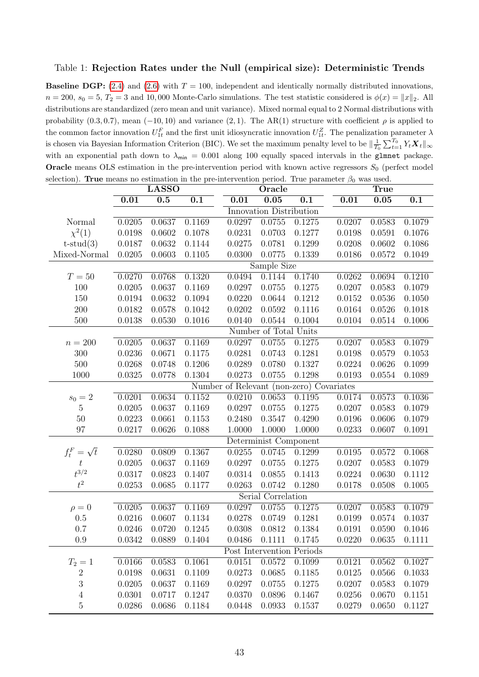#### <span id="page-42-0"></span>Table 1: Rejection Rates under the Null (empirical size): Deterministic Trends

**Baseline DGP:** [\(2.4\)](#page-7-2) and [\(2.6\)](#page-7-4) with  $T = 100$ , independent and identically normally distributed innovations,  $n = 200$ ,  $s_0 = 5$ ,  $T_2 = 3$  and 10,000 Monte-Carlo simulations. The test statistic considered is  $\phi(x) = ||x||_2$ . All distributions are standardized (zero mean and unit variance). Mixed normal equal to 2 Normal distributions with probability  $(0.3, 0.7)$ , mean  $(-10, 10)$  and variance  $(2, 1)$ . The AR(1) structure with coefficient  $\rho$  is applied to the common factor innovation  $U_{1t}^F$  and the first unit idiosyncratic innovation  $U_{1t}^Z$ . The penalization parameter  $\lambda$ is chosen via Bayesian Information Criterion (BIC). We set the maximum penalty level to be  $\|\frac{1}{T_0}\sum_{t=1}^{T_0} Y_t \mathbf{X}_t\|_{\infty}$ with an exponential path down to  $\lambda_{\text{min}} = 0.001$  along 100 equally spaced intervals in the glmnet package. **Oracle** means OLS estimation in the pre-intervention period with known active regressors  $S_0$  (perfect model selection). True means no estimation in the pre-intervention period. True parameter  $\beta_0$  was used.

|                    |            | <b>LASSO</b> |        |                                          | Oracle                  |                           |        | True   |        |
|--------------------|------------|--------------|--------|------------------------------------------|-------------------------|---------------------------|--------|--------|--------|
|                    | 0.01       | 0.5          | 0.1    | 0.01                                     | 0.05                    | 0.1                       | 0.01   | 0.05   | 0.1    |
|                    |            |              |        |                                          | Innovation Distribution |                           |        |        |        |
| Normal             | 0.0205     | 0.0637       | 0.1169 | 0.0297                                   | 0.0755                  | 0.1275                    | 0.0207 | 0.0583 | 0.1079 |
| $\chi^2(1)$        | 0.0198     | 0.0602       | 0.1078 | 0.0231                                   | 0.0703                  | 0.1277                    | 0.0198 | 0.0591 | 0.1076 |
| $t$ -stud $(3)$    | 0.0187     | 0.0632       | 0.1144 | 0.0275                                   | 0.0781                  | 0.1299                    | 0.0208 | 0.0602 | 0.1086 |
| Mixed-Normal       | 0.0205     | 0.0603       | 0.1105 | 0.0300                                   | 0.0775                  | 0.1339                    | 0.0186 | 0.0572 | 0.1049 |
|                    |            |              |        |                                          | Sample Size             |                           |        |        |        |
| $T=50$             | 0.0270     | 0.0768       | 0.1320 | 0.0494                                   | 0.1144                  | 0.1740                    | 0.0262 | 0.0694 | 0.1210 |
| 100                | 0.0205     | 0.0637       | 0.1169 | 0.0297                                   | 0.0755                  | 0.1275                    | 0.0207 | 0.0583 | 0.1079 |
| 150                | 0.0194     | 0.0632       | 0.1094 | 0.0220                                   | 0.0644                  | 0.1212                    | 0.0152 | 0.0536 | 0.1050 |
| 200                | 0.0182     | 0.0578       | 0.1042 | 0.0202                                   | 0.0592                  | 0.1116                    | 0.0164 | 0.0526 | 0.1018 |
| 500                | 0.0138     | 0.0530       | 0.1016 | 0.0140                                   | 0.0544                  | 0.1004                    | 0.0104 | 0.0514 | 0.1006 |
|                    |            |              |        |                                          | Number of Total Units   |                           |        |        |        |
| $n=200$            | 0.0205     | 0.0637       | 0.1169 | 0.0297                                   | 0.0755                  | 0.1275                    | 0.0207 | 0.0583 | 0.1079 |
| 300                | 0.0236     | 0.0671       | 0.1175 | 0.0281                                   | 0.0743                  | 0.1281                    | 0.0198 | 0.0579 | 0.1053 |
| 500                | 0.0268     | 0.0748       | 0.1206 | 0.0289                                   | 0.0780                  | 0.1327                    | 0.0224 | 0.0626 | 0.1099 |
| 1000               | 0.0325     | 0.0778       | 0.1304 | 0.0273                                   | 0.0755                  | 0.1298                    | 0.0193 | 0.0554 | 0.1089 |
|                    |            |              |        | Number of Relevant (non-zero) Covariates |                         |                           |        |        |        |
| $s_0 = 2$          | 0.0201     | 0.0634       | 0.1152 | 0.0210                                   | 0.0653                  | 0.1195                    | 0.0174 | 0.0573 | 0.1036 |
| $\mathbf 5$        | 0.0205     | 0.0637       | 0.1169 | 0.0297                                   | 0.0755                  | 0.1275                    | 0.0207 | 0.0583 | 0.1079 |
| 50                 | 0.0223     | 0.0661       | 0.1153 | 0.2480                                   | 0.3547                  | 0.4290                    | 0.0196 | 0.0606 | 0.1079 |
| 97                 | 0.0217     | 0.0626       | 0.1088 | 1.0000                                   | 1.0000                  | 1.0000                    | 0.0233 | 0.0607 | 0.1091 |
|                    |            |              |        |                                          | Determinist Component   |                           |        |        |        |
| $f_t^F = \sqrt{t}$ | 0.0280     | 0.0809       | 0.1367 | 0.0255                                   | 0.0745                  | 0.1299                    | 0.0195 | 0.0572 | 0.1068 |
| $\boldsymbol{t}$   | 0.0205     | 0.0637       | 0.1169 | 0.0297                                   | 0.0755                  | 0.1275                    | 0.0207 | 0.0583 | 0.1079 |
| $t^{3/2}$          | 0.0317     | 0.0823       | 0.1407 | 0.0314                                   | 0.0855                  | 0.1413                    | 0.0224 | 0.0630 | 0.1112 |
| $t^2$              | 0.0253     | 0.0685       | 0.1177 | 0.0263                                   | 0.0742                  | 0.1280                    | 0.0178 | 0.0508 | 0.1005 |
|                    |            |              |        |                                          | Serial Correlation      |                           |        |        |        |
| $\rho = 0$         | 0.0205     | 0.0637       | 0.1169 | 0.0297                                   | 0.0755                  | 0.1275                    | 0.0207 | 0.0583 | 0.1079 |
| 0.5                | 0.0216     | 0.0607       | 0.1134 | 0.0278                                   | 0.0749                  | 0.1281                    | 0.0199 | 0.0574 | 0.1037 |
| 0.7                | 0.0246     | 0.0720       | 0.1245 | 0.0308                                   | 0.0812                  | 0.1384                    | 0.0191 | 0.0590 | 0.1046 |
| 0.9                | 0.0342     | 0.0889       | 0.1404 | 0.0486                                   | 0.1111                  | 0.1745                    | 0.0220 | 0.0635 | 0.1111 |
|                    |            |              |        |                                          |                         | Post Intervention Periods |        |        |        |
| $T_2 = 1$          | 0.0166     | 0.0583       | 0.1061 | 0.0151                                   | 0.0572                  | 0.1099                    | 0.0121 | 0.0562 | 0.1027 |
| $\sqrt{2}$         | 0.0198     | 0.0631       | 0.1109 | 0.0273                                   | 0.0685                  | 0.1185                    | 0.0125 | 0.0566 | 0.1033 |
| $\sqrt{3}$         | 0.0205     | 0.0637       | 0.1169 | 0.0297                                   | 0.0755                  | 0.1275                    | 0.0207 | 0.0583 | 0.1079 |
| $\overline{4}$     | 0.0301     | 0.0717       | 0.1247 | 0.0370                                   | 0.0896                  | 0.1467                    | 0.0256 | 0.0670 | 0.1151 |
| $\bf 5$            | $0.0286\,$ | 0.0686       | 0.1184 | 0.0448                                   | 0.0933                  | 0.1537                    | 0.0279 | 0.0650 | 0.1127 |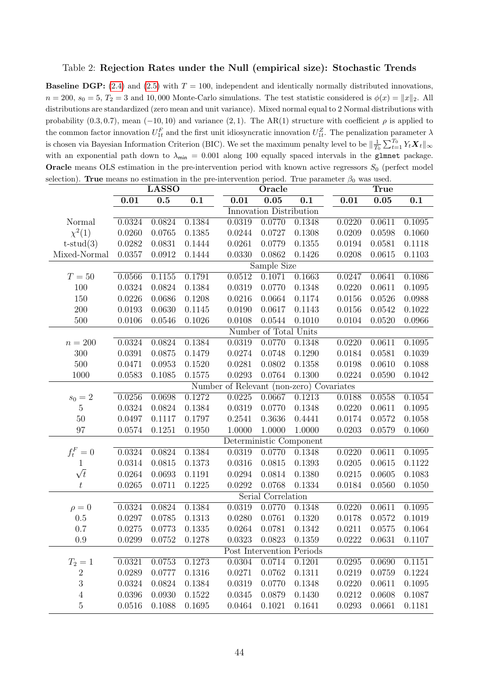#### <span id="page-43-0"></span>Table 2: Rejection Rates under the Null (empirical size): Stochastic Trends

**Baseline DGP:** [\(2.4\)](#page-7-2) and [\(2.5\)](#page-7-3) with  $T = 100$ , independent and identically normally distributed innovations,  $n = 200$ ,  $s_0 = 5$ ,  $T_2 = 3$  and 10,000 Monte-Carlo simulations. The test statistic considered is  $\phi(x) = ||x||_2$ . All distributions are standardized (zero mean and unit variance). Mixed normal equal to 2 Normal distributions with probability  $(0.3, 0.7)$ , mean  $(-10, 10)$  and variance  $(2, 1)$ . The AR(1) structure with coefficient  $\rho$  is applied to the common factor innovation  $U_{1t}^F$  and the first unit idiosyncratic innovation  $U_{1t}^Z$ . The penalization parameter  $\lambda$ is chosen via Bayesian Information Criterion (BIC). We set the maximum penalty level to be  $\|\frac{1}{T_0}\sum_{t=1}^{T_0} Y_t \mathbf{X}_t\|_{\infty}$ with an exponential path down to  $\lambda_{\text{min}} = 0.001$  along 100 equally spaced intervals in the glmnet package. **Oracle** means OLS estimation in the pre-intervention period with known active regressors  $S_0$  (perfect model selection). True means no estimation in the pre-intervention period. True parameter  $\beta_0$  was used.

|                  |        | <b>LASSO</b> |        |                                          | Oracle                  |                           |        | True   |        |
|------------------|--------|--------------|--------|------------------------------------------|-------------------------|---------------------------|--------|--------|--------|
|                  | 0.01   | 0.5          | 0.1    | 0.01                                     | 0.05                    | $\overline{0.1}$          | 0.01   | 0.05   | 0.1    |
|                  |        |              |        |                                          | Innovation Distribution |                           |        |        |        |
| Normal           | 0.0324 | 0.0824       | 0.1384 | 0.0319                                   | 0.0770                  | 0.1348                    | 0.0220 | 0.0611 | 0.1095 |
| $\chi^2(1)$      | 0.0260 | 0.0765       | 0.1385 | 0.0244                                   | 0.0727                  | 0.1308                    | 0.0209 | 0.0598 | 0.1060 |
| $t$ -stud $(3)$  | 0.0282 | 0.0831       | 0.1444 | 0.0261                                   | 0.0779                  | 0.1355                    | 0.0194 | 0.0581 | 0.1118 |
| Mixed-Normal     | 0.0357 | 0.0912       | 0.1444 | 0.0330                                   | 0.0862                  | 0.1426                    | 0.0208 | 0.0615 | 0.1103 |
|                  |        |              |        |                                          | Sample Size             |                           |        |        |        |
| $T=50$           | 0.0566 | 0.1155       | 0.1791 | 0.0512                                   | 0.1071                  | 0.1663                    | 0.0247 | 0.0641 | 0.1086 |
| 100              | 0.0324 | 0.0824       | 0.1384 | 0.0319                                   | 0.0770                  | 0.1348                    | 0.0220 | 0.0611 | 0.1095 |
| 150              | 0.0226 | 0.0686       | 0.1208 | 0.0216                                   | 0.0664                  | 0.1174                    | 0.0156 | 0.0526 | 0.0988 |
| 200              | 0.0193 | 0.0630       | 0.1145 | 0.0190                                   | 0.0617                  | 0.1143                    | 0.0156 | 0.0542 | 0.1022 |
| 500              | 0.0106 | 0.0546       | 0.1026 | 0.0108                                   | 0.0544                  | 0.1010                    | 0.0104 | 0.0520 | 0.0966 |
|                  |        |              |        |                                          | Number of Total Units   |                           |        |        |        |
| $n=200$          | 0.0324 | 0.0824       | 0.1384 | 0.0319                                   | 0.0770                  | 0.1348                    | 0.0220 | 0.0611 | 0.1095 |
| 300              | 0.0391 | 0.0875       | 0.1479 | 0.0274                                   | 0.0748                  | 0.1290                    | 0.0184 | 0.0581 | 0.1039 |
| 500              | 0.0471 | 0.0953       | 0.1520 | 0.0281                                   | 0.0802                  | 0.1358                    | 0.0198 | 0.0610 | 0.1088 |
| 1000             | 0.0583 | 0.1085       | 0.1575 | 0.0293                                   | 0.0764                  | 0.1300                    | 0.0224 | 0.0590 | 0.1042 |
|                  |        |              |        | Number of Relevant (non-zero) Covariates |                         |                           |        |        |        |
| $s_0 = 2$        | 0.0256 | 0.0698       | 0.1272 | 0.0225                                   | 0.0667                  | 0.1213                    | 0.0188 | 0.0558 | 0.1054 |
| $\mathbf 5$      | 0.0324 | 0.0824       | 0.1384 | 0.0319                                   | 0.0770                  | 0.1348                    | 0.0220 | 0.0611 | 0.1095 |
| 50               | 0.0497 | 0.1117       | 0.1797 | 0.2541                                   | 0.3636                  | 0.4441                    | 0.0174 | 0.0572 | 0.1058 |
| 97               | 0.0574 | 0.1251       | 0.1950 | 1.0000                                   | 1.0000                  | 1.0000                    | 0.0203 | 0.0579 | 0.1060 |
|                  |        |              |        |                                          |                         | Deterministic Component   |        |        |        |
| $f_t^F=0$        | 0.0324 | 0.0824       | 0.1384 | 0.0319                                   | 0.0770                  | 0.1348                    | 0.0220 | 0.0611 | 0.1095 |
| 1                | 0.0314 | 0.0815       | 0.1373 | 0.0316                                   | 0.0815                  | 0.1393                    | 0.0205 | 0.0615 | 0.1122 |
| $\sqrt{t}$       | 0.0264 | 0.0693       | 0.1191 | 0.0294                                   | 0.0814                  | 0.1380                    | 0.0215 | 0.0605 | 0.1083 |
| $t\,$            | 0.0265 | 0.0711       | 0.1225 | 0.0292                                   | 0.0768                  | 0.1334                    | 0.0184 | 0.0560 | 0.1050 |
|                  |        |              |        |                                          | Serial Correlation      |                           |        |        |        |
| $\rho = 0$       | 0.0324 | 0.0824       | 0.1384 | 0.0319                                   | 0.0770                  | 0.1348                    | 0.0220 | 0.0611 | 0.1095 |
| 0.5              | 0.0297 | 0.0785       | 0.1313 | 0.0280                                   | 0.0761                  | 0.1320                    | 0.0178 | 0.0572 | 0.1019 |
| 0.7              | 0.0275 | 0.0773       | 0.1335 | 0.0264                                   | 0.0781                  | 0.1342                    | 0.0211 | 0.0575 | 0.1064 |
| 0.9              | 0.0299 | 0.0752       | 0.1278 | 0.0323                                   | 0.0823                  | 0.1359                    | 0.0222 | 0.0631 | 0.1107 |
|                  |        |              |        |                                          |                         | Post Intervention Periods |        |        |        |
| $T_2 = 1$        | 0.0321 | 0.0753       | 0.1273 | 0.0304                                   | 0.0714                  | 0.1201                    | 0.0295 | 0.0690 | 0.1151 |
| $\boldsymbol{2}$ | 0.0289 | 0.0777       | 0.1316 | 0.0271                                   | 0.0762                  | 0.1311                    | 0.0219 | 0.0759 | 0.1224 |
| $\sqrt{3}$       | 0.0324 | 0.0824       | 0.1384 | 0.0319                                   | 0.0770                  | 0.1348                    | 0.0220 | 0.0611 | 0.1095 |
| $\overline{4}$   | 0.0396 | 0.0930       | 0.1522 | 0.0345                                   | 0.0879                  | 0.1430                    | 0.0212 | 0.0608 | 0.1087 |
| $\bf 5$          | 0.0516 | 0.1088       | 0.1695 | 0.0464                                   | 0.1021                  | 0.1641                    | 0.0293 | 0.0661 | 0.1181 |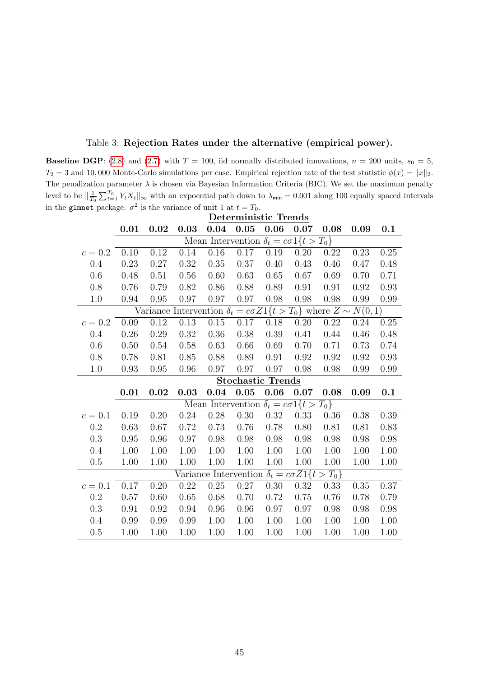| $T_2 = 3$ and 10,000 Monte-Carlo simulations per case. Empirical rejection rate of the test statistic $\phi(x) =   x  _2$ .                                  |  |  |                                                        |  |                                                                      |      |  |
|--------------------------------------------------------------------------------------------------------------------------------------------------------------|--|--|--------------------------------------------------------|--|----------------------------------------------------------------------|------|--|
| The penalization parameter $\lambda$ is chosen via Bayesian Information Criteria (BIC). We set the maximum penalty                                           |  |  |                                                        |  |                                                                      |      |  |
| level to be $\ \frac{1}{T_0}\sum_{t=1}^{T_0} Y_t X_t\ _{\infty}$ with an expoential path down to $\lambda_{\min} = 0.001$ along 100 equally spaced intervals |  |  |                                                        |  |                                                                      |      |  |
| in the glmnet package. $\sigma^2$ is the variance of unit 1 at $t = T_0$ .                                                                                   |  |  |                                                        |  |                                                                      |      |  |
|                                                                                                                                                              |  |  | Deterministic Trends                                   |  |                                                                      |      |  |
|                                                                                                                                                              |  |  |                                                        |  | $0.01$ $0.02$ $0.03$ $0.04$ $0.05$ $0.06$ $0.07$ $0.08$ $0.09$ $0.1$ |      |  |
|                                                                                                                                                              |  |  | Mean Intervention $\delta_t = c\sigma 1$ { $t > T_0$ } |  |                                                                      |      |  |
| $c = 0.2$ 0.10 0.12 0.14 0.16 0.17 0.19 0.20 0.22 0.23                                                                                                       |  |  |                                                        |  |                                                                      | 0.25 |  |

# Table 3: Rejection Rates under the alternative (empirical power).

<span id="page-44-0"></span>**Baseline DGP**: [\(2.8\)](#page-10-4) and [\(2.7\)](#page-10-3) with  $T = 100$ , iid normally distributed innovations,  $n = 200$  units,  $s_0 = 5$ ,

| 0.4       | 0.23 | 0.27 | 0.32 | 0.35     | 0.37                                                               | 0.40 | 0.43     | 0.46                                                                             | 0.47 | 0.48 |
|-----------|------|------|------|----------|--------------------------------------------------------------------|------|----------|----------------------------------------------------------------------------------|------|------|
| 0.6       | 0.48 | 0.51 | 0.56 | 0.60     | 0.63                                                               | 0.65 | 0.67     | 0.69                                                                             | 0.70 | 0.71 |
| 0.8       | 0.76 | 0.79 | 0.82 | 0.86     | 0.88                                                               | 0.89 | 0.91     | 0.91                                                                             | 0.92 | 0.93 |
| 1.0       | 0.94 | 0.95 | 0.97 | 0.97     | 0.97                                                               | 0.98 | 0.98     | 0.98                                                                             | 0.99 | 0.99 |
|           |      |      |      |          |                                                                    |      |          | Variance Intervention $\delta_t = c\sigma Z_1\{t > T_0\}$ where $Z \sim N(0, 1)$ |      |      |
| $c = 0.2$ | 0.09 | 0.12 | 0.13 | 0.15     | 0.17                                                               | 0.18 | 0.20     | 0.22                                                                             | 0.24 | 0.25 |
| $0.4\,$   | 0.26 | 0.29 | 0.32 | 0.36     | 0.38                                                               | 0.39 | 0.41     | 0.44                                                                             | 0.46 | 0.48 |
| 0.6       | 0.50 | 0.54 | 0.58 | 0.63     | 0.66                                                               | 0.69 | 0.70     | 0.71                                                                             | 0.73 | 0.74 |
| 0.8       | 0.78 | 0.81 | 0.85 | 0.88     | 0.89                                                               | 0.91 | 0.92     | 0.92                                                                             | 0.92 | 0.93 |
| 1.0       | 0.93 | 0.95 | 0.96 | 0.97     | 0.97                                                               | 0.97 | 0.98     | 0.98                                                                             | 0.99 | 0.99 |
|           |      |      |      |          | <b>Stochastic Trends</b>                                           |      |          |                                                                                  |      |      |
|           | 0.01 | 0.02 | 0.03 |          | $0.04$ 0.05                                                        | 0.06 | $0.07\,$ | 0.08                                                                             | 0.09 | 0.1  |
|           |      |      |      |          |                                                                    |      |          |                                                                                  |      |      |
|           |      |      |      |          | Mean Intervention $\delta_t = c\sigma 1 \{ t > T_0 \}$             |      |          |                                                                                  |      |      |
| $c = 0.1$ | 0.19 | 0.20 | 0.24 | 0.28     | 0.30                                                               | 0.32 | 0.33     | 0.36                                                                             | 0.38 | 0.39 |
| $0.2\,$   | 0.63 | 0.67 | 0.72 | 0.73     | 0.76                                                               | 0.78 | 0.80     | 0.81                                                                             | 0.81 | 0.83 |
| 0.3       | 0.95 | 0.96 | 0.97 | 0.98     | 0.98                                                               | 0.98 | 0.98     | 0.98                                                                             | 0.98 | 0.98 |
| $0.4\,$   | 1.00 | 1.00 | 1.00 | 1.00     | 1.00                                                               | 1.00 | 1.00     | 1.00                                                                             | 1.00 | 1.00 |
| 0.5       | 1.00 | 1.00 | 1.00 | 1.00     | 1.00                                                               | 1.00 | 1.00     | 1.00                                                                             | 1.00 | 1.00 |
|           |      |      |      |          | Variance Intervention $\delta_t = c\sigma Z \mathbb{1}\{t > T_0\}$ |      |          |                                                                                  |      |      |
| $c = 0.1$ | 0.17 | 0.20 | 0.22 | $0.25\,$ | 0.27                                                               | 0.30 | 0.32     | 0.33                                                                             | 0.35 | 0.37 |
| $0.2\,$   | 0.57 | 0.60 | 0.65 | 0.68     | 0.70                                                               | 0.72 | 0.75     | 0.76                                                                             | 0.78 | 0.79 |
| 0.3       | 0.91 | 0.92 | 0.94 | 0.96     | 0.96                                                               | 0.97 | 0.97     | 0.98                                                                             | 0.98 | 0.98 |
| $0.4\,$   | 0.99 | 0.99 | 0.99 | 1.00     | 1.00                                                               | 1.00 | 1.00     | 1.00                                                                             | 1.00 | 1.00 |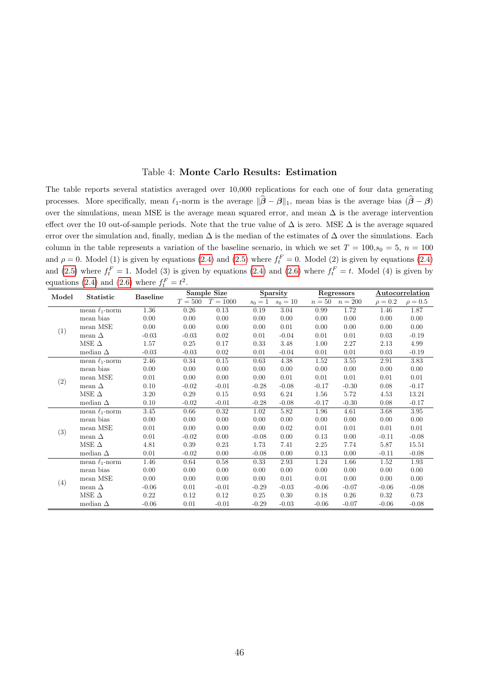#### Table 4: Monte Carlo Results: Estimation

The table reports several statistics averaged over 10,000 replications for each one of four data generating processes. More specifically, mean  $\ell_1$ -norm is the average  $\|\hat{\boldsymbol{\beta}} - \boldsymbol{\beta}\|_1$ , mean bias is the average bias  $(\hat{\boldsymbol{\beta}} - \boldsymbol{\beta})$ over the simulations, mean MSE is the average mean squared error, and mean  $\Delta$  is the average intervention effect over the 10 out-of-sample periods. Note that the true value of  $\Delta$  is zero. MSE  $\Delta$  is the average squared error over the simulation and, finally, median  $\Delta$  is the median of the estimates of  $\Delta$  over the simulations. Each column in the table represents a variation of the baseline scenario, in which we set  $T = 100$ ,  $s_0 = 5$ ,  $n = 100$ and  $\rho = 0$ . Model (1) is given by equations [\(2.4\)](#page-7-2) and [\(2.5\)](#page-7-3) where  $f_t^F = 0$ . Model (2) is given by equations (2.4) and [\(2.5\)](#page-7-3) where  $f_t^F = 1$ . Model (3) is given by equations [\(2.4\)](#page-7-2) and [\(2.6\)](#page-7-4) where  $f_t^F = t$ . Model (4) is given by equations [\(2.4\)](#page-7-2) and [\(2.6\)](#page-7-4) where  $f_t^F = t^2$ .

| Model | Statistic           | <b>Baseline</b> |         | Sample Size |         | Sparsity             |          | Regressors         |              | Autocorrelation |
|-------|---------------------|-----------------|---------|-------------|---------|----------------------|----------|--------------------|--------------|-----------------|
|       |                     |                 | $T=500$ | $T = 1000$  |         | $s_0 = 1$ $s_0 = 10$ |          | $n = 50$ $n = 200$ | $\rho = 0.2$ | $\rho = 0.5$    |
|       | mean $\ell_1$ -norm | 1.36            | 0.26    | 0.13        | 0.19    | 3.04                 | 0.99     | 1.72               | 1.46         | 1.87            |
|       | mean bias           | 0.00            | 0.00    | 0.00        | 0.00    | 0.00                 | 0.00     | 0.00               | 0.00         | 0.00            |
|       | mean MSE            | 0.00            | 0.00    | 0.00        | 0.00    | 0.01                 | 0.00     | 0.00               | 0.00         | 0.00            |
| (1)   | mean $\Delta$       | $-0.03$         | $-0.03$ | 0.02        | 0.01    | $-0.04$              | 0.01     | 0.01               | 0.03         | $-0.19$         |
|       | MSE $\Delta$        | 1.57            | 0.25    | 0.17        | 0.33    | 3.48                 | 1.00     | 2.27               | 2.13         | 4.99            |
|       | median $\Delta$     | $-0.03$         | $-0.03$ | 0.02        | 0.01    | $-0.04$              | 0.01     | 0.01               | 0.03         | $-0.19$         |
|       | mean $\ell_1$ -norm | 2.46            | 0.34    | 0.15        | 0.63    | 4.38                 | 1.52     | 3.55               | 2.91         | 3.83            |
|       | mean bias           | 0.00            | 0.00    | 0.00        | 0.00    | 0.00                 | 0.00     | 0.00               | 0.00         | 0.00            |
|       | mean MSE            | 0.01            | 0.00    | 0.00        | 0.00    | 0.01                 | 0.01     | 0.01               | 0.01         | 0.01            |
| (2)   | mean $\Delta$       | 0.10            | $-0.02$ | $-0.01$     | $-0.28$ | $-0.08$              | $-0.17$  | $-0.30$            | 0.08         | $-0.17$         |
|       | MSE $\Delta$        | 3.20            | 0.29    | 0.15        | 0.93    | 6.24                 | 1.56     | 5.72               | 4.53         | 13.21           |
|       | median $\Delta$     | 0.10            | $-0.02$ | $-0.01$     | $-0.28$ | $-0.08$              | $-0.17$  | $-0.30$            | 0.08         | $-0.17$         |
|       | mean $\ell_1$ -norm | 3.45            | 0.66    | 0.32        | 1.02    | 5.82                 | 1.96     | 4.61               | 3.68         | 3.95            |
|       | mean bias           | 0.00            | 0.00    | 0.00        | 0.00    | 0.00                 | 0.00     | 0.00               | 0.00         | 0.00            |
| (3)   | mean MSE            | 0.01            | 0.00    | 0.00        | 0.00    | 0.02                 | 0.01     | 0.01               | 0.01         | 0.01            |
|       | mean $\Delta$       | 0.01            | $-0.02$ | 0.00        | $-0.08$ | 0.00                 | 0.13     | 0.00               | $-0.11$      | $-0.08$         |
|       | MSE $\Delta$        | 4.81            | 0.39    | 0.23        | 1.73    | 7.41                 | $2.25\,$ | 7.74               | 5.87         | 15.51           |
|       | median $\Delta$     | 0.01            | $-0.02$ | 0.00        | $-0.08$ | 0.00                 | 0.13     | 0.00               | $-0.11$      | $-0.08$         |
|       | mean $\ell_1$ -norm | 1.46            | 0.64    | 0.58        | 0.33    | $2.93\,$             | 1.24     | 1.66               | 1.52         | 1.93            |
|       | mean bias           | 0.00            | 0.00    | 0.00        | 0.00    | 0.00                 | 0.00     | 0.00               | 0.00         | 0.00            |
|       | mean MSE            | 0.00            | 0.00    | 0.00        | 0.00    | 0.01                 | 0.01     | 0.00               | 0.00         | 0.00            |
| (4)   | mean $\Delta$       | $-0.06$         | 0.01    | $-0.01$     | $-0.29$ | $-0.03$              | $-0.06$  | $-0.07$            | $-0.06$      | $-0.08$         |
|       | MSE $\Delta$        | 0.22            | 0.12    | 0.12        | 0.25    | 0.30                 | 0.18     | 0.26               | 0.32         | 0.73            |
|       | median $\Delta$     | $-0.06$         | 0.01    | $-0.01$     | $-0.29$ | $-0.03$              | $-0.06$  | $-0.07$            | $-0.06$      | $-0.08$         |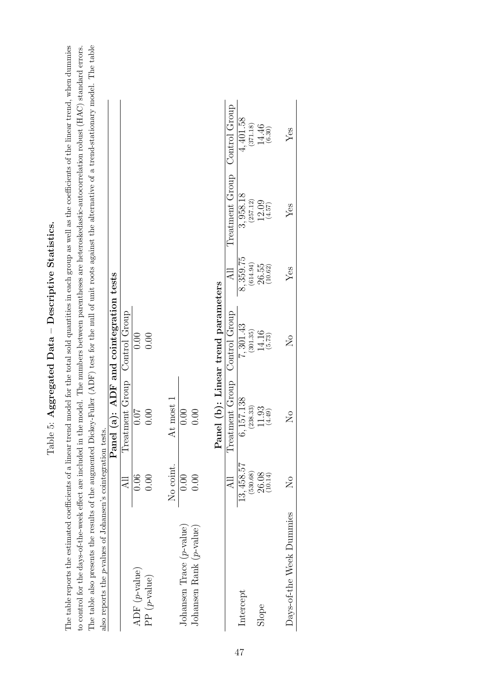| Ş<br>$-1$<br>j                            |
|-------------------------------------------|
| ֖֚֚֚֝֝֝֝֝֝֝<br>- C-11-12-12-0-2<br>ſ<br>ſ |
| $\mid$<br>ĺ                               |
| percerre<br>J                             |
| .<br>כל<br>J<br>$\mathbf{r}$<br>I         |

<span id="page-46-0"></span>The table reports the estimated coefficients of a linear trend model for the total sold quantities in each group as well as the coefficients of the linear trend, when dummies to control for the days-of-the-week effect are included in the model. The numbers between parentheses are heteroskedastic-autocorrelation robust (HAC) standard errors. The table also presents the results of the augmented Dickey-Fuller (ADF) test for the null of unit roots against the alternative of a trend-stationary model. The table The table reports the estimated coefficients of a linear trend model for the total sold quantities in each group as well as the coefficients of the linear trend, when dummies The table also presents the results of the augmented Dickey-Fuller (ADF) test for the null of unit roots against the alternative of a trend-stationary model. The table to control for the days-of-the-week effect are included in the model. The numbers between parentheses are heteroskedastic-autocorrelation robust (HAC) standard errors. The value also presents the results of Johansen's cointegration tests.<br>also reports the p-values of Johansen's cointegration tests.<br>Panel (a): ADF and cointegration tests also reports the p-values of Johansen's cointegration tests.

|                             |                     | Panel (a): ADF and cointegration tests |                         |                      |                 |                     |
|-----------------------------|---------------------|----------------------------------------|-------------------------|----------------------|-----------------|---------------------|
|                             | $\overline{AB}$     | Treatment Group Control Group          |                         |                      |                 |                     |
| ADF $(p$ -value)            | 0.06                | 0.07                                   | 0.00                    |                      |                 |                     |
| PP $(p\text{-value})$       | 0.00                | 0.00                                   | 0.00                    |                      |                 |                     |
|                             | No coint.           | At most 1                              |                         |                      |                 |                     |
| Johansen Trace $(p$ -value) | 0.00                | 0.00                                   |                         |                      |                 |                     |
| Johansen Rank $(p$ -value)  | 0.00                | 0.00                                   |                         |                      |                 |                     |
|                             |                     | Panel (b): Linear trend parameters     |                         |                      |                 |                     |
|                             | $\overline{AB}$     | Treatment Group Control Group          |                         |                      | Treatment Group | Control Group       |
| Intercept                   | 13, 458.57          | 6,157.138                              | 7,301.43                | 8,359.75             | 3,958.18        | 4,401.58            |
|                             | (530.68)            | (238.33)                               | (301.35)                | (614.94)             | (257.12)        | (371.18)            |
| Slope                       | $26.08$<br>(10.14)  | $11.93$<br>$(4.49)$                    | $14.16$<br>(5.73)       | $26.55$<br>$(10.62)$ | 12.09<br>(4.57) | $14.46$<br>$(6.30)$ |
|                             |                     |                                        |                         |                      |                 |                     |
| Days-of-the Week Dummies    | $\overline{\Sigma}$ | $\overline{\mathsf{Z}}$                | $\overline{\mathsf{X}}$ | Yes                  | $Y$ es          | $Y$ es              |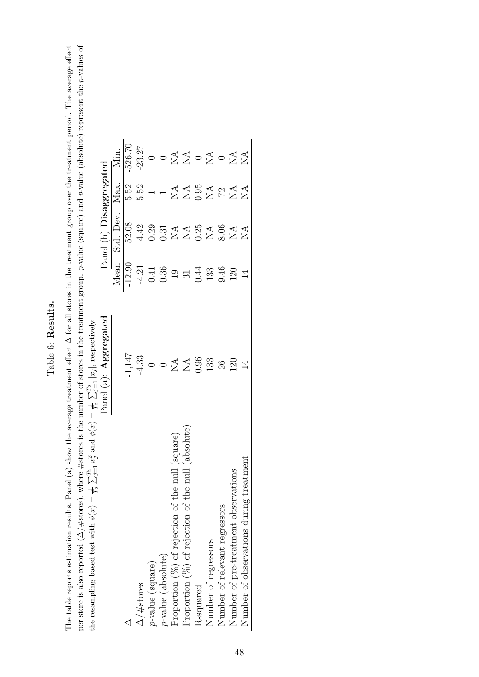# <span id="page-47-0"></span>Table 6: Results. Table 6: Results.

per store is also reported ( $\Delta/\#$ stores), where  $\#$ stores is the number of stores in the treatment group. *p*-value (square) and *p*-value (absolute) represent the *p*-values of the recampling based test with  $\phi(r) = \frac{1$ The table reports estimation results. Panel (a) show the average treatment effect  $\Delta$  for all stores in the treatment group over the treatment period. The average effect per store is also reported (∆/#stores), where #stores is the number of stores in the treatment group. p-value (square) and p-value (absolute) represent the p-values of The table reports estimation results. Panel (a) show the average treatment effect ∆ for all stores in the treatment group over the treatment period. The average effect the resampling based test with  $\phi(x) = \frac{1}{T_2} \sum_{j=1}^{T_2} x_j^2$  and  $\phi(x) = \frac{1}{T_2} \sum_{j=1}^{T_2} |x_j|$ , respectively.

| The resembent passed test with $\varphi(x) = \overline{T_2} \sum_{j=1}^{n} x_j$ and $\varphi(x) = \overline{T_2} \sum_{j=1}^{n}  x_j $ , respectively. | Panel $(a)$ : $\operatorname{\mathbf{Aggregate}}$ |                                                                                      | Panel (b) Disaggregated                                                                 |                                                                                                        |                                                                                                                              |
|--------------------------------------------------------------------------------------------------------------------------------------------------------|---------------------------------------------------|--------------------------------------------------------------------------------------|-----------------------------------------------------------------------------------------|--------------------------------------------------------------------------------------------------------|------------------------------------------------------------------------------------------------------------------------------|
|                                                                                                                                                        |                                                   | Mean                                                                                 | Std. Dev.                                                                               | Max.                                                                                                   | Min.                                                                                                                         |
|                                                                                                                                                        | 1,147                                             |                                                                                      | 52.08                                                                                   | 5.52                                                                                                   | $-526.70$                                                                                                                    |
| $\Delta/\text{\#stores}$                                                                                                                               | $-4.33$<br>$0$<br>$0$<br>$X^4$                    |                                                                                      |                                                                                         | $5.52\phantom{0}$                                                                                      |                                                                                                                              |
| $p$ -value (square)                                                                                                                                    |                                                   |                                                                                      |                                                                                         |                                                                                                        |                                                                                                                              |
| $p$ -value (absolute)                                                                                                                                  |                                                   |                                                                                      |                                                                                         |                                                                                                        |                                                                                                                              |
| Proportion $(\%)$ of rejection of the null (square)                                                                                                    |                                                   |                                                                                      |                                                                                         |                                                                                                        |                                                                                                                              |
| Proportion $(\%)$ of rejection of the null (absolute)                                                                                                  |                                                   | $\begin{array}{r} -12.90 \\ -4.21 \\ 0.41 \\ 0.36 \\ 19 \\ 31 \\ \hline \end{array}$ | $4.39$<br>$0.374$<br>$0.54$<br>$0.84$<br>$0.84$<br>$0.84$<br>$0.84$<br>$0.84$<br>$0.84$ | $\begin{array}{c}\n 1 \times 4 \\  1 \times 105 \\  105 \\  104 \\  144 \\  144 \\  154\n \end{array}$ | $\begin{array}{c c}\n 3.27 \\  \circ & 0 \\  2 & 4 \\  \hline\n 1 & 0 \\  2 & 0 \\  5 & 0 \\  7 & 0 \\  8 & 1\n \end{array}$ |
| R-squared                                                                                                                                              | 0.96                                              |                                                                                      |                                                                                         |                                                                                                        |                                                                                                                              |
| Number of regressors                                                                                                                                   | 133                                               | $133$<br>$9.46$<br>$120$                                                             |                                                                                         |                                                                                                        |                                                                                                                              |
| Number of relevant regressors                                                                                                                          | 26                                                |                                                                                      |                                                                                         |                                                                                                        |                                                                                                                              |
| Number of pre-treatment observations                                                                                                                   | 120                                               |                                                                                      |                                                                                         |                                                                                                        |                                                                                                                              |
| eatmen<br>Number of observations during tr                                                                                                             | $\overline{1}$                                    | 14                                                                                   |                                                                                         |                                                                                                        |                                                                                                                              |
|                                                                                                                                                        |                                                   |                                                                                      |                                                                                         |                                                                                                        |                                                                                                                              |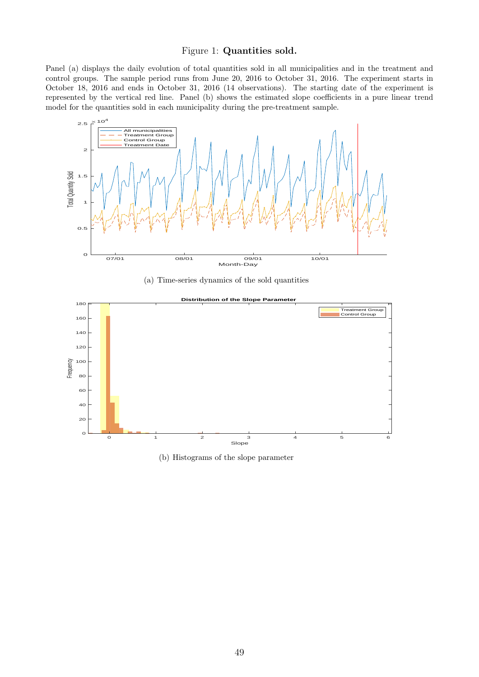#### Figure 1: Quantities sold.

<span id="page-48-0"></span>Panel (a) displays the daily evolution of total quantities sold in all municipalities and in the treatment and control groups. The sample period runs from June 20, 2016 to October 31, 2016. The experiment starts in October 18, 2016 and ends in October 31, 2016 (14 observations). The starting date of the experiment is represented by the vertical red line. Panel (b) shows the estimated slope coefficients in a pure linear trend model for the quantities sold in each municipality during the pre-treatment sample.



(a) Time-series dynamics of the sold quantities



(b) Histograms of the slope parameter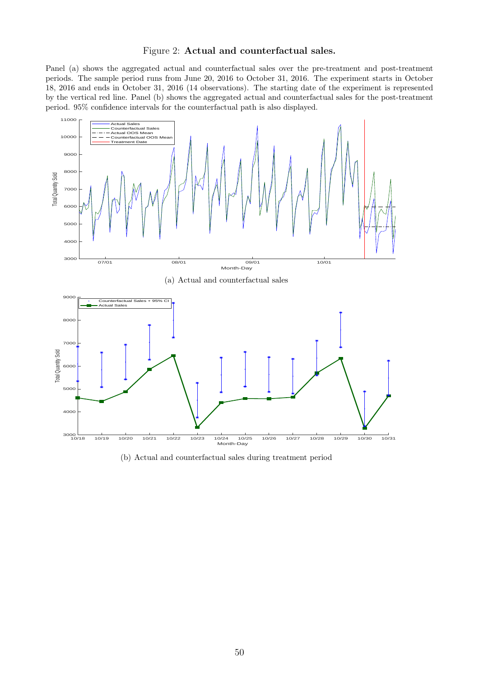#### Figure 2: Actual and counterfactual sales.

<span id="page-49-0"></span>Panel (a) shows the aggregated actual and counterfactual sales over the pre-treatment and post-treatment periods. The sample period runs from June 20, 2016 to October 31, 2016. The experiment starts in October 18, 2016 and ends in October 31, 2016 (14 observations). The starting date of the experiment is represented by the vertical red line. Panel (b) shows the aggregated actual and counterfactual sales for the post-treatment period. 95% confidence intervals for the counterfactual path is also displayed.



(b) Actual and counterfactual sales during treatment period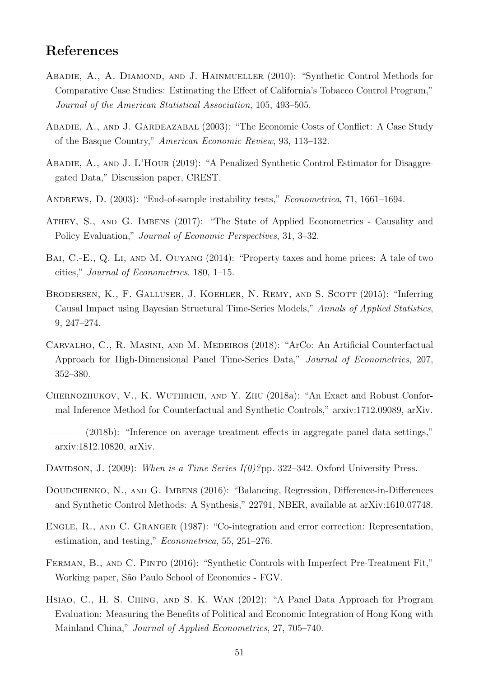# References

- <span id="page-50-1"></span>ABADIE, A., A. DIAMOND, AND J. HAINMUELLER (2010): "Synthetic Control Methods for Comparative Case Studies: Estimating the Effect of California's Tobacco Control Program," Journal of the American Statistical Association, 105, 493–505.
- <span id="page-50-0"></span>Abadie, A., and J. Gardeazabal (2003): "The Economic Costs of Conflict: A Case Study of the Basque Country," American Economic Review, 93, 113–132.
- <span id="page-50-9"></span>Abadie, A., and J. L'Hour (2019): "A Penalized Synthetic Control Estimator for Disaggregated Data," Discussion paper, CREST.
- <span id="page-50-12"></span>ANDREWS, D. (2003): "End-of-sample instability tests," *Econometrica*, 71, 1661–1694.
- <span id="page-50-3"></span>Athey, S., and G. Imbens (2017): "The State of Applied Econometrics - Causality and Policy Evaluation," Journal of Economic Perspectives, 31, 3–32.
- <span id="page-50-8"></span>BAI, C.-E., Q. LI, AND M. OUYANG (2014): "Property taxes and home prices: A tale of two cities," Journal of Econometrics, 180, 1–15.
- <span id="page-50-10"></span>BRODERSEN, K., F. GALLUSER, J. KOEHLER, N. REMY, AND S. SCOTT (2015): "Inferring Causal Impact using Bayesian Structural Time-Series Models," Annals of Applied Statistics, 9, 247–274.
- <span id="page-50-6"></span>Carvalho, C., R. Masini, and M. Medeiros (2018): "ArCo: An Artificial Counterfactual Approach for High-Dimensional Panel Time-Series Data," Journal of Econometrics, 207, 352–380.
- <span id="page-50-11"></span>Chernozhukov, V., K. Wuthrich, and Y. Zhu (2018a): "An Exact and Robust Conformal Inference Method for Counterfactual and Synthetic Controls," arxiv:1712.09089, arXiv.
- <span id="page-50-7"></span>(2018b): "Inference on average treatment effects in aggregate panel data settings," arxiv:1812.10820, arXiv.
- <span id="page-50-13"></span>DAVIDSON, J. (2009): When is a Time Series  $I(0)$ ?pp. 322–342. Oxford University Press.
- <span id="page-50-2"></span>DOUDCHENKO, N., AND G. IMBENS (2016): "Balancing, Regression, Difference-in-Differences and Synthetic Control Methods: A Synthesis," 22791, NBER, available at arXiv:1610.07748.
- <span id="page-50-14"></span>Engle, R., and C. Granger (1987): "Co-integration and error correction: Representation, estimation, and testing," Econometrica, 55, 251–276.
- <span id="page-50-4"></span>FERMAN, B., AND C. PINTO (2016): "Synthetic Controls with Imperfect Pre-Treatment Fit," Working paper, São Paulo School of Economics - FGV.
- <span id="page-50-5"></span>Hsiao, C., H. S. Ching, and S. K. Wan (2012): "A Panel Data Approach for Program Evaluation: Measuring the Benefits of Political and Economic Integration of Hong Kong with Mainland China," Journal of Applied Econometrics, 27, 705–740.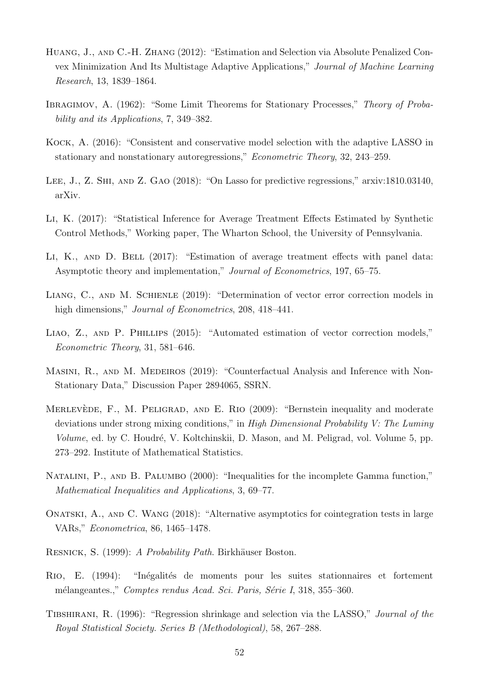- <span id="page-51-10"></span>Huang, J., and C.-H. Zhang (2012): "Estimation and Selection via Absolute Penalized Convex Minimization And Its Multistage Adaptive Applications," Journal of Machine Learning Research, 13, 1839–1864.
- <span id="page-51-11"></span>IBRAGIMOV, A. (1962): "Some Limit Theorems for Stationary Processes," Theory of Probability and its Applications, 7, 349–382.
- <span id="page-51-6"></span>Kock, A. (2016): "Consistent and conservative model selection with the adaptive LASSO in stationary and nonstationary autoregressions," Econometric Theory, 32, 243–259.
- <span id="page-51-4"></span>Lee, J., Z. Shi, and Z. Gao (2018): "On Lasso for predictive regressions," arxiv:1810.03140, arXiv.
- <span id="page-51-3"></span>Li, K. (2017): "Statistical Inference for Average Treatment Effects Estimated by Synthetic Control Methods," Working paper, The Wharton School, the University of Pennsylvania.
- <span id="page-51-2"></span>LI, K., AND D. BELL (2017): "Estimation of average treatment effects with panel data: Asymptotic theory and implementation," Journal of Econometrics, 197, 65–75.
- <span id="page-51-7"></span>Liang, C., and M. Schienle (2019): "Determination of vector error correction models in high dimensions," *Journal of Econometrics*, 208, 418–441.
- <span id="page-51-5"></span>LIAO, Z., AND P. PHILLIPS (2015): "Automated estimation of vector correction models," Econometric Theory, 31, 581–646.
- <span id="page-51-1"></span>MASINI, R., AND M. MEDEIROS (2019): "Counterfactual Analysis and Inference with Non-Stationary Data," Discussion Paper 2894065, SSRN.
- <span id="page-51-9"></span>MERLEVÈDE, F., M. PELIGRAD, AND E. RIO (2009): "Bernstein inequality and moderate deviations under strong mixing conditions," in High Dimensional Probability V: The Luminy Volume, ed. by C. Houdré, V. Koltchinskii, D. Mason, and M. Peligrad, vol. Volume 5, pp. 273–292. Institute of Mathematical Statistics.
- <span id="page-51-14"></span>NATALINI, P., AND B. PALUMBO (2000): "Inequalities for the incomplete Gamma function," Mathematical Inequalities and Applications, 3, 69–77.
- <span id="page-51-8"></span>Onatski, A., and C. Wang (2018): "Alternative asymptotics for cointegration tests in large VARs," Econometrica, 86, 1465–1478.
- <span id="page-51-12"></span>RESNICK, S. (1999): A Probability Path. Birkhäuser Boston.
- <span id="page-51-13"></span>RIO, E. (1994): "Inégalités de moments pour les suites stationnaires et fortement mélangeantes.," Comptes rendus Acad. Sci. Paris, Série I, 318, 355–360.
- <span id="page-51-0"></span>Tibshirani, R. (1996): "Regression shrinkage and selection via the LASSO," Journal of the Royal Statistical Society. Series B (Methodological), 58, 267–288.